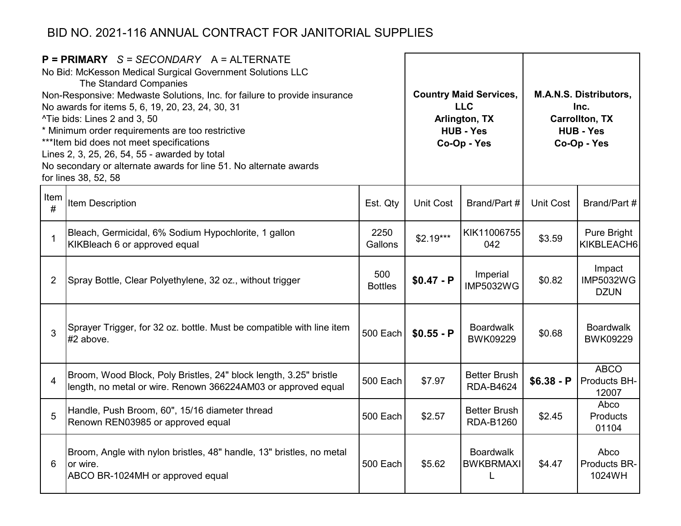| $P = PRIMARY$ S = SECONDARY A = ALTERNATE<br>No Bid: McKesson Medical Surgical Government Solutions LLC<br>The Standard Companies<br>Non-Responsive: Medwaste Solutions, Inc. for failure to provide insurance<br>No awards for items 5, 6, 19, 20, 23, 24, 30, 31<br>^Tie bids: Lines 2 and 3, 50<br>* Minimum order requirements are too restrictive<br>*** Item bid does not meet specifications<br>Lines 2, 3, 25, 26, 54, 55 - awarded by total<br>No secondary or alternate awards for line 51. No alternate awards<br>for lines 38, 52, 58 |                                                                                                                                    |                       |                  | <b>Country Maid Services,</b><br><b>LLC</b><br>Arlington, TX<br><b>HUB - Yes</b><br>Co-Op - Yes | <b>M.A.N.S. Distributors,</b><br>Inc.<br><b>Carrollton, TX</b><br><b>HUB - Yes</b><br>Co-Op - Yes |                                           |  |
|---------------------------------------------------------------------------------------------------------------------------------------------------------------------------------------------------------------------------------------------------------------------------------------------------------------------------------------------------------------------------------------------------------------------------------------------------------------------------------------------------------------------------------------------------|------------------------------------------------------------------------------------------------------------------------------------|-----------------------|------------------|-------------------------------------------------------------------------------------------------|---------------------------------------------------------------------------------------------------|-------------------------------------------|--|
| Item<br>#                                                                                                                                                                                                                                                                                                                                                                                                                                                                                                                                         | Item Description                                                                                                                   | Est. Qty              | <b>Unit Cost</b> | Brand/Part #                                                                                    | <b>Unit Cost</b>                                                                                  | Brand/Part #                              |  |
| 1                                                                                                                                                                                                                                                                                                                                                                                                                                                                                                                                                 | Bleach, Germicidal, 6% Sodium Hypochlorite, 1 gallon<br>KIKBleach 6 or approved equal                                              | 2250<br>Gallons       | $$2.19***$       | KIK11006755<br>042                                                                              | \$3.59                                                                                            | Pure Bright<br>KIKBLEACH6                 |  |
| $\overline{2}$                                                                                                                                                                                                                                                                                                                                                                                                                                                                                                                                    | Spray Bottle, Clear Polyethylene, 32 oz., without trigger                                                                          | 500<br><b>Bottles</b> | $$0.47 - P$      | Imperial<br><b>IMP5032WG</b>                                                                    | \$0.82                                                                                            | Impact<br><b>IMP5032WG</b><br><b>DZUN</b> |  |
| 3                                                                                                                                                                                                                                                                                                                                                                                                                                                                                                                                                 | Sprayer Trigger, for 32 oz. bottle. Must be compatible with line item<br>$#2$ above.                                               | 500 Each              | $$0.55 - P$      | <b>Boardwalk</b><br><b>BWK09229</b>                                                             | \$0.68                                                                                            | <b>Boardwalk</b><br><b>BWK09229</b>       |  |
| $\overline{4}$                                                                                                                                                                                                                                                                                                                                                                                                                                                                                                                                    | Broom, Wood Block, Poly Bristles, 24" block length, 3.25" bristle<br>length, no metal or wire. Renown 366224AM03 or approved equal | 500 Each              | \$7.97           | <b>Better Brush</b><br><b>RDA-B4624</b>                                                         | $$6.38 - P$                                                                                       | <b>ABCO</b><br>Products BH-<br>12007      |  |
| 5                                                                                                                                                                                                                                                                                                                                                                                                                                                                                                                                                 | Handle, Push Broom, 60", 15/16 diameter thread<br>Renown REN03985 or approved equal                                                | 500 Each              | \$2.57           | <b>Better Brush</b><br>RDA-B1260                                                                | \$2.45                                                                                            | Abco<br>Products<br>01104                 |  |
| 6                                                                                                                                                                                                                                                                                                                                                                                                                                                                                                                                                 | Broom, Angle with nylon bristles, 48" handle, 13" bristles, no metal<br>or wire.<br>ABCO BR-1024MH or approved equal               | 500 Each              | \$5.62           | <b>Boardwalk</b><br><b>BWKBRMAXI</b><br>L                                                       | \$4.47                                                                                            | Abco<br>Products BR-<br>1024WH            |  |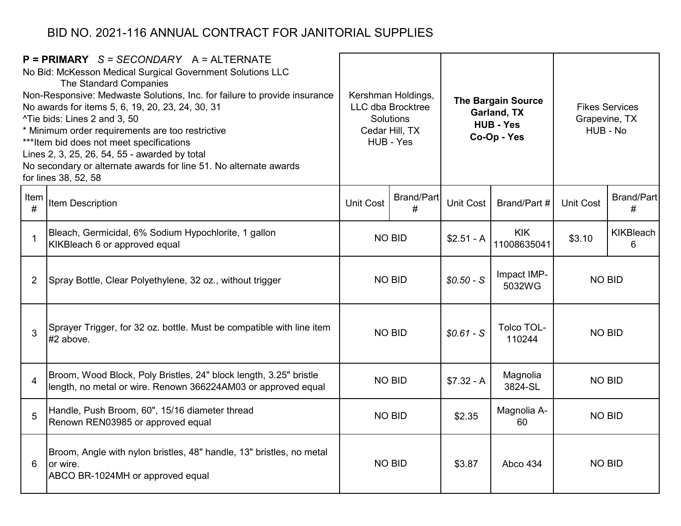|           | $P = PRIMARY$ S = SECONDARY A = ALTERNATE<br>No Bid: McKesson Medical Surgical Government Solutions LLC<br>The Standard Companies<br>Non-Responsive: Medwaste Solutions, Inc. for failure to provide insurance<br>No awards for items 5, 6, 19, 20, 23, 24, 30, 31<br>^Tie bids: Lines 2 and 3, 50<br>* Minimum order requirements are too restrictive<br>*** Item bid does not meet specifications<br>Lines 2, 3, 25, 26, 54, 55 - awarded by total<br>No secondary or alternate awards for line 51. No alternate awards<br>for lines 38, 52, 58 |                  | Kershman Holdings,<br>LLC dba Brocktree<br>Solutions<br>Cedar Hill, TX<br>HUB - Yes |             | <b>The Bargain Source</b><br>Garland, TX<br><b>HUB - Yes</b><br>Co-Op - Yes |                  | <b>Fikes Services</b><br>Grapevine, TX<br>HUB - No |  |
|-----------|---------------------------------------------------------------------------------------------------------------------------------------------------------------------------------------------------------------------------------------------------------------------------------------------------------------------------------------------------------------------------------------------------------------------------------------------------------------------------------------------------------------------------------------------------|------------------|-------------------------------------------------------------------------------------|-------------|-----------------------------------------------------------------------------|------------------|----------------------------------------------------|--|
| Item<br># | Item Description                                                                                                                                                                                                                                                                                                                                                                                                                                                                                                                                  | <b>Unit Cost</b> | <b>Brand/Part</b><br>Unit Cost<br>#                                                 |             | Brand/Part #                                                                | <b>Unit Cost</b> | <b>Brand/Part</b><br>#                             |  |
| 1         | Bleach, Germicidal, 6% Sodium Hypochlorite, 1 gallon<br>KIKBleach 6 or approved equal                                                                                                                                                                                                                                                                                                                                                                                                                                                             | <b>NO BID</b>    |                                                                                     | $$2.51 - A$ | <b>KIK</b><br>11008635041                                                   | \$3.10           | <b>KIKBleach</b><br>6                              |  |
| 2         | Spray Bottle, Clear Polyethylene, 32 oz., without trigger                                                                                                                                                                                                                                                                                                                                                                                                                                                                                         | <b>NO BID</b>    |                                                                                     | $$0.50 - S$ | Impact IMP-<br>5032WG                                                       | <b>NO BID</b>    |                                                    |  |
| 3         | Sprayer Trigger, for 32 oz. bottle. Must be compatible with line item<br>$#2$ above.                                                                                                                                                                                                                                                                                                                                                                                                                                                              |                  | <b>NO BID</b>                                                                       | $$0.61-S$   | Tolco TOL-<br>110244                                                        | <b>NO BID</b>    |                                                    |  |
| 4         | Broom, Wood Block, Poly Bristles, 24" block length, 3.25" bristle<br>length, no metal or wire. Renown 366224AM03 or approved equal                                                                                                                                                                                                                                                                                                                                                                                                                |                  | <b>NO BID</b>                                                                       | $$7.32 - A$ | Magnolia<br>3824-SL                                                         | <b>NO BID</b>    |                                                    |  |
| 5         | Handle, Push Broom, 60", 15/16 diameter thread<br>Renown REN03985 or approved equal                                                                                                                                                                                                                                                                                                                                                                                                                                                               | <b>NO BID</b>    |                                                                                     | \$2.35      | Magnolia A-<br>60                                                           | <b>NO BID</b>    |                                                    |  |
| 6         | Broom, Angle with nylon bristles, 48" handle, 13" bristles, no metal<br>or wire.<br>ABCO BR-1024MH or approved equal                                                                                                                                                                                                                                                                                                                                                                                                                              |                  | <b>NO BID</b><br>\$3.87                                                             |             | Abco 434                                                                    | <b>NO BID</b>    |                                                    |  |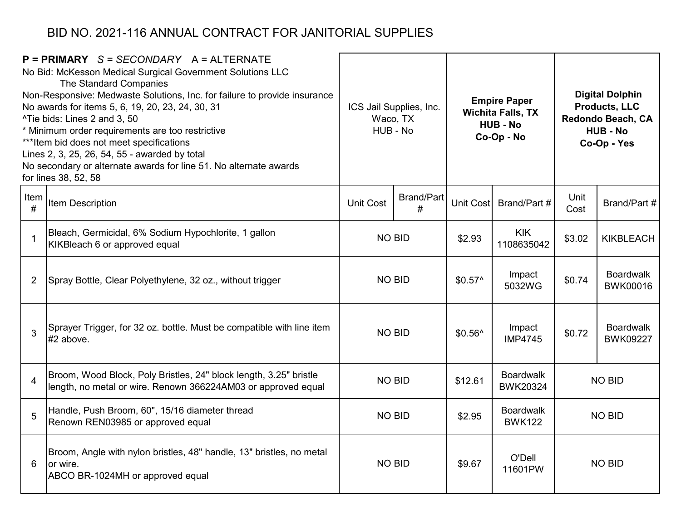|                | $P = PRIMARY$ S = SECONDARY A = ALTERNATE<br>No Bid: McKesson Medical Surgical Government Solutions LLC<br>The Standard Companies<br>Non-Responsive: Medwaste Solutions, Inc. for failure to provide insurance<br>No awards for items 5, 6, 19, 20, 23, 24, 30, 31<br>^Tie bids: Lines 2 and 3, 50<br>* Minimum order requirements are too restrictive<br>*** Item bid does not meet specifications<br>Lines 2, 3, 25, 26, 54, 55 - awarded by total<br>No secondary or alternate awards for line 51. No alternate awards<br>for lines 38, 52, 58 |                  | ICS Jail Supplies, Inc.<br>Waco, TX<br>HUB - No |          | <b>Empire Paper</b><br><b>Wichita Falls, TX</b><br><b>HUB - No</b><br>Co-Op - No | <b>Digital Dolphin</b><br><b>Products, LLC</b><br>Redondo Beach, CA<br><b>HUB - No</b><br>Co-Op - Yes |                                     |  |               |
|----------------|---------------------------------------------------------------------------------------------------------------------------------------------------------------------------------------------------------------------------------------------------------------------------------------------------------------------------------------------------------------------------------------------------------------------------------------------------------------------------------------------------------------------------------------------------|------------------|-------------------------------------------------|----------|----------------------------------------------------------------------------------|-------------------------------------------------------------------------------------------------------|-------------------------------------|--|---------------|
| Item<br>#      | Item Description                                                                                                                                                                                                                                                                                                                                                                                                                                                                                                                                  | <b>Unit Cost</b> | Brand/Part<br>Unit Cost<br>#                    |          | Brand/Part #                                                                     | Unit<br>Cost                                                                                          | Brand/Part #                        |  |               |
| -1             | Bleach, Germicidal, 6% Sodium Hypochlorite, 1 gallon<br>KIKBleach 6 or approved equal                                                                                                                                                                                                                                                                                                                                                                                                                                                             |                  | <b>NO BID</b>                                   |          | <b>KIK</b><br>1108635042                                                         | \$3.02                                                                                                | <b>KIKBLEACH</b>                    |  |               |
| $\overline{2}$ | Spray Bottle, Clear Polyethylene, 32 oz., without trigger                                                                                                                                                                                                                                                                                                                                                                                                                                                                                         | <b>NO BID</b>    |                                                 | $$0.57^$ | Impact<br>5032WG                                                                 | \$0.74                                                                                                | <b>Boardwalk</b><br>BWK00016        |  |               |
| 3              | Sprayer Trigger, for 32 oz. bottle. Must be compatible with line item<br>#2 above.                                                                                                                                                                                                                                                                                                                                                                                                                                                                | <b>NO BID</b>    |                                                 | $$0.56^$ | Impact<br><b>IMP4745</b>                                                         | \$0.72                                                                                                | <b>Boardwalk</b><br><b>BWK09227</b> |  |               |
| 4              | Broom, Wood Block, Poly Bristles, 24" block length, 3.25" bristle<br>length, no metal or wire. Renown 366224AM03 or approved equal                                                                                                                                                                                                                                                                                                                                                                                                                | <b>NO BID</b>    |                                                 | \$12.61  | <b>Boardwalk</b><br><b>BWK20324</b>                                              |                                                                                                       | <b>NO BID</b>                       |  |               |
| 5              | Handle, Push Broom, 60", 15/16 diameter thread<br>Renown REN03985 or approved equal                                                                                                                                                                                                                                                                                                                                                                                                                                                               | <b>NO BID</b>    |                                                 | \$2.95   | <b>Boardwalk</b><br><b>BWK122</b>                                                |                                                                                                       | <b>NO BID</b>                       |  |               |
| 6              | Broom, Angle with nylon bristles, 48" handle, 13" bristles, no metal<br>for wire.<br>ABCO BR-1024MH or approved equal                                                                                                                                                                                                                                                                                                                                                                                                                             | <b>NO BID</b>    |                                                 |          |                                                                                  | \$9.67                                                                                                | O'Dell<br>11601PW                   |  | <b>NO BID</b> |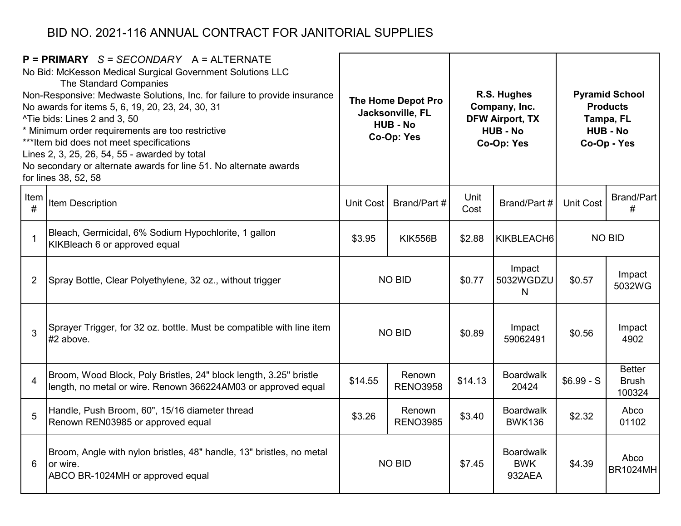| $P = PRIMARY$ S = SECONDARY A = ALTERNATE<br>No Bid: McKesson Medical Surgical Government Solutions LLC<br>The Standard Companies<br>Non-Responsive: Medwaste Solutions, Inc. for failure to provide insurance<br>No awards for items 5, 6, 19, 20, 23, 24, 30, 31<br>^Tie bids: Lines 2 and 3, 50<br>* Minimum order requirements are too restrictive<br>*** Item bid does not meet specifications<br>Lines 2, 3, 25, 26, 54, 55 - awarded by total<br>No secondary or alternate awards for line 51. No alternate awards<br>for lines 38, 52, 58 |                                                                                                                                    | The Home Depot Pro<br>Jacksonville, FL<br><b>HUB - No</b><br>Co-Op: Yes |                                        |              | R.S. Hughes<br>Company, Inc.<br><b>DFW Airport, TX</b><br><b>HUB - No</b><br>Co-Op: Yes | <b>Pyramid School</b><br><b>Products</b><br>Tampa, FL<br><b>HUB - No</b><br>Co-Op - Yes |                                         |
|---------------------------------------------------------------------------------------------------------------------------------------------------------------------------------------------------------------------------------------------------------------------------------------------------------------------------------------------------------------------------------------------------------------------------------------------------------------------------------------------------------------------------------------------------|------------------------------------------------------------------------------------------------------------------------------------|-------------------------------------------------------------------------|----------------------------------------|--------------|-----------------------------------------------------------------------------------------|-----------------------------------------------------------------------------------------|-----------------------------------------|
| Item<br>#                                                                                                                                                                                                                                                                                                                                                                                                                                                                                                                                         | <b>Item Description</b>                                                                                                            | Unit Cost                                                               | Brand/Part #                           | Unit<br>Cost | Brand/Part #                                                                            | <b>Unit Cost</b>                                                                        | <b>Brand/Part</b><br>#                  |
| $\mathbf{1}$                                                                                                                                                                                                                                                                                                                                                                                                                                                                                                                                      | Bleach, Germicidal, 6% Sodium Hypochlorite, 1 gallon<br>KIKBleach 6 or approved equal                                              | \$3.95                                                                  | <b>KIK556B</b><br>\$2.88<br>KIKBLEACH6 |              | <b>NO BID</b>                                                                           |                                                                                         |                                         |
| $\overline{2}$                                                                                                                                                                                                                                                                                                                                                                                                                                                                                                                                    | Spray Bottle, Clear Polyethylene, 32 oz., without trigger                                                                          | <b>NO BID</b>                                                           |                                        | \$0.77       | Impact<br>5032WGDZU<br>N                                                                | \$0.57                                                                                  | Impact<br>5032WG                        |
| 3                                                                                                                                                                                                                                                                                                                                                                                                                                                                                                                                                 | Sprayer Trigger, for 32 oz. bottle. Must be compatible with line item<br>$#2$ above.                                               |                                                                         | <b>NO BID</b>                          | \$0.89       | Impact<br>59062491                                                                      | \$0.56                                                                                  | Impact<br>4902                          |
| $\overline{4}$                                                                                                                                                                                                                                                                                                                                                                                                                                                                                                                                    | Broom, Wood Block, Poly Bristles, 24" block length, 3.25" bristle<br>length, no metal or wire. Renown 366224AM03 or approved equal | \$14.55                                                                 | Renown<br><b>RENO3958</b>              | \$14.13      | <b>Boardwalk</b><br>20424                                                               | $$6.99-S$                                                                               | <b>Better</b><br><b>Brush</b><br>100324 |
| 5                                                                                                                                                                                                                                                                                                                                                                                                                                                                                                                                                 | Handle, Push Broom, 60", 15/16 diameter thread<br>Renown REN03985 or approved equal                                                | \$3.26                                                                  | Renown<br><b>RENO3985</b>              |              | <b>Boardwalk</b><br><b>BWK136</b>                                                       | \$2.32                                                                                  | Abco<br>01102                           |
| 6                                                                                                                                                                                                                                                                                                                                                                                                                                                                                                                                                 | Broom, Angle with nylon bristles, 48" handle, 13" bristles, no metal<br>or wire.<br>ABCO BR-1024MH or approved equal               |                                                                         | <b>NO BID</b>                          |              | <b>Boardwalk</b><br><b>BWK</b><br>932AEA                                                | \$4.39                                                                                  | Abco<br><b>BR1024MH</b>                 |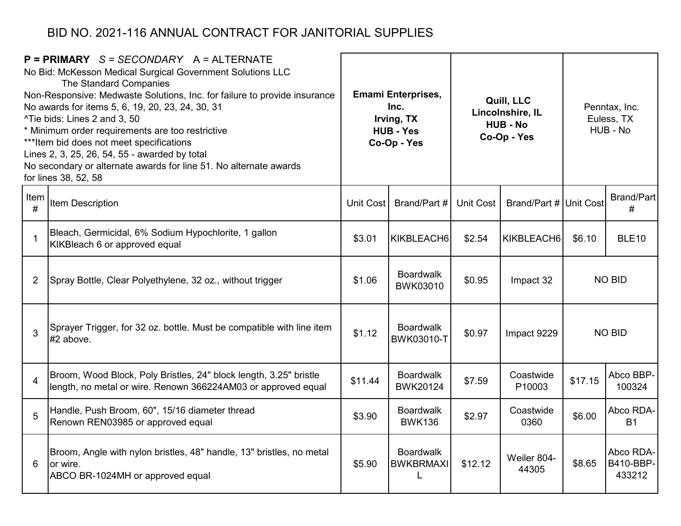|                | $P = PRIMARY$ S = SECONDARY A = ALTERNATE<br>No Bid: McKesson Medical Surgical Government Solutions LLC<br>The Standard Companies<br>Non-Responsive: Medwaste Solutions, Inc. for failure to provide insurance<br>No awards for items 5, 6, 19, 20, 23, 24, 30, 31<br>^Tie bids: Lines 2 and 3, 50<br>* Minimum order requirements are too restrictive<br>*** Item bid does not meet specifications<br>Lines 2, 3, 25, 26, 54, 55 - awarded by total<br>No secondary or alternate awards for line 51. No alternate awards<br>for lines 38, 52, 58 |           | <b>Emami Enterprises,</b><br>Inc.<br>Irving, TX<br><b>HUB - Yes</b><br>Co-Op - Yes |           | Quill, LLC<br>Lincolnshire, IL<br><b>HUB - No</b><br>Co-Op - Yes | Penntax, Inc.<br>Euless, TX<br>HUB - No |                                  |
|----------------|---------------------------------------------------------------------------------------------------------------------------------------------------------------------------------------------------------------------------------------------------------------------------------------------------------------------------------------------------------------------------------------------------------------------------------------------------------------------------------------------------------------------------------------------------|-----------|------------------------------------------------------------------------------------|-----------|------------------------------------------------------------------|-----------------------------------------|----------------------------------|
| Item<br>#      | Item Description                                                                                                                                                                                                                                                                                                                                                                                                                                                                                                                                  | Unit Cost | Brand/Part #                                                                       | Unit Cost | Brand/Part # Unit Cost                                           |                                         | Brand/Part<br>#                  |
| $\mathbf 1$    | Bleach, Germicidal, 6% Sodium Hypochlorite, 1 gallon<br>KIKBleach 6 or approved equal                                                                                                                                                                                                                                                                                                                                                                                                                                                             | \$3.01    | KIKBLEACH6                                                                         | \$2.54    | KIKBLEACH6                                                       | \$6.10                                  | <b>BLE10</b>                     |
| 2              | Spray Bottle, Clear Polyethylene, 32 oz., without trigger                                                                                                                                                                                                                                                                                                                                                                                                                                                                                         | \$1.06    | <b>Boardwalk</b><br>BWK03010                                                       | \$0.95    | Impact 32                                                        | <b>NO BID</b>                           |                                  |
| 3              | Sprayer Trigger, for 32 oz. bottle. Must be compatible with line item<br>#2 above.                                                                                                                                                                                                                                                                                                                                                                                                                                                                | \$1.12    | <b>Boardwalk</b><br>BWK03010-T                                                     | \$0.97    | Impact 9229                                                      |                                         | <b>NO BID</b>                    |
| $\overline{4}$ | Broom, Wood Block, Poly Bristles, 24" block length, 3.25" bristle<br>length, no metal or wire. Renown 366224AM03 or approved equal                                                                                                                                                                                                                                                                                                                                                                                                                | \$11.44   | <b>Boardwalk</b><br><b>BWK20124</b>                                                | \$7.59    | Coastwide<br>P10003                                              | \$17.15                                 | Abco BBP-<br>100324              |
| 5              | Handle, Push Broom, 60", 15/16 diameter thread<br>Renown REN03985 or approved equal                                                                                                                                                                                                                                                                                                                                                                                                                                                               | \$3.90    | <b>Boardwalk</b><br><b>BWK136</b>                                                  | \$2.97    | Coastwide<br>0360                                                | \$6.00                                  | Abco RDA-<br><b>B1</b>           |
| 6              | Broom, Angle with nylon bristles, 48" handle, 13" bristles, no metal<br>or wire.<br>ABCO BR-1024MH or approved equal                                                                                                                                                                                                                                                                                                                                                                                                                              | \$5.90    | <b>Boardwalk</b><br><b>BWKBRMAXI</b><br>L                                          | \$12.12   | Weiler 804-<br>44305                                             | \$8.65                                  | Abco RDA-<br>B410-BBP-<br>433212 |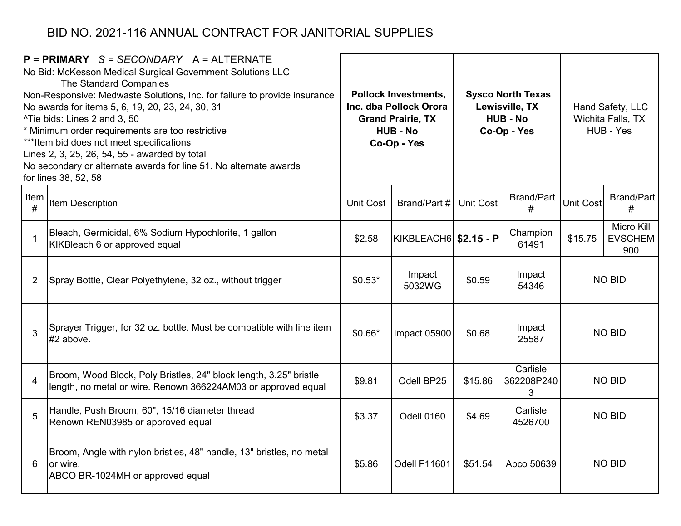|                | $P = PRIMARY$ S = SECONDARY A = ALTERNATE<br>No Bid: McKesson Medical Surgical Government Solutions LLC<br>The Standard Companies<br>Non-Responsive: Medwaste Solutions, Inc. for failure to provide insurance<br>No awards for items 5, 6, 19, 20, 23, 24, 30, 31<br>^Tie bids: Lines 2 and 3, 50<br>* Minimum order requirements are too restrictive<br>*** Item bid does not meet specifications<br>Lines 2, 3, 25, 26, 54, 55 - awarded by total<br>No secondary or alternate awards for line 51. No alternate awards<br>for lines 38, 52, 58 |           | <b>Pollock Investments,</b><br>Inc. dba Pollock Orora<br><b>Grand Prairie, TX</b><br><b>HUB - No</b><br>Co-Op - Yes |                  | <b>Sysco North Texas</b><br>Lewisville, TX<br><b>HUB - No</b><br>Co-Op - Yes | Hand Safety, LLC<br>Wichita Falls, TX<br>HUB - Yes |                                     |
|----------------|---------------------------------------------------------------------------------------------------------------------------------------------------------------------------------------------------------------------------------------------------------------------------------------------------------------------------------------------------------------------------------------------------------------------------------------------------------------------------------------------------------------------------------------------------|-----------|---------------------------------------------------------------------------------------------------------------------|------------------|------------------------------------------------------------------------------|----------------------------------------------------|-------------------------------------|
| Item<br>#      | Item Description                                                                                                                                                                                                                                                                                                                                                                                                                                                                                                                                  | Unit Cost | Brand/Part #                                                                                                        | <b>Unit Cost</b> | <b>Brand/Part</b><br>#                                                       | <b>Unit Cost</b>                                   | <b>Brand/Part</b><br>#              |
| $\mathbf 1$    | Bleach, Germicidal, 6% Sodium Hypochlorite, 1 gallon<br>KIKBleach 6 or approved equal                                                                                                                                                                                                                                                                                                                                                                                                                                                             | \$2.58    | KIKBLEACH6 \$2.15 - P                                                                                               |                  | Champion<br>61491                                                            | \$15.75                                            | Micro Kill<br><b>EVSCHEM</b><br>900 |
| $\overline{2}$ | Spray Bottle, Clear Polyethylene, 32 oz., without trigger                                                                                                                                                                                                                                                                                                                                                                                                                                                                                         | $$0.53*$  | Impact<br>5032WG                                                                                                    | \$0.59           | Impact<br>54346                                                              |                                                    | <b>NO BID</b>                       |
| 3              | Sprayer Trigger, for 32 oz. bottle. Must be compatible with line item<br>#2 above.                                                                                                                                                                                                                                                                                                                                                                                                                                                                | $$0.66*$  | Impact 05900                                                                                                        | \$0.68           | Impact<br>25587                                                              |                                                    | <b>NO BID</b>                       |
| $\overline{4}$ | Broom, Wood Block, Poly Bristles, 24" block length, 3.25" bristle<br>length, no metal or wire. Renown 366224AM03 or approved equal                                                                                                                                                                                                                                                                                                                                                                                                                | \$9.81    | Odell BP25                                                                                                          | \$15.86          | Carlisle<br>362208P240<br>3                                                  |                                                    | <b>NO BID</b>                       |
| 5              | Handle, Push Broom, 60", 15/16 diameter thread<br>Renown REN03985 or approved equal                                                                                                                                                                                                                                                                                                                                                                                                                                                               | \$3.37    | Odell 0160                                                                                                          | \$4.69           | Carlisle<br>4526700                                                          | <b>NO BID</b>                                      |                                     |
| 6              | Broom, Angle with nylon bristles, 48" handle, 13" bristles, no metal<br>or wire.<br>ABCO BR-1024MH or approved equal                                                                                                                                                                                                                                                                                                                                                                                                                              | \$5.86    | Odell F11601                                                                                                        | \$51.54          | Abco 50639                                                                   |                                                    | <b>NO BID</b>                       |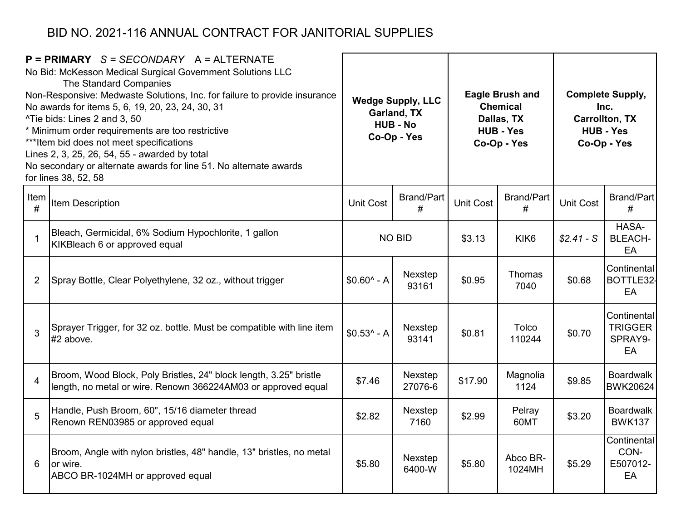| $P = PRIMARY$ S = SECONDARY A = ALTERNATE<br>No Bid: McKesson Medical Surgical Government Solutions LLC<br>The Standard Companies<br>Non-Responsive: Medwaste Solutions, Inc. for failure to provide insurance<br>No awards for items 5, 6, 19, 20, 23, 24, 30, 31<br>^Tie bids: Lines 2 and 3, 50<br>* Minimum order requirements are too restrictive<br>*** Item bid does not meet specifications<br>Lines 2, 3, 25, 26, 54, 55 - awarded by total<br>No secondary or alternate awards for line 51. No alternate awards<br>for lines 38, 52, 58 |                                                                                                                                    | <b>Wedge Supply, LLC</b><br>Garland, TX<br><b>HUB - No</b><br>Co-Op - Yes |                        |                  | <b>Eagle Brush and</b><br><b>Chemical</b><br>Dallas, TX<br><b>HUB - Yes</b><br>Co-Op - Yes | <b>Complete Supply,</b><br>Inc.<br><b>Carrollton, TX</b><br><b>HUB - Yes</b><br>Co-Op - Yes |                                                |  |
|---------------------------------------------------------------------------------------------------------------------------------------------------------------------------------------------------------------------------------------------------------------------------------------------------------------------------------------------------------------------------------------------------------------------------------------------------------------------------------------------------------------------------------------------------|------------------------------------------------------------------------------------------------------------------------------------|---------------------------------------------------------------------------|------------------------|------------------|--------------------------------------------------------------------------------------------|---------------------------------------------------------------------------------------------|------------------------------------------------|--|
| Item<br>#                                                                                                                                                                                                                                                                                                                                                                                                                                                                                                                                         | Item Description                                                                                                                   | <b>Unit Cost</b>                                                          | <b>Brand/Part</b><br># | <b>Unit Cost</b> | <b>Brand/Part</b><br>#                                                                     | <b>Unit Cost</b>                                                                            | Brand/Part<br>#                                |  |
| $\overline{1}$                                                                                                                                                                                                                                                                                                                                                                                                                                                                                                                                    | Bleach, Germicidal, 6% Sodium Hypochlorite, 1 gallon<br>KIKBleach 6 or approved equal                                              | <b>NO BID</b>                                                             |                        | \$3.13           | KIK <sub>6</sub>                                                                           | $$2.41-S$                                                                                   | HASA-<br><b>BLEACH-</b><br>EA                  |  |
| $\overline{2}$                                                                                                                                                                                                                                                                                                                                                                                                                                                                                                                                    | Spray Bottle, Clear Polyethylene, 32 oz., without trigger                                                                          | $$0.60^{\circ}$ - A                                                       | Nexstep<br>93161       | \$0.95           | Thomas<br>7040                                                                             | \$0.68                                                                                      | Continental<br>BOTTLE32-<br>EA                 |  |
| 3                                                                                                                                                                                                                                                                                                                                                                                                                                                                                                                                                 | Sprayer Trigger, for 32 oz. bottle. Must be compatible with line item<br>#2 above.                                                 | $$0.53$ ^ - A                                                             | Nexstep<br>93141       | \$0.81           | Tolco<br>110244                                                                            | \$0.70                                                                                      | Continental<br><b>TRIGGER</b><br>SPRAY9-<br>EA |  |
| $\overline{4}$                                                                                                                                                                                                                                                                                                                                                                                                                                                                                                                                    | Broom, Wood Block, Poly Bristles, 24" block length, 3.25" bristle<br>length, no metal or wire. Renown 366224AM03 or approved equal | \$7.46                                                                    | Nexstep<br>27076-6     | \$17.90          | Magnolia<br>1124                                                                           | \$9.85                                                                                      | <b>Boardwalk</b><br>BWK20624                   |  |
| 5                                                                                                                                                                                                                                                                                                                                                                                                                                                                                                                                                 | Handle, Push Broom, 60", 15/16 diameter thread<br>Renown REN03985 or approved equal                                                | \$2.82                                                                    | Nexstep<br>7160        | \$2.99           | Pelray<br>60MT                                                                             | \$3.20                                                                                      | <b>Boardwalk</b><br><b>BWK137</b>              |  |
| 6                                                                                                                                                                                                                                                                                                                                                                                                                                                                                                                                                 | Broom, Angle with nylon bristles, 48" handle, 13" bristles, no metal<br>or wire.<br>ABCO BR-1024MH or approved equal               | \$5.80                                                                    | Nexstep<br>6400-W      | \$5.80           | Abco BR-<br>1024MH                                                                         | \$5.29                                                                                      | Continental<br>CON-<br>E507012-<br>EA          |  |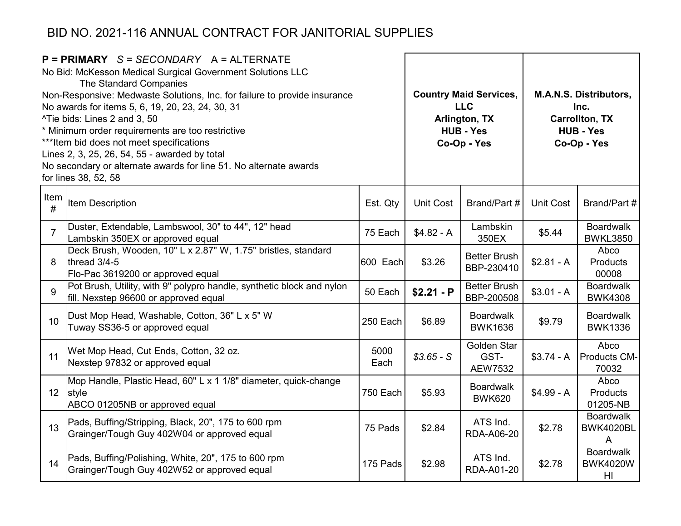|                 | $P = PRIMARY$ S = SECONDARY A = ALTERNATE<br>No Bid: McKesson Medical Surgical Government Solutions LLC<br>The Standard Companies<br>Non-Responsive: Medwaste Solutions, Inc. for failure to provide insurance<br>No awards for items 5, 6, 19, 20, 23, 24, 30, 31<br>^Tie bids: Lines 2 and 3, 50<br>* Minimum order requirements are too restrictive<br>*** Item bid does not meet specifications<br>Lines 2, 3, 25, 26, 54, 55 - awarded by total<br>No secondary or alternate awards for line 51. No alternate awards<br>for lines 38, 52, 58 |              | <b>Country Maid Services,</b><br><b>LLC</b><br>Arlington, TX<br><b>HUB - Yes</b><br>Co-Op - Yes | <b>M.A.N.S. Distributors,</b><br>Inc.<br><b>Carrollton, TX</b><br><b>HUB - Yes</b><br>Co-Op - Yes |                  |                                           |
|-----------------|---------------------------------------------------------------------------------------------------------------------------------------------------------------------------------------------------------------------------------------------------------------------------------------------------------------------------------------------------------------------------------------------------------------------------------------------------------------------------------------------------------------------------------------------------|--------------|-------------------------------------------------------------------------------------------------|---------------------------------------------------------------------------------------------------|------------------|-------------------------------------------|
| Item<br>#       | Item Description                                                                                                                                                                                                                                                                                                                                                                                                                                                                                                                                  | Est. Qty     | <b>Unit Cost</b>                                                                                | Brand/Part #                                                                                      | <b>Unit Cost</b> | Brand/Part #                              |
| $\overline{7}$  | Duster, Extendable, Lambswool, 30" to 44", 12" head<br>Lambskin 350EX or approved equal                                                                                                                                                                                                                                                                                                                                                                                                                                                           | 75 Each      | $$4.82 - A$                                                                                     | Lambskin<br>350EX                                                                                 | \$5.44           | <b>Boardwalk</b><br><b>BWKL3850</b>       |
| 8               | Deck Brush, Wooden, 10" L x 2.87" W, 1.75" bristles, standard<br>thread 3/4-5<br>Flo-Pac 3619200 or approved equal                                                                                                                                                                                                                                                                                                                                                                                                                                | 600 Each     | \$3.26                                                                                          | <b>Better Brush</b><br>BBP-230410                                                                 | $$2.81 - A$      | Abco<br>Products<br>00008                 |
| 9               | Pot Brush, Utility, with 9" polypro handle, synthetic block and nylon<br>fill. Nexstep 96600 or approved equal                                                                                                                                                                                                                                                                                                                                                                                                                                    | 50 Each      | $$2.21 - P$                                                                                     | <b>Better Brush</b><br>BBP-200508                                                                 | $$3.01 - A$      | <b>Boardwalk</b><br><b>BWK4308</b>        |
| 10              | Dust Mop Head, Washable, Cotton, 36" L x 5" W<br>Tuway SS36-5 or approved equal                                                                                                                                                                                                                                                                                                                                                                                                                                                                   | 250 Each     | \$6.89                                                                                          | <b>Boardwalk</b><br><b>BWK1636</b>                                                                | \$9.79           | <b>Boardwalk</b><br><b>BWK1336</b>        |
| 11              | Wet Mop Head, Cut Ends, Cotton, 32 oz.<br>Nexstep 97832 or approved equal                                                                                                                                                                                                                                                                                                                                                                                                                                                                         | 5000<br>Each | $$3.65 - S$                                                                                     | Golden Star<br>GST-<br>AEW7532                                                                    | $$3.74 - A$      | Abco<br>Products CM-<br>70032             |
| 12 <sup>2</sup> | Mop Handle, Plastic Head, 60" L x 1 1/8" diameter, quick-change<br>style<br>ABCO 01205NB or approved equal                                                                                                                                                                                                                                                                                                                                                                                                                                        | 750 Each     | \$5.93                                                                                          | <b>Boardwalk</b><br><b>BWK620</b>                                                                 | $$4.99 - A$      | Abco<br>Products<br>01205-NB              |
| 13              | Pads, Buffing/Stripping, Black, 20", 175 to 600 rpm<br>Grainger/Tough Guy 402W04 or approved equal                                                                                                                                                                                                                                                                                                                                                                                                                                                | 75 Pads      | \$2.84                                                                                          | ATS Ind.<br>RDA-A06-20                                                                            | \$2.78           | <b>Boardwalk</b><br><b>BWK4020BL</b><br>A |
| 14              | Pads, Buffing/Polishing, White, 20", 175 to 600 rpm<br>Grainger/Tough Guy 402W52 or approved equal                                                                                                                                                                                                                                                                                                                                                                                                                                                | 175 Pads     | \$2.98                                                                                          | ATS Ind.<br>RDA-A01-20                                                                            | \$2.78           | <b>Boardwalk</b><br><b>BWK4020W</b><br>HI |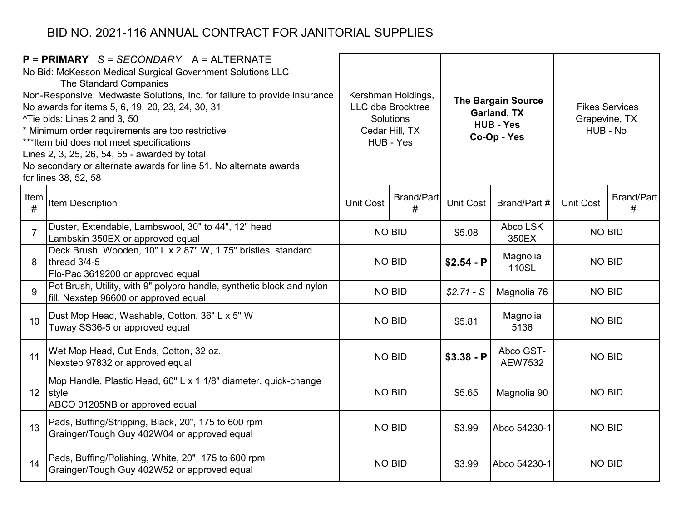|                | $P = PRIMARY$ S = SECONDARY A = ALTERNATE<br>No Bid: McKesson Medical Surgical Government Solutions LLC<br>The Standard Companies<br>Non-Responsive: Medwaste Solutions, Inc. for failure to provide insurance<br>No awards for items 5, 6, 19, 20, 23, 24, 30, 31<br>^Tie bids: Lines 2 and 3, 50<br>* Minimum order requirements are too restrictive<br>*** Item bid does not meet specifications<br>Lines 2, 3, 25, 26, 54, 55 - awarded by total<br>No secondary or alternate awards for line 51. No alternate awards<br>for lines 38, 52, 58 |                                            | Kershman Holdings,<br><b>LLC dba Brocktree</b><br>Solutions<br>Cedar Hill, TX<br>HUB - Yes |                        | <b>The Bargain Source</b><br>Garland, TX<br><b>HUB - Yes</b><br>Co-Op - Yes | <b>Fikes Services</b><br>Grapevine, TX<br>HUB - No |                        |  |
|----------------|---------------------------------------------------------------------------------------------------------------------------------------------------------------------------------------------------------------------------------------------------------------------------------------------------------------------------------------------------------------------------------------------------------------------------------------------------------------------------------------------------------------------------------------------------|--------------------------------------------|--------------------------------------------------------------------------------------------|------------------------|-----------------------------------------------------------------------------|----------------------------------------------------|------------------------|--|
| Item<br>#      | Item Description                                                                                                                                                                                                                                                                                                                                                                                                                                                                                                                                  | <b>Brand/Part</b><br><b>Unit Cost</b><br># |                                                                                            | <b>Unit Cost</b>       | Brand/Part #                                                                | <b>Unit Cost</b>                                   | <b>Brand/Part</b><br># |  |
| $\overline{7}$ | Duster, Extendable, Lambswool, 30" to 44", 12" head<br>Lambskin 350EX or approved equal                                                                                                                                                                                                                                                                                                                                                                                                                                                           | <b>NO BID</b>                              |                                                                                            | \$5.08                 | Abco LSK<br>350EX                                                           | <b>NO BID</b>                                      |                        |  |
| 8              | Deck Brush, Wooden, 10" L x 2.87" W, 1.75" bristles, standard<br>thread 3/4-5<br>Flo-Pac 3619200 or approved equal                                                                                                                                                                                                                                                                                                                                                                                                                                | <b>NO BID</b>                              |                                                                                            | $$2.54 - P$            | Magnolia<br>110SL                                                           | <b>NO BID</b>                                      |                        |  |
| 9              | Pot Brush, Utility, with 9" polypro handle, synthetic block and nylon<br>fill. Nexstep 96600 or approved equal                                                                                                                                                                                                                                                                                                                                                                                                                                    |                                            | <b>NO BID</b>                                                                              | $$2.71-S$              | Magnolia 76                                                                 | <b>NO BID</b>                                      |                        |  |
| 10             | Dust Mop Head, Washable, Cotton, 36" L x 5" W<br>Tuway SS36-5 or approved equal                                                                                                                                                                                                                                                                                                                                                                                                                                                                   |                                            | <b>NO BID</b>                                                                              | \$5.81                 | Magnolia<br>5136                                                            | <b>NO BID</b>                                      |                        |  |
| 11             | Wet Mop Head, Cut Ends, Cotton, 32 oz.<br>Nexstep 97832 or approved equal                                                                                                                                                                                                                                                                                                                                                                                                                                                                         |                                            | <b>NO BID</b>                                                                              | $$3.38 - P$            | Abco GST-<br><b>AEW7532</b>                                                 | <b>NO BID</b>                                      |                        |  |
|                | Mop Handle, Plastic Head, 60" L x 1 1/8" diameter, quick-change<br>12 style<br>ABCO 01205NB or approved equal                                                                                                                                                                                                                                                                                                                                                                                                                                     | <b>NO BID</b>                              |                                                                                            | \$5.65                 | Magnolia 90                                                                 | <b>NO BID</b>                                      |                        |  |
| 13             | Pads, Buffing/Stripping, Black, 20", 175 to 600 rpm<br>Grainger/Tough Guy 402W04 or approved equal                                                                                                                                                                                                                                                                                                                                                                                                                                                | <b>NO BID</b>                              |                                                                                            | \$3.99<br>Abco 54230-1 |                                                                             | <b>NO BID</b>                                      |                        |  |
| 14             | Pads, Buffing/Polishing, White, 20", 175 to 600 rpm<br>Grainger/Tough Guy 402W52 or approved equal                                                                                                                                                                                                                                                                                                                                                                                                                                                |                                            | <b>NO BID</b>                                                                              | \$3.99                 | Abco 54230-1                                                                | <b>NO BID</b>                                      |                        |  |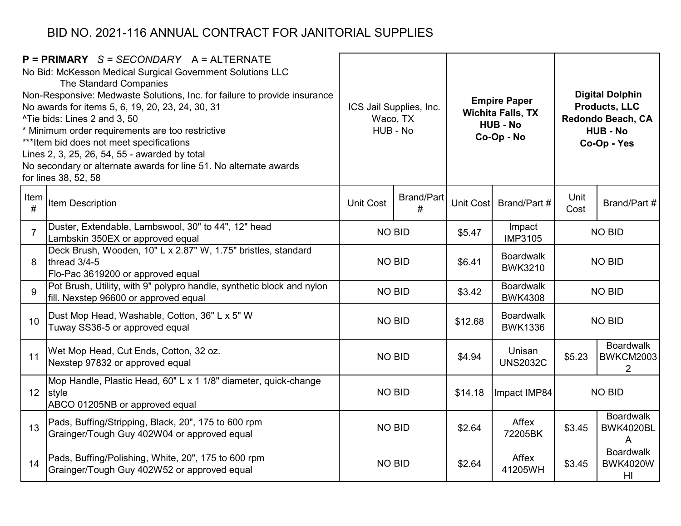|                | $P = PRIMARY$ S = SECONDARY A = ALTERNATE<br>No Bid: McKesson Medical Surgical Government Solutions LLC<br>The Standard Companies<br>Non-Responsive: Medwaste Solutions, Inc. for failure to provide insurance<br>No awards for items 5, 6, 19, 20, 23, 24, 30, 31<br>^Tie bids: Lines 2 and 3, 50<br>* Minimum order requirements are too restrictive<br>*** Item bid does not meet specifications<br>Lines 2, 3, 25, 26, 54, 55 - awarded by total<br>No secondary or alternate awards for line 51. No alternate awards<br>for lines 38, 52, 58 | ICS Jail Supplies, Inc.<br>Waco, TX<br>HUB - No |                        |           | <b>Empire Paper</b><br><b>Wichita Falls, TX</b><br><b>HUB - No</b><br>Co-Op - No | <b>Digital Dolphin</b><br><b>Products, LLC</b><br>Redondo Beach, CA<br><b>HUB - No</b><br>Co-Op - Yes |                                           |  |
|----------------|---------------------------------------------------------------------------------------------------------------------------------------------------------------------------------------------------------------------------------------------------------------------------------------------------------------------------------------------------------------------------------------------------------------------------------------------------------------------------------------------------------------------------------------------------|-------------------------------------------------|------------------------|-----------|----------------------------------------------------------------------------------|-------------------------------------------------------------------------------------------------------|-------------------------------------------|--|
| Item<br>#      | Item Description                                                                                                                                                                                                                                                                                                                                                                                                                                                                                                                                  | <b>Unit Cost</b>                                | <b>Brand/Part</b><br># | Unit Cost | Brand/Part #                                                                     | Unit<br>Cost                                                                                          | Brand/Part #                              |  |
| $\overline{7}$ | Duster, Extendable, Lambswool, 30" to 44", 12" head<br>Lambskin 350EX or approved equal                                                                                                                                                                                                                                                                                                                                                                                                                                                           |                                                 | <b>NO BID</b>          | \$5.47    | Impact<br><b>IMP3105</b>                                                         |                                                                                                       | <b>NO BID</b>                             |  |
| 8              | Deck Brush, Wooden, 10" L x 2.87" W, 1.75" bristles, standard<br>thread 3/4-5<br>Flo-Pac 3619200 or approved equal                                                                                                                                                                                                                                                                                                                                                                                                                                | <b>NO BID</b>                                   |                        | \$6.41    | <b>Boardwalk</b><br><b>BWK3210</b>                                               | <b>NO BID</b>                                                                                         |                                           |  |
| 9              | Pot Brush, Utility, with 9" polypro handle, synthetic block and nylon<br>fill. Nexstep 96600 or approved equal                                                                                                                                                                                                                                                                                                                                                                                                                                    |                                                 | <b>NO BID</b>          | \$3.42    | <b>Boardwalk</b><br><b>BWK4308</b>                                               | <b>NO BID</b>                                                                                         |                                           |  |
| 10             | Dust Mop Head, Washable, Cotton, 36" L x 5" W<br>Tuway SS36-5 or approved equal                                                                                                                                                                                                                                                                                                                                                                                                                                                                   | <b>NO BID</b>                                   |                        | \$12.68   | <b>Boardwalk</b><br><b>BWK1336</b>                                               | <b>NO BID</b>                                                                                         |                                           |  |
| 11             | Wet Mop Head, Cut Ends, Cotton, 32 oz.<br>Nexstep 97832 or approved equal                                                                                                                                                                                                                                                                                                                                                                                                                                                                         |                                                 | <b>NO BID</b>          | \$4.94    | Unisan<br><b>UNS2032C</b>                                                        | \$5.23                                                                                                | <b>Boardwalk</b><br><b>BWKCM2003</b><br>2 |  |
|                | Mop Handle, Plastic Head, 60" L x 1 1/8" diameter, quick-change<br>12 style<br>ABCO 01205NB or approved equal                                                                                                                                                                                                                                                                                                                                                                                                                                     | <b>NO BID</b>                                   |                        | \$14.18   | Impact IMP84                                                                     |                                                                                                       | <b>NO BID</b>                             |  |
| 13             | Pads, Buffing/Stripping, Black, 20", 175 to 600 rpm<br>Grainger/Tough Guy 402W04 or approved equal                                                                                                                                                                                                                                                                                                                                                                                                                                                | <b>NO BID</b>                                   |                        | \$2.64    | Affex<br>72205BK                                                                 | \$3.45                                                                                                | <b>Boardwalk</b><br><b>BWK4020BL</b><br>A |  |
| 14             | Pads, Buffing/Polishing, White, 20", 175 to 600 rpm<br>Grainger/Tough Guy 402W52 or approved equal                                                                                                                                                                                                                                                                                                                                                                                                                                                |                                                 | <b>NO BID</b>          | \$2.64    | Affex<br>41205WH                                                                 | \$3.45                                                                                                | <b>Boardwalk</b><br><b>BWK4020W</b><br>HI |  |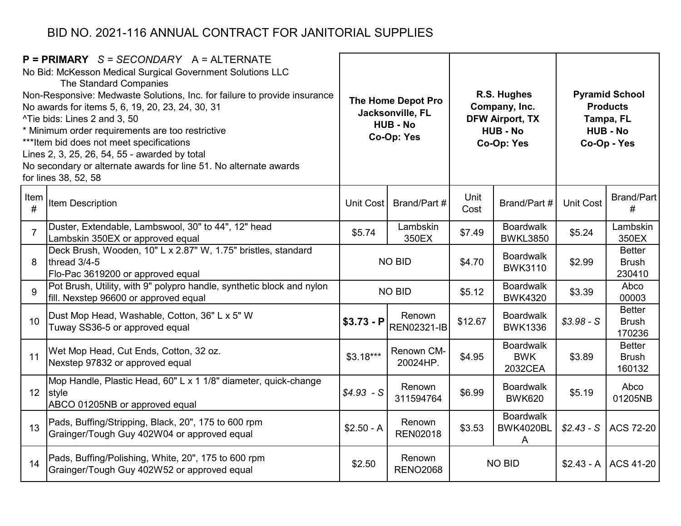| $P = PRIMARY$ S = SECONDARY A = ALTERNATE<br>No Bid: McKesson Medical Surgical Government Solutions LLC<br>The Standard Companies<br>Non-Responsive: Medwaste Solutions, Inc. for failure to provide insurance<br>No awards for items 5, 6, 19, 20, 23, 24, 30, 31<br>^Tie bids: Lines 2 and 3, 50<br>* Minimum order requirements are too restrictive<br>*** Item bid does not meet specifications<br>Lines 2, 3, 25, 26, 54, 55 - awarded by total<br>No secondary or alternate awards for line 51. No alternate awards<br>for lines 38, 52, 58 |                                                                                                                    | The Home Depot Pro<br>Jacksonville, FL<br><b>HUB - No</b><br>Co-Op: Yes |                              |              | R.S. Hughes<br>Company, Inc.<br><b>DFW Airport, TX</b><br><b>HUB - No</b><br>Co-Op: Yes | <b>Pyramid School</b><br><b>Products</b><br>Tampa, FL<br><b>HUB - No</b><br>Co-Op - Yes |                                         |
|---------------------------------------------------------------------------------------------------------------------------------------------------------------------------------------------------------------------------------------------------------------------------------------------------------------------------------------------------------------------------------------------------------------------------------------------------------------------------------------------------------------------------------------------------|--------------------------------------------------------------------------------------------------------------------|-------------------------------------------------------------------------|------------------------------|--------------|-----------------------------------------------------------------------------------------|-----------------------------------------------------------------------------------------|-----------------------------------------|
| Item<br>#                                                                                                                                                                                                                                                                                                                                                                                                                                                                                                                                         | Item Description                                                                                                   | Unit Cost                                                               | Brand/Part #                 | Unit<br>Cost | Brand/Part #                                                                            | <b>Unit Cost</b>                                                                        | <b>Brand/Part</b><br>#                  |
| $\overline{7}$                                                                                                                                                                                                                                                                                                                                                                                                                                                                                                                                    | Duster, Extendable, Lambswool, 30" to 44", 12" head<br>Lambskin 350EX or approved equal                            | \$5.74                                                                  | Lambskin<br>350EX            | \$7.49       | <b>Boardwalk</b><br><b>BWKL3850</b>                                                     | \$5.24                                                                                  | Lambskin<br>350EX                       |
| 8                                                                                                                                                                                                                                                                                                                                                                                                                                                                                                                                                 | Deck Brush, Wooden, 10" L x 2.87" W, 1.75" bristles, standard<br>thread 3/4-5<br>Flo-Pac 3619200 or approved equal | <b>NO BID</b>                                                           |                              | \$4.70       | <b>Boardwalk</b><br><b>BWK3110</b>                                                      | \$2.99                                                                                  | <b>Better</b><br><b>Brush</b><br>230410 |
| 9                                                                                                                                                                                                                                                                                                                                                                                                                                                                                                                                                 | Pot Brush, Utility, with 9" polypro handle, synthetic block and nylon<br>fill. Nexstep 96600 or approved equal     |                                                                         | <b>NO BID</b>                | \$5.12       | <b>Boardwalk</b><br><b>BWK4320</b>                                                      | \$3.39                                                                                  | Abco<br>00003                           |
| 10                                                                                                                                                                                                                                                                                                                                                                                                                                                                                                                                                | Dust Mop Head, Washable, Cotton, 36" L x 5" W<br>Tuway SS36-5 or approved equal                                    | $$3.73 - P$                                                             | Renown<br><b>REN02321-IB</b> | \$12.67      | <b>Boardwalk</b><br><b>BWK1336</b>                                                      | $$3.98-S$                                                                               | <b>Better</b><br><b>Brush</b><br>170236 |
| 11                                                                                                                                                                                                                                                                                                                                                                                                                                                                                                                                                | Wet Mop Head, Cut Ends, Cotton, 32 oz.<br>Nexstep 97832 or approved equal                                          | $$3.18***$                                                              | Renown CM-<br>20024HP.       | \$4.95       | <b>Boardwalk</b><br><b>BWK</b><br>2032CEA                                               | \$3.89                                                                                  | <b>Better</b><br><b>Brush</b><br>160132 |
| 12 <sup>°</sup>                                                                                                                                                                                                                                                                                                                                                                                                                                                                                                                                   | Mop Handle, Plastic Head, 60" L x 1 1/8" diameter, quick-change<br>style<br>ABCO 01205NB or approved equal         | $$4.93-S$                                                               | Renown<br>311594764          | \$6.99       | <b>Boardwalk</b><br><b>BWK620</b>                                                       | \$5.19                                                                                  | Abco<br>01205NB                         |
| 13                                                                                                                                                                                                                                                                                                                                                                                                                                                                                                                                                | Pads, Buffing/Stripping, Black, 20", 175 to 600 rpm<br>Grainger/Tough Guy 402W04 or approved equal                 | $$2.50 - A$                                                             | Renown<br><b>REN02018</b>    | \$3.53       | <b>Boardwalk</b><br><b>BWK4020BL</b><br>A                                               | $$2.43-S$                                                                               | <b>ACS 72-20</b>                        |
| 14                                                                                                                                                                                                                                                                                                                                                                                                                                                                                                                                                | Pads, Buffing/Polishing, White, 20", 175 to 600 rpm<br>Grainger/Tough Guy 402W52 or approved equal                 | \$2.50                                                                  | Renown<br><b>RENO2068</b>    |              | <b>NO BID</b>                                                                           |                                                                                         | $$2.43 - A$ ACS 41-20                   |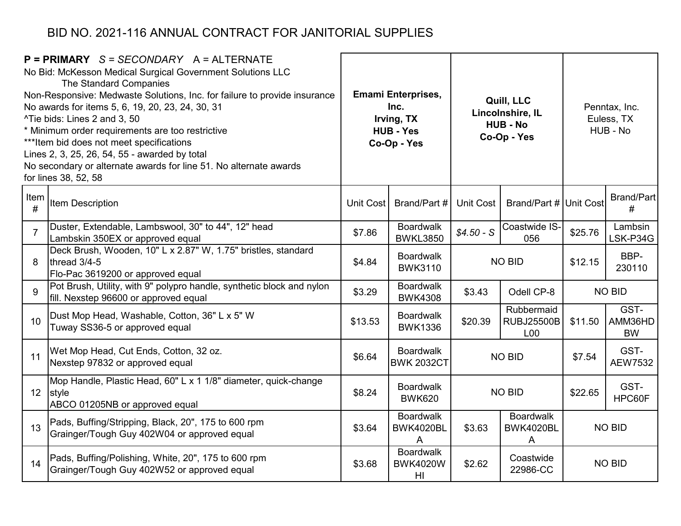| $P = PRIMARY$ S = SECONDARY A = ALTERNATE<br>No Bid: McKesson Medical Surgical Government Solutions LLC<br>The Standard Companies<br>Non-Responsive: Medwaste Solutions, Inc. for failure to provide insurance<br>No awards for items 5, 6, 19, 20, 23, 24, 30, 31<br>^Tie bids: Lines 2 and 3, 50<br>* Minimum order requirements are too restrictive<br>*** Item bid does not meet specifications<br>Lines 2, 3, 25, 26, 54, 55 - awarded by total<br>No secondary or alternate awards for line 51. No alternate awards<br>for lines 38, 52, 58 |                                                                                                                    | <b>Emami Enterprises,</b><br>Inc.<br>Irving, TX<br><b>HUB - Yes</b><br>Co-Op - Yes |                                           |                                                     | Quill, LLC<br>Lincolnshire, IL<br><b>HUB - No</b><br>Co-Op - Yes | Penntax, Inc.<br>Euless, TX<br>HUB - No |                              |  |               |
|---------------------------------------------------------------------------------------------------------------------------------------------------------------------------------------------------------------------------------------------------------------------------------------------------------------------------------------------------------------------------------------------------------------------------------------------------------------------------------------------------------------------------------------------------|--------------------------------------------------------------------------------------------------------------------|------------------------------------------------------------------------------------|-------------------------------------------|-----------------------------------------------------|------------------------------------------------------------------|-----------------------------------------|------------------------------|--|---------------|
| Item<br>#                                                                                                                                                                                                                                                                                                                                                                                                                                                                                                                                         | Item Description                                                                                                   | Unit Cost                                                                          | Brand/Part #                              | <b>Unit Cost</b>                                    | Brand/Part # Unit Cost                                           |                                         | Brand/Part<br>#              |  |               |
| $\overline{7}$                                                                                                                                                                                                                                                                                                                                                                                                                                                                                                                                    | Duster, Extendable, Lambswool, 30" to 44", 12" head<br>Lambskin 350EX or approved equal                            | \$7.86                                                                             | <b>Boardwalk</b><br><b>BWKL3850</b>       | $$4.50 - S$                                         | Coastwide IS-<br>056                                             | \$25.76                                 | Lambsin<br>LSK-P34G          |  |               |
| 8                                                                                                                                                                                                                                                                                                                                                                                                                                                                                                                                                 | Deck Brush, Wooden, 10" L x 2.87" W, 1.75" bristles, standard<br>thread 3/4-5<br>Flo-Pac 3619200 or approved equal | \$4.84                                                                             | <b>Boardwalk</b><br><b>BWK3110</b>        | <b>NO BID</b>                                       |                                                                  | \$12.15                                 | BBP-<br>230110               |  |               |
| $\mathbf{Q}$                                                                                                                                                                                                                                                                                                                                                                                                                                                                                                                                      | Pot Brush, Utility, with 9" polypro handle, synthetic block and nylon<br>fill. Nexstep 96600 or approved equal     | \$3.29                                                                             | <b>Boardwalk</b><br><b>BWK4308</b>        | \$3.43<br>Odell CP-8                                |                                                                  |                                         |                              |  | <b>NO BID</b> |
| 10                                                                                                                                                                                                                                                                                                                                                                                                                                                                                                                                                | Dust Mop Head, Washable, Cotton, 36" L x 5" W<br>Tuway SS36-5 or approved equal                                    | \$13.53                                                                            | <b>Boardwalk</b><br><b>BWK1336</b>        | \$20.39                                             | Rubbermaid<br><b>RUBJ25500B</b><br>L <sub>00</sub>               | \$11.50                                 | GST-<br>AMM36HD<br><b>BW</b> |  |               |
| 11                                                                                                                                                                                                                                                                                                                                                                                                                                                                                                                                                | Wet Mop Head, Cut Ends, Cotton, 32 oz.<br>Nexstep 97832 or approved equal                                          | \$6.64                                                                             | <b>Boardwalk</b><br><b>BWK 2032CT</b>     |                                                     | <b>NO BID</b>                                                    | \$7.54                                  | GST-<br>AEW7532              |  |               |
|                                                                                                                                                                                                                                                                                                                                                                                                                                                                                                                                                   | Mop Handle, Plastic Head, 60" L x 1 1/8" diameter, quick-change<br>12 style<br>ABCO 01205NB or approved equal      | \$8.24                                                                             | <b>Boardwalk</b><br><b>BWK620</b>         |                                                     | <b>NO BID</b>                                                    | \$22.65                                 | GST-<br>HPC60F               |  |               |
| 13                                                                                                                                                                                                                                                                                                                                                                                                                                                                                                                                                | Pads, Buffing/Stripping, Black, 20", 175 to 600 rpm<br>Grainger/Tough Guy 402W04 or approved equal                 | \$3.64                                                                             | <b>Boardwalk</b><br>BWK4020BL<br>A        | <b>Boardwalk</b><br>\$3.63<br><b>BWK4020BL</b><br>A |                                                                  | <b>NO BID</b>                           |                              |  |               |
| 14                                                                                                                                                                                                                                                                                                                                                                                                                                                                                                                                                | Pads, Buffing/Polishing, White, 20", 175 to 600 rpm<br>Grainger/Tough Guy 402W52 or approved equal                 | \$3.68                                                                             | <b>Boardwalk</b><br><b>BWK4020W</b><br>HI | \$2.62                                              | Coastwide<br>22986-CC                                            |                                         | <b>NO BID</b>                |  |               |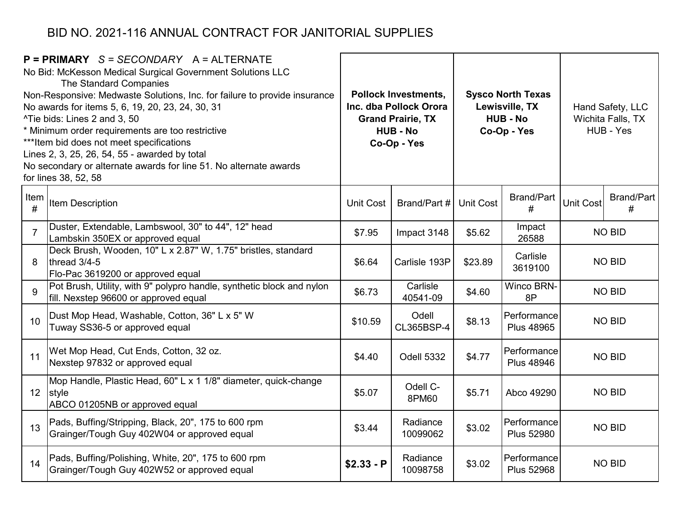| $P = PRIMARY$ S = SECONDARY A = ALTERNATE<br>No Bid: McKesson Medical Surgical Government Solutions LLC<br>The Standard Companies<br>Non-Responsive: Medwaste Solutions, Inc. for failure to provide insurance<br>No awards for items 5, 6, 19, 20, 23, 24, 30, 31<br>^Tie bids: Lines 2 and 3, 50<br>* Minimum order requirements are too restrictive<br>*** Item bid does not meet specifications<br>Lines 2, 3, 25, 26, 54, 55 - awarded by total<br>No secondary or alternate awards for line 51. No alternate awards<br>for lines 38, 52, 58 |                                                                                                                    | <b>Pollock Investments,</b><br>Inc. dba Pollock Orora<br><b>Grand Prairie, TX</b><br><b>HUB - No</b><br>Co-Op - Yes |                      |                  | <b>Sysco North Texas</b><br>Lewisville, TX<br><b>HUB - No</b><br>Co-Op - Yes | Hand Safety, LLC<br>Wichita Falls, TX<br>HUB - Yes |                        |
|---------------------------------------------------------------------------------------------------------------------------------------------------------------------------------------------------------------------------------------------------------------------------------------------------------------------------------------------------------------------------------------------------------------------------------------------------------------------------------------------------------------------------------------------------|--------------------------------------------------------------------------------------------------------------------|---------------------------------------------------------------------------------------------------------------------|----------------------|------------------|------------------------------------------------------------------------------|----------------------------------------------------|------------------------|
| Item<br>#                                                                                                                                                                                                                                                                                                                                                                                                                                                                                                                                         | Item Description                                                                                                   | Unit Cost                                                                                                           | Brand/Part #         | <b>Unit Cost</b> | <b>Brand/Part</b><br>#                                                       | <b>Unit Cost</b>                                   | <b>Brand/Part</b><br># |
| $\overline{7}$                                                                                                                                                                                                                                                                                                                                                                                                                                                                                                                                    | Duster, Extendable, Lambswool, 30" to 44", 12" head<br>Lambskin 350EX or approved equal                            | \$7.95                                                                                                              | Impact 3148          | \$5.62           | Impact<br>26588                                                              |                                                    | <b>NO BID</b>          |
| 8                                                                                                                                                                                                                                                                                                                                                                                                                                                                                                                                                 | Deck Brush, Wooden, 10" L x 2.87" W, 1.75" bristles, standard<br>thread 3/4-5<br>Flo-Pac 3619200 or approved equal | \$6.64                                                                                                              | Carlisle 193P        | \$23.89          | Carlisle<br>3619100                                                          |                                                    | <b>NO BID</b>          |
| $\mathbf{Q}$                                                                                                                                                                                                                                                                                                                                                                                                                                                                                                                                      | Pot Brush, Utility, with 9" polypro handle, synthetic block and nylon<br>fill. Nexstep 96600 or approved equal     | \$6.73                                                                                                              | Carlisle<br>40541-09 | \$4.60           | <b>Winco BRN-</b><br>8P                                                      |                                                    | <b>NO BID</b>          |
| 10                                                                                                                                                                                                                                                                                                                                                                                                                                                                                                                                                | Dust Mop Head, Washable, Cotton, 36" L x 5" W<br>Tuway SS36-5 or approved equal                                    | \$10.59                                                                                                             | Odell<br>CL365BSP-4  | \$8.13           | Performance<br><b>Plus 48965</b>                                             |                                                    | <b>NO BID</b>          |
| 11                                                                                                                                                                                                                                                                                                                                                                                                                                                                                                                                                | Wet Mop Head, Cut Ends, Cotton, 32 oz.<br>Nexstep 97832 or approved equal                                          | \$4.40                                                                                                              | Odell 5332           | \$4.77           | Performance<br><b>Plus 48946</b>                                             |                                                    | <b>NO BID</b>          |
|                                                                                                                                                                                                                                                                                                                                                                                                                                                                                                                                                   | Mop Handle, Plastic Head, 60" L x 1 1/8" diameter, quick-change<br>12 style<br>ABCO 01205NB or approved equal      | \$5.07                                                                                                              | Odell C-<br>8PM60    | \$5.71           | Abco 49290                                                                   |                                                    | <b>NO BID</b>          |
| 13                                                                                                                                                                                                                                                                                                                                                                                                                                                                                                                                                | Pads, Buffing/Stripping, Black, 20", 175 to 600 rpm<br>Grainger/Tough Guy 402W04 or approved equal                 | \$3.44                                                                                                              | Radiance<br>10099062 | \$3.02           | Performance<br><b>Plus 52980</b>                                             |                                                    | <b>NO BID</b>          |
| 14                                                                                                                                                                                                                                                                                                                                                                                                                                                                                                                                                | Pads, Buffing/Polishing, White, 20", 175 to 600 rpm<br>Grainger/Tough Guy 402W52 or approved equal                 | $$2.33 - P$                                                                                                         | Radiance<br>10098758 | \$3.02           | Performance<br><b>Plus 52968</b>                                             |                                                    | <b>NO BID</b>          |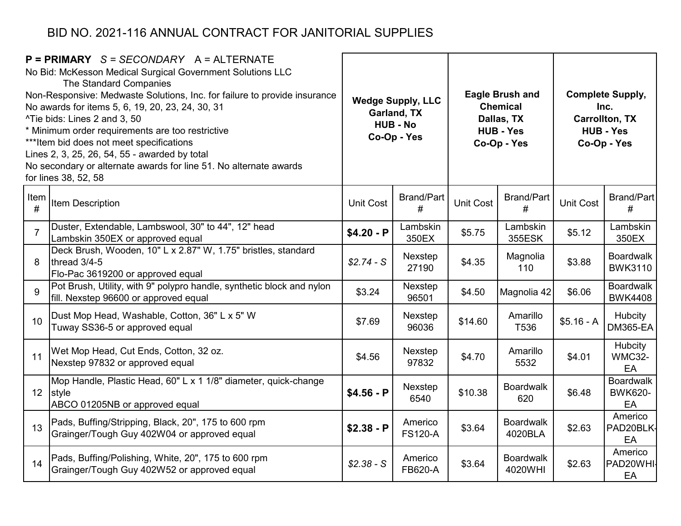| $P = PRIMARY$ S = SECONDARY A = ALTERNATE<br>No Bid: McKesson Medical Surgical Government Solutions LLC<br>The Standard Companies<br>Non-Responsive: Medwaste Solutions, Inc. for failure to provide insurance<br>No awards for items 5, 6, 19, 20, 23, 24, 30, 31<br>^Tie bids: Lines 2 and 3, 50<br>* Minimum order requirements are too restrictive<br>*** Item bid does not meet specifications<br>Lines 2, 3, 25, 26, 54, 55 - awarded by total<br>No secondary or alternate awards for line 51. No alternate awards<br>for lines 38, 52, 58 |                                                                                                                    | <b>Wedge Supply, LLC</b><br>Garland, TX<br><b>HUB - No</b><br>Co-Op - Yes |                           | <b>Eagle Brush and</b><br><b>Chemical</b><br>Dallas, TX<br><b>HUB - Yes</b><br>Co-Op - Yes |                             | <b>Complete Supply,</b><br>Inc.<br><b>Carrollton, TX</b><br><b>HUB - Yes</b><br>Co-Op - Yes |                                          |
|---------------------------------------------------------------------------------------------------------------------------------------------------------------------------------------------------------------------------------------------------------------------------------------------------------------------------------------------------------------------------------------------------------------------------------------------------------------------------------------------------------------------------------------------------|--------------------------------------------------------------------------------------------------------------------|---------------------------------------------------------------------------|---------------------------|--------------------------------------------------------------------------------------------|-----------------------------|---------------------------------------------------------------------------------------------|------------------------------------------|
| Item<br>#                                                                                                                                                                                                                                                                                                                                                                                                                                                                                                                                         | Item Description                                                                                                   | <b>Unit Cost</b>                                                          | <b>Brand/Part</b><br>#    | <b>Unit Cost</b>                                                                           | <b>Brand/Part</b><br>#      | <b>Unit Cost</b>                                                                            | Brand/Part<br>#                          |
| $\overline{7}$                                                                                                                                                                                                                                                                                                                                                                                                                                                                                                                                    | Duster, Extendable, Lambswool, 30" to 44", 12" head<br>Lambskin 350EX or approved equal                            | $$4.20 - P$                                                               | Lambskin<br>350EX         | \$5.75                                                                                     | Lambskin<br>355ESK          | \$5.12                                                                                      | Lambskin<br>350EX                        |
| 8                                                                                                                                                                                                                                                                                                                                                                                                                                                                                                                                                 | Deck Brush, Wooden, 10" L x 2.87" W, 1.75" bristles, standard<br>thread 3/4-5<br>Flo-Pac 3619200 or approved equal | $$2.74-S$                                                                 | Nexstep<br>27190          | \$4.35                                                                                     | Magnolia<br>110             | \$3.88                                                                                      | <b>Boardwalk</b><br><b>BWK3110</b>       |
| 9                                                                                                                                                                                                                                                                                                                                                                                                                                                                                                                                                 | Pot Brush, Utility, with 9" polypro handle, synthetic block and nylon<br>fill. Nexstep 96600 or approved equal     | \$3.24                                                                    | Nexstep<br>96501          | \$4.50                                                                                     | Magnolia 42                 | \$6.06                                                                                      | <b>Boardwalk</b><br><b>BWK4408</b>       |
| 10                                                                                                                                                                                                                                                                                                                                                                                                                                                                                                                                                | Dust Mop Head, Washable, Cotton, 36" L x 5" W<br>Tuway SS36-5 or approved equal                                    | \$7.69                                                                    | Nexstep<br>96036          | \$14.60                                                                                    | Amarillo<br>T536            | $$5.16 - A$                                                                                 | Hubcity<br><b>DM365-EA</b>               |
| 11                                                                                                                                                                                                                                                                                                                                                                                                                                                                                                                                                | Wet Mop Head, Cut Ends, Cotton, 32 oz.<br>Nexstep 97832 or approved equal                                          | \$4.56                                                                    | Nexstep<br>97832          | \$4.70                                                                                     | Amarillo<br>5532            | \$4.01                                                                                      | Hubcity<br><b>WMC32-</b><br>EA           |
|                                                                                                                                                                                                                                                                                                                                                                                                                                                                                                                                                   | Mop Handle, Plastic Head, 60" L x 1 1/8" diameter, quick-change<br>12 style<br>ABCO 01205NB or approved equal      | $$4.56 - P$                                                               | Nexstep<br>6540           | \$10.38                                                                                    | <b>Boardwalk</b><br>620     | \$6.48                                                                                      | <b>Boardwalk</b><br><b>BWK620-</b><br>EA |
| 13                                                                                                                                                                                                                                                                                                                                                                                                                                                                                                                                                | Pads, Buffing/Stripping, Black, 20", 175 to 600 rpm<br>Grainger/Tough Guy 402W04 or approved equal                 | $$2.38 - P$                                                               | Americo<br><b>FS120-A</b> | \$3.64                                                                                     | <b>Boardwalk</b><br>4020BLA | \$2.63                                                                                      | Americo<br>PAD20BLK-<br>EA               |
| 14                                                                                                                                                                                                                                                                                                                                                                                                                                                                                                                                                | Pads, Buffing/Polishing, White, 20", 175 to 600 rpm<br>Grainger/Tough Guy 402W52 or approved equal                 | $$2.38 - S$                                                               | Americo<br><b>FB620-A</b> | \$3.64                                                                                     | <b>Boardwalk</b><br>4020WHI | \$2.63                                                                                      | Americo<br>PAD20WHI-<br>EA               |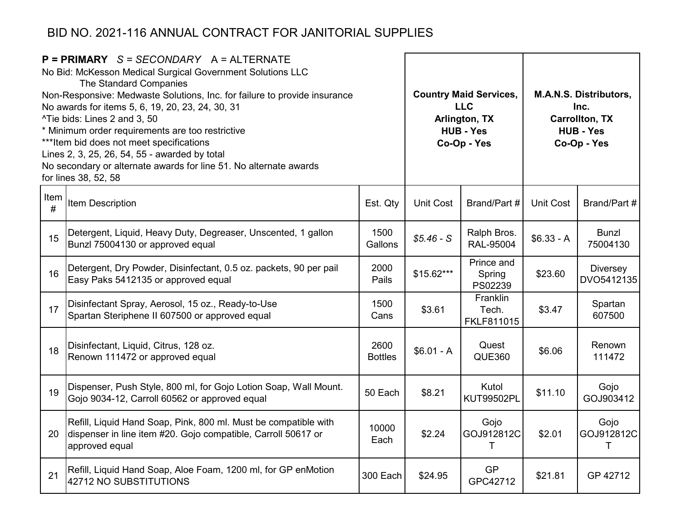|           | $P = PRIMARY$ S = SECONDARY A = ALTERNATE<br>No Bid: McKesson Medical Surgical Government Solutions LLC<br>The Standard Companies<br>Non-Responsive: Medwaste Solutions, Inc. for failure to provide insurance<br>No awards for items 5, 6, 19, 20, 23, 24, 30, 31<br>^Tie bids: Lines 2 and 3, 50<br>* Minimum order requirements are too restrictive<br>*** Item bid does not meet specifications<br>Lines 2, 3, 25, 26, 54, 55 - awarded by total<br>No secondary or alternate awards for line 51. No alternate awards<br>for lines 38, 52, 58 |                        |                  | <b>Country Maid Services,</b><br><b>LLC</b><br>Arlington, TX<br><b>HUB - Yes</b><br>Co-Op - Yes | M.A.N.S. Distributors,<br>Inc.<br><b>Carrollton, TX</b><br><b>HUB - Yes</b><br>Co-Op - Yes |                          |  |
|-----------|---------------------------------------------------------------------------------------------------------------------------------------------------------------------------------------------------------------------------------------------------------------------------------------------------------------------------------------------------------------------------------------------------------------------------------------------------------------------------------------------------------------------------------------------------|------------------------|------------------|-------------------------------------------------------------------------------------------------|--------------------------------------------------------------------------------------------|--------------------------|--|
| Item<br># | Item Description                                                                                                                                                                                                                                                                                                                                                                                                                                                                                                                                  | Est. Qty               | <b>Unit Cost</b> | Brand/Part #                                                                                    | <b>Unit Cost</b>                                                                           | Brand/Part #             |  |
| 15        | Detergent, Liquid, Heavy Duty, Degreaser, Unscented, 1 gallon<br>Bunzl 75004130 or approved equal                                                                                                                                                                                                                                                                                                                                                                                                                                                 | 1500<br>Gallons        | $$5.46-S$        | Ralph Bros.<br>RAL-95004                                                                        | $$6.33 - A$                                                                                | <b>Bunzl</b><br>75004130 |  |
| 16        | Detergent, Dry Powder, Disinfectant, 0.5 oz. packets, 90 per pail<br>Easy Paks 5412135 or approved equal                                                                                                                                                                                                                                                                                                                                                                                                                                          | 2000<br>Pails          | $$15.62***$      | Prince and<br>Spring<br>PS02239                                                                 | \$23.60                                                                                    | Diversey<br>DVO5412135   |  |
| 17        | Disinfectant Spray, Aerosol, 15 oz., Ready-to-Use<br>Spartan Steriphene II 607500 or approved equal                                                                                                                                                                                                                                                                                                                                                                                                                                               | 1500<br>Cans           | \$3.61           | Franklin<br>Tech.<br>FKLF811015                                                                 | \$3.47                                                                                     | Spartan<br>607500        |  |
| 18        | Disinfectant, Liquid, Citrus, 128 oz.<br>Renown 111472 or approved equal                                                                                                                                                                                                                                                                                                                                                                                                                                                                          | 2600<br><b>Bottles</b> | $$6.01 - A$      | Quest<br><b>QUE360</b>                                                                          | \$6.06                                                                                     | Renown<br>111472         |  |
| 19        | Dispenser, Push Style, 800 ml, for Gojo Lotion Soap, Wall Mount.<br>Gojo 9034-12, Carroll 60562 or approved equal                                                                                                                                                                                                                                                                                                                                                                                                                                 | 50 Each                | \$8.21           | Kutol<br><b>KUT99502PL</b>                                                                      | \$11.10                                                                                    | Gojo<br>GOJ903412        |  |
| 20        | Refill, Liquid Hand Soap, Pink, 800 ml. Must be compatible with<br>dispenser in line item #20. Gojo compatible, Carroll 50617 or<br>approved equal                                                                                                                                                                                                                                                                                                                                                                                                | 10000<br>Each          | \$2.24           | Gojo<br>GOJ912812C<br>Τ                                                                         | \$2.01                                                                                     | Gojo<br>GOJ912812C<br>Τ  |  |
| 21        | Refill, Liquid Hand Soap, Aloe Foam, 1200 ml, for GP enMotion<br>42712 NO SUBSTITUTIONS                                                                                                                                                                                                                                                                                                                                                                                                                                                           | 300 Each               | \$24.95          | <b>GP</b><br>GPC42712                                                                           | \$21.81                                                                                    | GP 42712                 |  |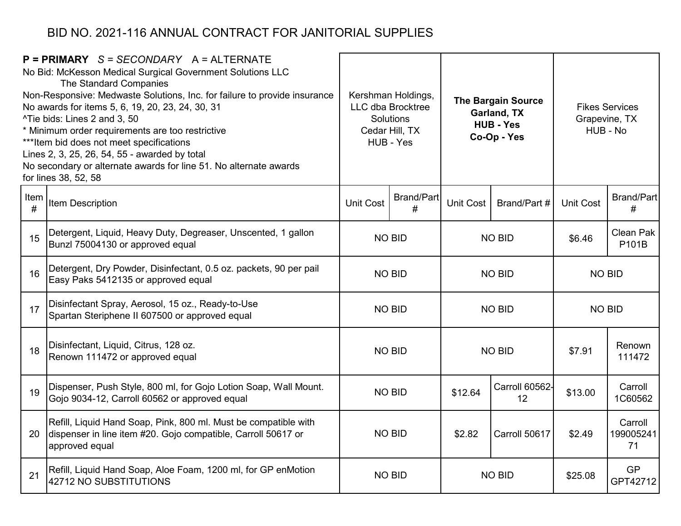|           | $P = PRIMARY$ S = SECONDARY A = ALTERNATE<br>No Bid: McKesson Medical Surgical Government Solutions LLC<br>The Standard Companies<br>Non-Responsive: Medwaste Solutions, Inc. for failure to provide insurance<br>No awards for items 5, 6, 19, 20, 23, 24, 30, 31<br>^Tie bids: Lines 2 and 3, 50<br>* Minimum order requirements are too restrictive<br>*** Item bid does not meet specifications<br>Lines 2, 3, 25, 26, 54, 55 - awarded by total<br>No secondary or alternate awards for line 51. No alternate awards<br>for lines 38, 52, 58 |                  | Kershman Holdings,<br><b>LLC dba Brocktree</b><br>Solutions<br>Cedar Hill, TX<br>HUB - Yes | <b>The Bargain Source</b><br>Garland, TX<br><b>HUB - Yes</b><br>Co-Op - Yes |                      | Grapevine, TX<br>HUB - No | <b>Fikes Services</b>      |
|-----------|---------------------------------------------------------------------------------------------------------------------------------------------------------------------------------------------------------------------------------------------------------------------------------------------------------------------------------------------------------------------------------------------------------------------------------------------------------------------------------------------------------------------------------------------------|------------------|--------------------------------------------------------------------------------------------|-----------------------------------------------------------------------------|----------------------|---------------------------|----------------------------|
| Item<br># | Item Description                                                                                                                                                                                                                                                                                                                                                                                                                                                                                                                                  | <b>Unit Cost</b> | <b>Brand/Part</b><br>#                                                                     | Unit Cost                                                                   | Brand/Part #         | <b>Unit Cost</b>          | Brand/Part<br>#            |
| 15        | Detergent, Liquid, Heavy Duty, Degreaser, Unscented, 1 gallon<br>Bunzl 75004130 or approved equal                                                                                                                                                                                                                                                                                                                                                                                                                                                 |                  | <b>NO BID</b>                                                                              |                                                                             | <b>NO BID</b>        |                           | Clean Pak<br>P101B         |
| 16        | Detergent, Dry Powder, Disinfectant, 0.5 oz. packets, 90 per pail<br>Easy Paks 5412135 or approved equal                                                                                                                                                                                                                                                                                                                                                                                                                                          |                  | <b>NO BID</b>                                                                              | <b>NO BID</b>                                                               |                      | <b>NO BID</b>             |                            |
| 17        | Disinfectant Spray, Aerosol, 15 oz., Ready-to-Use<br>Spartan Steriphene II 607500 or approved equal                                                                                                                                                                                                                                                                                                                                                                                                                                               |                  | <b>NO BID</b>                                                                              |                                                                             | <b>NO BID</b>        | <b>NO BID</b>             |                            |
| 18        | Disinfectant, Liquid, Citrus, 128 oz.<br>Renown 111472 or approved equal                                                                                                                                                                                                                                                                                                                                                                                                                                                                          |                  | <b>NO BID</b>                                                                              |                                                                             | <b>NO BID</b>        | \$7.91                    | Renown<br>111472           |
| 19        | Dispenser, Push Style, 800 ml, for Gojo Lotion Soap, Wall Mount.<br>Gojo 9034-12, Carroll 60562 or approved equal                                                                                                                                                                                                                                                                                                                                                                                                                                 |                  | <b>NO BID</b>                                                                              | \$12.64                                                                     | Carroll 60562-<br>12 | \$13.00                   | Carroll<br>1C60562         |
| 20        | Refill, Liquid Hand Soap, Pink, 800 ml. Must be compatible with<br>dispenser in line item #20. Gojo compatible, Carroll 50617 or<br>approved equal                                                                                                                                                                                                                                                                                                                                                                                                | <b>NO BID</b>    |                                                                                            | \$2.82                                                                      | Carroll 50617        | \$2.49                    | Carroll<br>199005241<br>71 |
| 21        | Refill, Liquid Hand Soap, Aloe Foam, 1200 ml, for GP enMotion<br>42712 NO SUBSTITUTIONS                                                                                                                                                                                                                                                                                                                                                                                                                                                           |                  |                                                                                            | <b>NO BID</b><br><b>NO BID</b>                                              |                      | \$25.08                   | <b>GP</b><br>GPT42712      |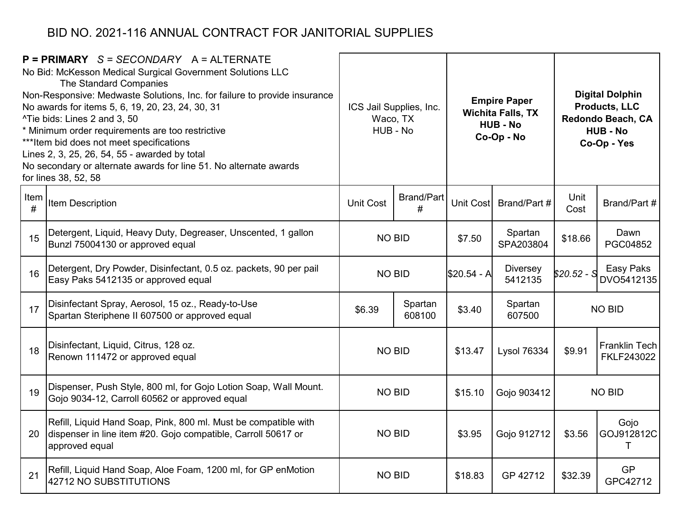|           | $P = PRIMARY$ S = SECONDARY A = ALTERNATE<br>No Bid: McKesson Medical Surgical Government Solutions LLC<br>The Standard Companies<br>Non-Responsive: Medwaste Solutions, Inc. for failure to provide insurance<br>No awards for items 5, 6, 19, 20, 23, 24, 30, 31<br>^Tie bids: Lines 2 and 3, 50<br>* Minimum order requirements are too restrictive<br>*** Item bid does not meet specifications<br>Lines 2, 3, 25, 26, 54, 55 - awarded by total<br>No secondary or alternate awards for line 51. No alternate awards<br>for lines 38, 52, 58 |                  | ICS Jail Supplies, Inc.<br>Waco, TX<br>HUB - No |              | <b>Empire Paper</b><br><b>Wichita Falls, TX</b><br><b>HUB - No</b><br>Co-Op - No |              | <b>Digital Dolphin</b><br><b>Products, LLC</b><br>Redondo Beach, CA<br><b>HUB - No</b><br>Co-Op - Yes |
|-----------|---------------------------------------------------------------------------------------------------------------------------------------------------------------------------------------------------------------------------------------------------------------------------------------------------------------------------------------------------------------------------------------------------------------------------------------------------------------------------------------------------------------------------------------------------|------------------|-------------------------------------------------|--------------|----------------------------------------------------------------------------------|--------------|-------------------------------------------------------------------------------------------------------|
| Item<br># | <b>Item Description</b>                                                                                                                                                                                                                                                                                                                                                                                                                                                                                                                           | <b>Unit Cost</b> | <b>Brand/Part</b><br>#                          | Unit Cost    | Brand/Part #                                                                     | Unit<br>Cost | Brand/Part #                                                                                          |
| 15        | Detergent, Liquid, Heavy Duty, Degreaser, Unscented, 1 gallon<br>Bunzl 75004130 or approved equal                                                                                                                                                                                                                                                                                                                                                                                                                                                 | <b>NO BID</b>    |                                                 | \$7.50       | Spartan<br>SPA203804                                                             | \$18.66      | Dawn<br>PGC04852                                                                                      |
| 16        | Detergent, Dry Powder, Disinfectant, 0.5 oz. packets, 90 per pail<br>Easy Paks 5412135 or approved equal                                                                                                                                                                                                                                                                                                                                                                                                                                          | <b>NO BID</b>    |                                                 | $$20.54 - A$ | <b>Diversey</b><br>5412135                                                       | \$20.52 - S  | Easy Paks<br>DVO5412135                                                                               |
| 17        | Disinfectant Spray, Aerosol, 15 oz., Ready-to-Use<br>Spartan Steriphene II 607500 or approved equal                                                                                                                                                                                                                                                                                                                                                                                                                                               | \$6.39           | Spartan<br>608100                               | \$3.40       | Spartan<br>607500                                                                |              | <b>NO BID</b>                                                                                         |
| 18        | Disinfectant, Liquid, Citrus, 128 oz.<br>Renown 111472 or approved equal                                                                                                                                                                                                                                                                                                                                                                                                                                                                          | <b>NO BID</b>    |                                                 | \$13.47      | <b>Lysol 76334</b>                                                               | \$9.91       | Franklin Tech<br>FKLF243022                                                                           |
| 19        | Dispenser, Push Style, 800 ml, for Gojo Lotion Soap, Wall Mount.<br>Gojo 9034-12, Carroll 60562 or approved equal                                                                                                                                                                                                                                                                                                                                                                                                                                 | <b>NO BID</b>    |                                                 | \$15.10      | Gojo 903412                                                                      |              | <b>NO BID</b>                                                                                         |
| 20        | Refill, Liquid Hand Soap, Pink, 800 ml. Must be compatible with<br>dispenser in line item #20. Gojo compatible, Carroll 50617 or<br>approved equal                                                                                                                                                                                                                                                                                                                                                                                                | <b>NO BID</b>    |                                                 | \$3.95       | Gojo 912712                                                                      | \$3.56       | Gojo<br>GOJ912812C<br>Т                                                                               |
| 21        | Refill, Liquid Hand Soap, Aloe Foam, 1200 ml, for GP enMotion<br>42712 NO SUBSTITUTIONS                                                                                                                                                                                                                                                                                                                                                                                                                                                           | <b>NO BID</b>    |                                                 | \$18.83      | GP 42712                                                                         | \$32.39      | <b>GP</b><br>GPC42712                                                                                 |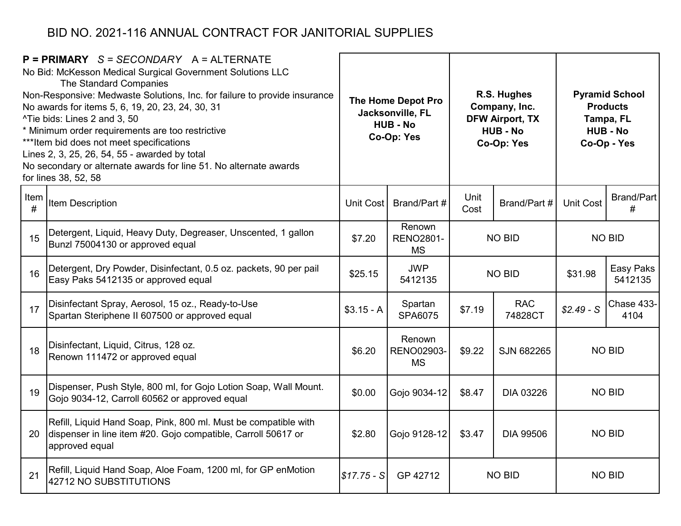|           | $P = PRIMARY$ S = SECONDARY A = ALTERNATE<br>No Bid: McKesson Medical Surgical Government Solutions LLC<br>The Standard Companies<br>Non-Responsive: Medwaste Solutions, Inc. for failure to provide insurance<br>No awards for items 5, 6, 19, 20, 23, 24, 30, 31<br>^Tie bids: Lines 2 and 3, 50<br>* Minimum order requirements are too restrictive<br>*** Item bid does not meet specifications<br>Lines 2, 3, 25, 26, 54, 55 - awarded by total<br>No secondary or alternate awards for line 51. No alternate awards<br>for lines 38, 52, 58 |              | The Home Depot Pro<br>Jacksonville, FL<br><b>HUB - No</b><br>Co-Op: Yes |                            | R.S. Hughes<br>Company, Inc.<br><b>DFW Airport, TX</b><br><b>HUB - No</b><br>Co-Op: Yes | <b>Pyramid School</b><br><b>Products</b><br>Tampa, FL<br><b>HUB - No</b><br>Co-Op - Yes |                      |  |               |
|-----------|---------------------------------------------------------------------------------------------------------------------------------------------------------------------------------------------------------------------------------------------------------------------------------------------------------------------------------------------------------------------------------------------------------------------------------------------------------------------------------------------------------------------------------------------------|--------------|-------------------------------------------------------------------------|----------------------------|-----------------------------------------------------------------------------------------|-----------------------------------------------------------------------------------------|----------------------|--|---------------|
| Item<br># | Item Description                                                                                                                                                                                                                                                                                                                                                                                                                                                                                                                                  | Unit Cost    | Brand/Part #                                                            | Unit<br>Cost               | Brand/Part #                                                                            | <b>Unit Cost</b>                                                                        | Brand/Part<br>#      |  |               |
| 15        | Detergent, Liquid, Heavy Duty, Degreaser, Unscented, 1 gallon<br>Bunzl 75004130 or approved equal                                                                                                                                                                                                                                                                                                                                                                                                                                                 | \$7.20       | Renown<br><b>RENO2801-</b><br><b>MS</b>                                 | <b>NO BID</b>              |                                                                                         |                                                                                         |                      |  | <b>NO BID</b> |
| 16        | Detergent, Dry Powder, Disinfectant, 0.5 oz. packets, 90 per pail<br>Easy Paks 5412135 or approved equal                                                                                                                                                                                                                                                                                                                                                                                                                                          | \$25.15      | <b>JWP</b><br>5412135                                                   | <b>NO BID</b>              |                                                                                         | \$31.98                                                                                 | Easy Paks<br>5412135 |  |               |
| 17        | Disinfectant Spray, Aerosol, 15 oz., Ready-to-Use<br>Spartan Steriphene II 607500 or approved equal                                                                                                                                                                                                                                                                                                                                                                                                                                               | $$3.15 - A$  | Spartan<br>SPA6075                                                      | \$7.19                     | <b>RAC</b><br>74828CT                                                                   | $$2.49-S$                                                                               | Chase 433-<br>4104   |  |               |
| 18        | Disinfectant, Liquid, Citrus, 128 oz.<br>Renown 111472 or approved equal                                                                                                                                                                                                                                                                                                                                                                                                                                                                          | \$6.20       | Renown<br><b>RENO02903-</b><br><b>MS</b>                                | \$9.22                     | SJN 682265                                                                              |                                                                                         | <b>NO BID</b>        |  |               |
| 19        | Dispenser, Push Style, 800 ml, for Gojo Lotion Soap, Wall Mount.<br>Gojo 9034-12, Carroll 60562 or approved equal                                                                                                                                                                                                                                                                                                                                                                                                                                 | \$0.00       | Gojo 9034-12                                                            | \$8.47                     | <b>DIA 03226</b>                                                                        |                                                                                         | <b>NO BID</b>        |  |               |
| 20        | Refill, Liquid Hand Soap, Pink, 800 ml. Must be compatible with<br>dispenser in line item #20. Gojo compatible, Carroll 50617 or<br>approved equal                                                                                                                                                                                                                                                                                                                                                                                                | \$2.80       | Gojo 9128-12                                                            | \$3.47<br><b>DIA 99506</b> |                                                                                         | <b>NO BID</b>                                                                           |                      |  |               |
| 21        | Refill, Liquid Hand Soap, Aloe Foam, 1200 ml, for GP enMotion<br>42712 NO SUBSTITUTIONS                                                                                                                                                                                                                                                                                                                                                                                                                                                           | $$17.75 - S$ | GP 42712                                                                |                            | <b>NO BID</b>                                                                           | <b>NO BID</b>                                                                           |                      |  |               |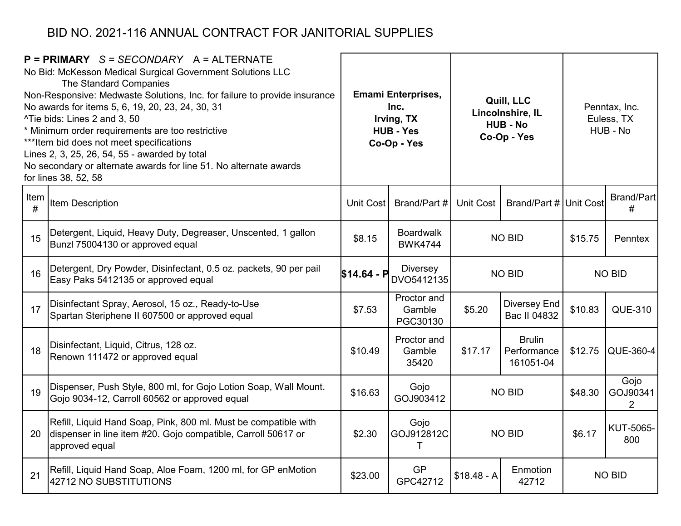|           | $P = PRIMARY$ S = SECONDARY A = ALTERNATE<br>No Bid: McKesson Medical Surgical Government Solutions LLC<br>The Standard Companies<br>Non-Responsive: Medwaste Solutions, Inc. for failure to provide insurance<br>No awards for items 5, 6, 19, 20, 23, 24, 30, 31<br>^Tie bids: Lines 2 and 3, 50<br>* Minimum order requirements are too restrictive<br>*** Item bid does not meet specifications<br>Lines 2, 3, 25, 26, 54, 55 - awarded by total<br>No secondary or alternate awards for line 51. No alternate awards<br>for lines 38, 52, 58 |             | <b>Emami Enterprises,</b><br>Inc.<br>Irving, TX<br><b>HUB - Yes</b><br>Co-Op - Yes |               | Quill, LLC<br>Lincolnshire, IL<br><b>HUB - No</b><br>Co-Op - Yes | Penntax, Inc.<br>Euless, TX<br>HUB - No |                                    |
|-----------|---------------------------------------------------------------------------------------------------------------------------------------------------------------------------------------------------------------------------------------------------------------------------------------------------------------------------------------------------------------------------------------------------------------------------------------------------------------------------------------------------------------------------------------------------|-------------|------------------------------------------------------------------------------------|---------------|------------------------------------------------------------------|-----------------------------------------|------------------------------------|
| Item<br># | Item Description                                                                                                                                                                                                                                                                                                                                                                                                                                                                                                                                  | Unit Cost   | Brand/Part #                                                                       | Unit Cost     | Brand/Part # Unit Cost                                           |                                         | <b>Brand/Part</b><br>#             |
| 15        | Detergent, Liquid, Heavy Duty, Degreaser, Unscented, 1 gallon<br>Bunzl 75004130 or approved equal                                                                                                                                                                                                                                                                                                                                                                                                                                                 | \$8.15      | <b>Boardwalk</b><br><b>BWK4744</b>                                                 |               | <b>NO BID</b>                                                    | \$15.75                                 | Penntex                            |
| 16        | Detergent, Dry Powder, Disinfectant, 0.5 oz. packets, 90 per pail<br>Easy Paks 5412135 or approved equal                                                                                                                                                                                                                                                                                                                                                                                                                                          | \$14.64 - P | Diversey<br>DVO5412135                                                             | <b>NO BID</b> |                                                                  | <b>NO BID</b>                           |                                    |
| 17        | Disinfectant Spray, Aerosol, 15 oz., Ready-to-Use<br>Spartan Steriphene II 607500 or approved equal                                                                                                                                                                                                                                                                                                                                                                                                                                               | \$7.53      | Proctor and<br>Gamble<br>PGC30130                                                  | \$5.20        | <b>Diversey End</b><br>Bac II 04832                              | \$10.83                                 | <b>QUE-310</b>                     |
| 18        | Disinfectant, Liquid, Citrus, 128 oz.<br>Renown 111472 or approved equal                                                                                                                                                                                                                                                                                                                                                                                                                                                                          | \$10.49     | Proctor and<br>Gamble<br>35420                                                     | \$17.17       | <b>Brulin</b><br>Performance<br>161051-04                        | \$12.75                                 | <b>QUE-360-4</b>                   |
| 19        | Dispenser, Push Style, 800 ml, for Gojo Lotion Soap, Wall Mount.<br>Gojo 9034-12, Carroll 60562 or approved equal                                                                                                                                                                                                                                                                                                                                                                                                                                 | \$16.63     | Gojo<br>GOJ903412                                                                  |               | <b>NO BID</b>                                                    | \$48.30                                 | Gojo<br>GOJ90341<br>$\overline{2}$ |
| 20        | Refill, Liquid Hand Soap, Pink, 800 ml. Must be compatible with<br>dispenser in line item #20. Gojo compatible, Carroll 50617 or<br>approved equal                                                                                                                                                                                                                                                                                                                                                                                                | \$2.30      | Gojo<br>GOJ912812C<br>Т                                                            |               | <b>NO BID</b>                                                    | \$6.17                                  | KUT-5065-<br>800                   |
| 21        | Refill, Liquid Hand Soap, Aloe Foam, 1200 ml, for GP enMotion<br>42712 NO SUBSTITUTIONS                                                                                                                                                                                                                                                                                                                                                                                                                                                           | \$23.00     | <b>GP</b><br>GPC42712                                                              | $$18.48 - A$  | Enmotion<br>42712                                                | <b>NO BID</b>                           |                                    |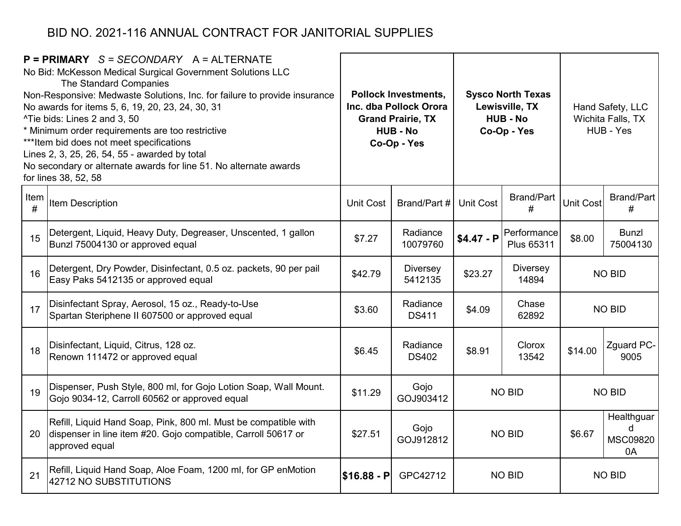|           | $P = PRIMARY$ S = SECONDARY A = ALTERNATE<br>No Bid: McKesson Medical Surgical Government Solutions LLC<br>The Standard Companies<br>Non-Responsive: Medwaste Solutions, Inc. for failure to provide insurance<br>No awards for items 5, 6, 19, 20, 23, 24, 30, 31<br>^Tie bids: Lines 2 and 3, 50<br>* Minimum order requirements are too restrictive<br>*** Item bid does not meet specifications<br>Lines 2, 3, 25, 26, 54, 55 - awarded by total<br>No secondary or alternate awards for line 51. No alternate awards<br>for lines 38, 52, 58 | <b>Pollock Investments,</b><br><b>Sysco North Texas</b><br>Inc. dba Pollock Orora<br>Lewisville, TX<br><b>Grand Prairie, TX</b><br><b>HUB - No</b><br><b>HUB - No</b><br>Co-Op - Yes<br>Co-Op - Yes |                            | Hand Safety, LLC<br>Wichita Falls, TX<br>HUB - Yes |                           |                  |                                          |
|-----------|---------------------------------------------------------------------------------------------------------------------------------------------------------------------------------------------------------------------------------------------------------------------------------------------------------------------------------------------------------------------------------------------------------------------------------------------------------------------------------------------------------------------------------------------------|-----------------------------------------------------------------------------------------------------------------------------------------------------------------------------------------------------|----------------------------|----------------------------------------------------|---------------------------|------------------|------------------------------------------|
| Item<br># | Item Description                                                                                                                                                                                                                                                                                                                                                                                                                                                                                                                                  | <b>Unit Cost</b>                                                                                                                                                                                    | Brand/Part #               | <b>Unit Cost</b>                                   | <b>Brand/Part</b><br>#    | <b>Unit Cost</b> | <b>Brand/Part</b><br>#                   |
| 15        | Detergent, Liquid, Heavy Duty, Degreaser, Unscented, 1 gallon<br>Bunzl 75004130 or approved equal                                                                                                                                                                                                                                                                                                                                                                                                                                                 | \$7.27                                                                                                                                                                                              | Radiance<br>10079760       | $$4.47 - P$                                        | Performance<br>Plus 65311 | \$8.00           | <b>Bunzl</b><br>75004130                 |
| 16        | Detergent, Dry Powder, Disinfectant, 0.5 oz. packets, 90 per pail<br>Easy Paks 5412135 or approved equal                                                                                                                                                                                                                                                                                                                                                                                                                                          | \$42.79                                                                                                                                                                                             | <b>Diversey</b><br>5412135 | \$23.27                                            | <b>Diversey</b><br>14894  | <b>NO BID</b>    |                                          |
| 17        | Disinfectant Spray, Aerosol, 15 oz., Ready-to-Use<br>Spartan Steriphene II 607500 or approved equal                                                                                                                                                                                                                                                                                                                                                                                                                                               | \$3.60                                                                                                                                                                                              | Radiance<br><b>DS411</b>   | \$4.09                                             | Chase<br>62892            | <b>NO BID</b>    |                                          |
| 18        | Disinfectant, Liquid, Citrus, 128 oz.<br>Renown 111472 or approved equal                                                                                                                                                                                                                                                                                                                                                                                                                                                                          | \$6.45                                                                                                                                                                                              | Radiance<br><b>DS402</b>   | \$8.91                                             | Clorox<br>13542           | \$14.00          | <b>Zguard PC-</b><br>9005                |
| 19        | Dispenser, Push Style, 800 ml, for Gojo Lotion Soap, Wall Mount.<br>Gojo 9034-12, Carroll 60562 or approved equal                                                                                                                                                                                                                                                                                                                                                                                                                                 | \$11.29                                                                                                                                                                                             | Gojo<br>GOJ903412          |                                                    | <b>NO BID</b>             |                  | <b>NO BID</b>                            |
| 20        | Refill, Liquid Hand Soap, Pink, 800 ml. Must be compatible with<br>dispenser in line item #20. Gojo compatible, Carroll 50617 or<br>approved equal                                                                                                                                                                                                                                                                                                                                                                                                | \$27.51                                                                                                                                                                                             | Gojo<br>GOJ912812          |                                                    | <b>NO BID</b>             | \$6.67           | Healthguar<br>d<br><b>MSC09820</b><br>0A |
| 21        | Refill, Liquid Hand Soap, Aloe Foam, 1200 ml, for GP enMotion<br>42712 NO SUBSTITUTIONS                                                                                                                                                                                                                                                                                                                                                                                                                                                           | $$16.88 - P$                                                                                                                                                                                        | GPC42712                   |                                                    | <b>NO BID</b>             | <b>NO BID</b>    |                                          |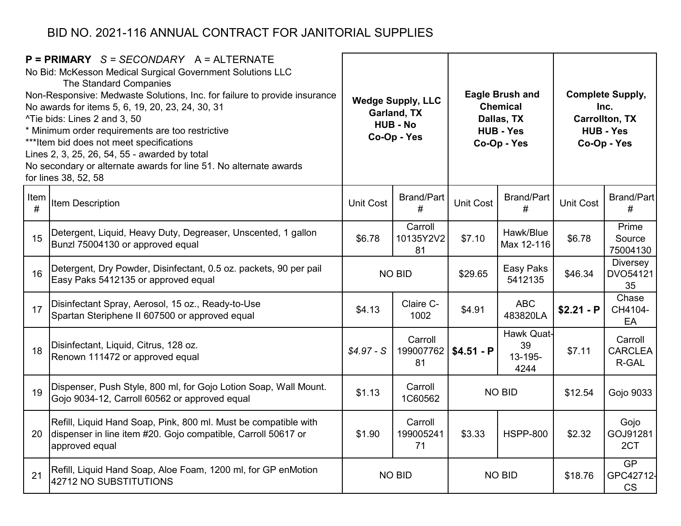| $P = PRIMARY$ S = SECONDARY A = ALTERNATE<br>No Bid: McKesson Medical Surgical Government Solutions LLC<br>The Standard Companies<br>Non-Responsive: Medwaste Solutions, Inc. for failure to provide insurance<br>No awards for items 5, 6, 19, 20, 23, 24, 30, 31<br>^Tie bids: Lines 2 and 3, 50<br>* Minimum order requirements are too restrictive<br>*** Item bid does not meet specifications<br>Lines 2, 3, 25, 26, 54, 55 - awarded by total<br>No secondary or alternate awards for line 51. No alternate awards<br>for lines 38, 52, 58 |                                                                                                                                                    | <b>Wedge Supply, LLC</b><br>Garland, TX<br><b>HUB - No</b><br>Co-Op - Yes |                            |                                 | <b>Eagle Brush and</b><br><b>Chemical</b><br>Dallas, TX<br><b>HUB - Yes</b><br>Co-Op - Yes | <b>Complete Supply,</b><br>Inc.<br><b>Carrollton, TX</b><br><b>HUB - Yes</b><br>Co-Op - Yes |                                     |  |
|---------------------------------------------------------------------------------------------------------------------------------------------------------------------------------------------------------------------------------------------------------------------------------------------------------------------------------------------------------------------------------------------------------------------------------------------------------------------------------------------------------------------------------------------------|----------------------------------------------------------------------------------------------------------------------------------------------------|---------------------------------------------------------------------------|----------------------------|---------------------------------|--------------------------------------------------------------------------------------------|---------------------------------------------------------------------------------------------|-------------------------------------|--|
| Item<br>#                                                                                                                                                                                                                                                                                                                                                                                                                                                                                                                                         | Item Description                                                                                                                                   | <b>Unit Cost</b>                                                          | <b>Brand/Part</b><br>#     | <b>Unit Cost</b>                | <b>Brand/Part</b><br>#                                                                     | <b>Unit Cost</b>                                                                            | Brand/Part<br>#                     |  |
| 15                                                                                                                                                                                                                                                                                                                                                                                                                                                                                                                                                | Detergent, Liquid, Heavy Duty, Degreaser, Unscented, 1 gallon<br>Bunzl 75004130 or approved equal                                                  | \$6.78                                                                    | Carroll<br>10135Y2V2<br>81 | \$7.10                          | Hawk/Blue<br>Max 12-116                                                                    | \$6.78                                                                                      | Prime<br>Source<br>75004130         |  |
| 16                                                                                                                                                                                                                                                                                                                                                                                                                                                                                                                                                | Detergent, Dry Powder, Disinfectant, 0.5 oz. packets, 90 per pail<br>Easy Paks 5412135 or approved equal                                           |                                                                           | <b>NO BID</b>              | Easy Paks<br>\$29.65<br>5412135 |                                                                                            | \$46.34                                                                                     | <b>Diversey</b><br>DVO54121<br>35   |  |
| 17                                                                                                                                                                                                                                                                                                                                                                                                                                                                                                                                                | Disinfectant Spray, Aerosol, 15 oz., Ready-to-Use<br>Spartan Steriphene II 607500 or approved equal                                                | \$4.13                                                                    | Claire C-<br>1002          | \$4.91                          | <b>ABC</b><br>483820LA                                                                     | $$2.21 - P$                                                                                 | Chase<br>CH4104-<br>EA              |  |
| 18                                                                                                                                                                                                                                                                                                                                                                                                                                                                                                                                                | Disinfectant, Liquid, Citrus, 128 oz.<br>Renown 111472 or approved equal                                                                           | $$4.97 - S$                                                               | Carroll<br>199007762<br>81 | $$4.51 - P$                     | Hawk Quat-<br>39<br>$13 - 195 -$<br>4244                                                   | \$7.11                                                                                      | Carroll<br><b>CARCLEA</b><br>R-GAL  |  |
| 19                                                                                                                                                                                                                                                                                                                                                                                                                                                                                                                                                | Dispenser, Push Style, 800 ml, for Gojo Lotion Soap, Wall Mount.<br>Gojo 9034-12, Carroll 60562 or approved equal                                  | \$1.13                                                                    | Carroll<br>1C60562         |                                 | <b>NO BID</b>                                                                              | \$12.54                                                                                     | Gojo 9033                           |  |
| 20                                                                                                                                                                                                                                                                                                                                                                                                                                                                                                                                                | Refill, Liquid Hand Soap, Pink, 800 ml. Must be compatible with<br>dispenser in line item #20. Gojo compatible, Carroll 50617 or<br>approved equal | \$1.90                                                                    | Carroll<br>199005241<br>71 | \$3.33                          | <b>HSPP-800</b>                                                                            | \$2.32                                                                                      | Gojo<br>GOJ91281<br>2CT             |  |
| 21                                                                                                                                                                                                                                                                                                                                                                                                                                                                                                                                                | Refill, Liquid Hand Soap, Aloe Foam, 1200 ml, for GP enMotion<br>42712 NO SUBSTITUTIONS                                                            |                                                                           | <b>NO BID</b>              |                                 | <b>NO BID</b>                                                                              | \$18.76                                                                                     | <b>GP</b><br>GPC42712-<br><b>CS</b> |  |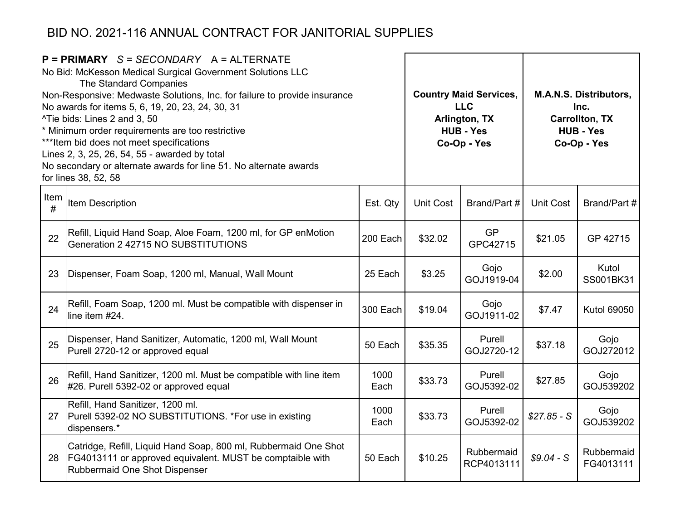|           | $P = PRIMARY$ S = SECONDARY A = ALTERNATE<br>No Bid: McKesson Medical Surgical Government Solutions LLC<br>The Standard Companies<br>Non-Responsive: Medwaste Solutions, Inc. for failure to provide insurance<br>No awards for items 5, 6, 19, 20, 23, 24, 30, 31<br>^Tie bids: Lines 2 and 3, 50<br>* Minimum order requirements are too restrictive<br>*** Item bid does not meet specifications<br>Lines 2, 3, 25, 26, 54, 55 - awarded by total<br>No secondary or alternate awards for line 51. No alternate awards<br>for lines 38, 52, 58 | <b>Country Maid Services,</b><br><b>LLC</b><br>Arlington, TX<br><b>HUB - Yes</b><br>Co-Op - Yes |                  |                          | <b>M.A.N.S. Distributors,</b><br>Inc.<br><b>Carrollton, TX</b><br><b>HUB - Yes</b><br>Co-Op - Yes |                         |  |
|-----------|---------------------------------------------------------------------------------------------------------------------------------------------------------------------------------------------------------------------------------------------------------------------------------------------------------------------------------------------------------------------------------------------------------------------------------------------------------------------------------------------------------------------------------------------------|-------------------------------------------------------------------------------------------------|------------------|--------------------------|---------------------------------------------------------------------------------------------------|-------------------------|--|
| Item<br># | Item Description                                                                                                                                                                                                                                                                                                                                                                                                                                                                                                                                  | Est. Qty                                                                                        | <b>Unit Cost</b> | Brand/Part #             | <b>Unit Cost</b>                                                                                  | Brand/Part #            |  |
| 22        | Refill, Liquid Hand Soap, Aloe Foam, 1200 ml, for GP enMotion<br>Generation 2 42715 NO SUBSTITUTIONS                                                                                                                                                                                                                                                                                                                                                                                                                                              | 200 Each                                                                                        | \$32.02          | <b>GP</b><br>GPC42715    | \$21.05                                                                                           | GP 42715                |  |
| 23        | Dispenser, Foam Soap, 1200 ml, Manual, Wall Mount                                                                                                                                                                                                                                                                                                                                                                                                                                                                                                 | 25 Each                                                                                         | \$3.25           | Gojo<br>GOJ1919-04       | \$2.00                                                                                            | Kutol<br>SS001BK31      |  |
| 24        | Refill, Foam Soap, 1200 ml. Must be compatible with dispenser in<br>line item #24.                                                                                                                                                                                                                                                                                                                                                                                                                                                                | 300 Each                                                                                        | \$19.04          | Gojo<br>GOJ1911-02       | \$7.47                                                                                            | <b>Kutol 69050</b>      |  |
| 25        | Dispenser, Hand Sanitizer, Automatic, 1200 ml, Wall Mount<br>Purell 2720-12 or approved equal                                                                                                                                                                                                                                                                                                                                                                                                                                                     | 50 Each                                                                                         | \$35.35          | Purell<br>GOJ2720-12     | \$37.18                                                                                           | Gojo<br>GOJ272012       |  |
| 26        | Refill, Hand Sanitizer, 1200 ml. Must be compatible with line item<br>#26. Purell 5392-02 or approved equal                                                                                                                                                                                                                                                                                                                                                                                                                                       | 1000<br>Each                                                                                    | \$33.73          | Purell<br>GOJ5392-02     | \$27.85                                                                                           | Gojo<br>GOJ539202       |  |
| 27        | Refill, Hand Sanitizer, 1200 ml.<br>Purell 5392-02 NO SUBSTITUTIONS. *For use in existing<br>dispensers.*                                                                                                                                                                                                                                                                                                                                                                                                                                         | 1000<br>Each                                                                                    | \$33.73          | Purell<br>GOJ5392-02     | $$27.85 - S$                                                                                      | Gojo<br>GOJ539202       |  |
| 28        | Catridge, Refill, Liquid Hand Soap, 800 ml, Rubbermaid One Shot<br>FG4013111 or approved equivalent. MUST be comptaible with<br>Rubbermaid One Shot Dispenser                                                                                                                                                                                                                                                                                                                                                                                     | 50 Each                                                                                         | \$10.25          | Rubbermaid<br>RCP4013111 | $$9.04-S$                                                                                         | Rubbermaid<br>FG4013111 |  |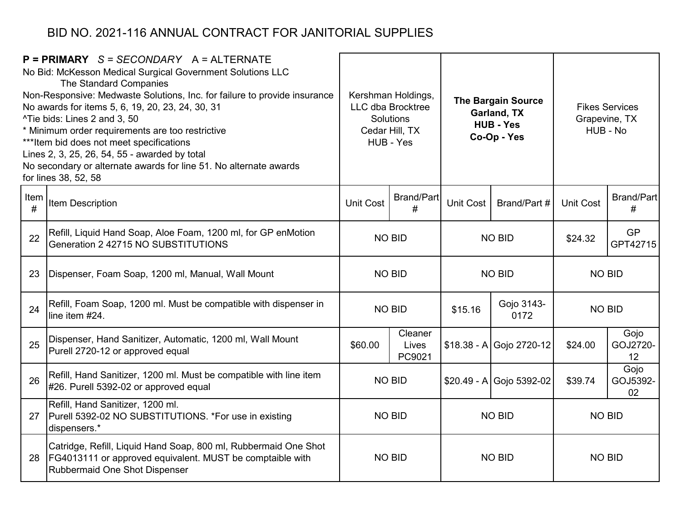|           | $P = PRIMARY$ S = SECONDARY A = ALTERNATE<br>No Bid: McKesson Medical Surgical Government Solutions LLC<br>The Standard Companies<br>Non-Responsive: Medwaste Solutions, Inc. for failure to provide insurance<br>No awards for items 5, 6, 19, 20, 23, 24, 30, 31<br>^Tie bids: Lines 2 and 3, 50<br>* Minimum order requirements are too restrictive<br>*** Item bid does not meet specifications<br>Lines 2, 3, 25, 26, 54, 55 - awarded by total<br>No secondary or alternate awards for line 51. No alternate awards<br>for lines 38, 52, 58 |                  | Kershman Holdings,<br>LLC dba Brocktree<br>Solutions<br>Cedar Hill, TX<br>HUB - Yes | <b>The Bargain Source</b><br>Garland, TX<br><b>HUB - Yes</b><br>Co-Op - Yes |                           | <b>Fikes Services</b><br>Grapevine, TX<br>HUB - No |                        |
|-----------|---------------------------------------------------------------------------------------------------------------------------------------------------------------------------------------------------------------------------------------------------------------------------------------------------------------------------------------------------------------------------------------------------------------------------------------------------------------------------------------------------------------------------------------------------|------------------|-------------------------------------------------------------------------------------|-----------------------------------------------------------------------------|---------------------------|----------------------------------------------------|------------------------|
| Item<br># | Item Description                                                                                                                                                                                                                                                                                                                                                                                                                                                                                                                                  | <b>Unit Cost</b> | <b>Brand/Part</b><br>#                                                              | Unit Cost                                                                   | Brand/Part #              | <b>Unit Cost</b>                                   | <b>Brand/Part</b><br># |
| 22        | Refill, Liquid Hand Soap, Aloe Foam, 1200 ml, for GP enMotion<br>Generation 2 42715 NO SUBSTITUTIONS                                                                                                                                                                                                                                                                                                                                                                                                                                              | <b>NO BID</b>    |                                                                                     | <b>NO BID</b>                                                               |                           | \$24.32                                            | <b>GP</b><br>GPT42715  |
| 23        | Dispenser, Foam Soap, 1200 ml, Manual, Wall Mount                                                                                                                                                                                                                                                                                                                                                                                                                                                                                                 | <b>NO BID</b>    |                                                                                     |                                                                             | <b>NO BID</b>             | <b>NO BID</b>                                      |                        |
| 24        | Refill, Foam Soap, 1200 ml. Must be compatible with dispenser in<br>line item #24.                                                                                                                                                                                                                                                                                                                                                                                                                                                                | <b>NO BID</b>    |                                                                                     | \$15.16                                                                     | Gojo 3143-<br>0172        | <b>NO BID</b>                                      |                        |
| 25        | Dispenser, Hand Sanitizer, Automatic, 1200 ml, Wall Mount<br>Purell 2720-12 or approved equal                                                                                                                                                                                                                                                                                                                                                                                                                                                     | \$60.00          | Cleaner<br>Lives<br>PC9021                                                          |                                                                             | $$18.38 - A$ Gojo 2720-12 | \$24.00                                            | Gojo<br>GOJ2720-<br>12 |
| 26        | Refill, Hand Sanitizer, 1200 ml. Must be compatible with line item<br>#26. Purell 5392-02 or approved equal                                                                                                                                                                                                                                                                                                                                                                                                                                       |                  | <b>NO BID</b>                                                                       |                                                                             | $$20.49 - A$ Gojo 5392-02 | \$39.74                                            | Gojo<br>GOJ5392-<br>02 |
| 27        | Refill, Hand Sanitizer, 1200 ml.<br>Purell 5392-02 NO SUBSTITUTIONS. *For use in existing<br>dispensers.*                                                                                                                                                                                                                                                                                                                                                                                                                                         | <b>NO BID</b>    |                                                                                     |                                                                             | <b>NO BID</b>             | <b>NO BID</b>                                      |                        |
| 28        | Catridge, Refill, Liquid Hand Soap, 800 ml, Rubbermaid One Shot<br><b>FG4013111 or approved equivalent. MUST be comptaible with</b><br>Rubbermaid One Shot Dispenser                                                                                                                                                                                                                                                                                                                                                                              |                  | <b>NO BID</b>                                                                       | <b>NO BID</b>                                                               |                           | <b>NO BID</b>                                      |                        |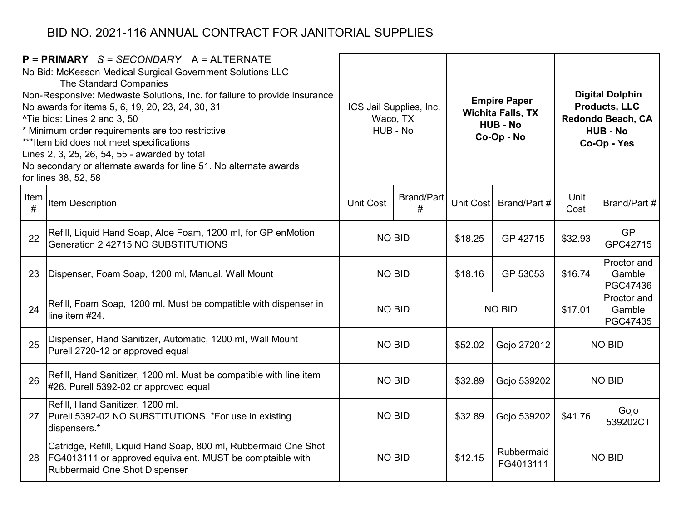|           | $P = PRIMARY$ S = SECONDARY A = ALTERNATE<br>No Bid: McKesson Medical Surgical Government Solutions LLC<br>The Standard Companies<br>Non-Responsive: Medwaste Solutions, Inc. for failure to provide insurance<br>No awards for items 5, 6, 19, 20, 23, 24, 30, 31<br>^Tie bids: Lines 2 and 3, 50<br>* Minimum order requirements are too restrictive<br>*** Item bid does not meet specifications<br>Lines 2, 3, 25, 26, 54, 55 - awarded by total<br>No secondary or alternate awards for line 51. No alternate awards<br>for lines 38, 52, 58 | ICS Jail Supplies, Inc.<br>Waco, TX<br>HUB - No |                 | <b>Empire Paper</b><br><b>Wichita Falls, TX</b><br><b>HUB - No</b><br>Co-Op - No |                         |              | <b>Digital Dolphin</b><br><b>Products, LLC</b><br>Redondo Beach, CA<br><b>HUB - No</b><br>Co-Op - Yes |
|-----------|---------------------------------------------------------------------------------------------------------------------------------------------------------------------------------------------------------------------------------------------------------------------------------------------------------------------------------------------------------------------------------------------------------------------------------------------------------------------------------------------------------------------------------------------------|-------------------------------------------------|-----------------|----------------------------------------------------------------------------------|-------------------------|--------------|-------------------------------------------------------------------------------------------------------|
| Item<br># | Item Description                                                                                                                                                                                                                                                                                                                                                                                                                                                                                                                                  | <b>Unit Cost</b>                                | Brand/Part<br># | Unit Cost                                                                        | Brand/Part #            | Unit<br>Cost | Brand/Part #                                                                                          |
| 22        | Refill, Liquid Hand Soap, Aloe Foam, 1200 ml, for GP enMotion<br>Generation 2 42715 NO SUBSTITUTIONS                                                                                                                                                                                                                                                                                                                                                                                                                                              | <b>NO BID</b>                                   |                 | \$18.25                                                                          | GP 42715                | \$32.93      | <b>GP</b><br>GPC42715                                                                                 |
| 23        | Dispenser, Foam Soap, 1200 ml, Manual, Wall Mount                                                                                                                                                                                                                                                                                                                                                                                                                                                                                                 | <b>NO BID</b>                                   |                 | \$18.16                                                                          | GP 53053                | \$16.74      | Proctor and<br>Gamble<br>PGC47436                                                                     |
| 24        | Refill, Foam Soap, 1200 ml. Must be compatible with dispenser in<br>line item #24.                                                                                                                                                                                                                                                                                                                                                                                                                                                                | <b>NO BID</b>                                   |                 | <b>NO BID</b>                                                                    |                         | \$17.01      | Proctor and<br>Gamble<br>PGC47435                                                                     |
| 25        | Dispenser, Hand Sanitizer, Automatic, 1200 ml, Wall Mount<br>Purell 2720-12 or approved equal                                                                                                                                                                                                                                                                                                                                                                                                                                                     | <b>NO BID</b>                                   |                 | \$52.02                                                                          | Gojo 272012             |              | <b>NO BID</b>                                                                                         |
| 26        | Refill, Hand Sanitizer, 1200 ml. Must be compatible with line item<br>#26. Purell 5392-02 or approved equal                                                                                                                                                                                                                                                                                                                                                                                                                                       | <b>NO BID</b>                                   |                 | \$32.89                                                                          | Gojo 539202             |              | <b>NO BID</b>                                                                                         |
| 27        | Refill, Hand Sanitizer, 1200 ml.<br>Purell 5392-02 NO SUBSTITUTIONS. *For use in existing<br>dispensers.*                                                                                                                                                                                                                                                                                                                                                                                                                                         | <b>NO BID</b>                                   |                 | \$32.89                                                                          | Gojo 539202             | \$41.76      | Gojo<br>539202CT                                                                                      |
| 28        | Catridge, Refill, Liquid Hand Soap, 800 ml, Rubbermaid One Shot<br>FG4013111 or approved equivalent. MUST be comptaible with<br>Rubbermaid One Shot Dispenser                                                                                                                                                                                                                                                                                                                                                                                     | <b>NO BID</b>                                   |                 | \$12.15                                                                          | Rubbermaid<br>FG4013111 |              | <b>NO BID</b>                                                                                         |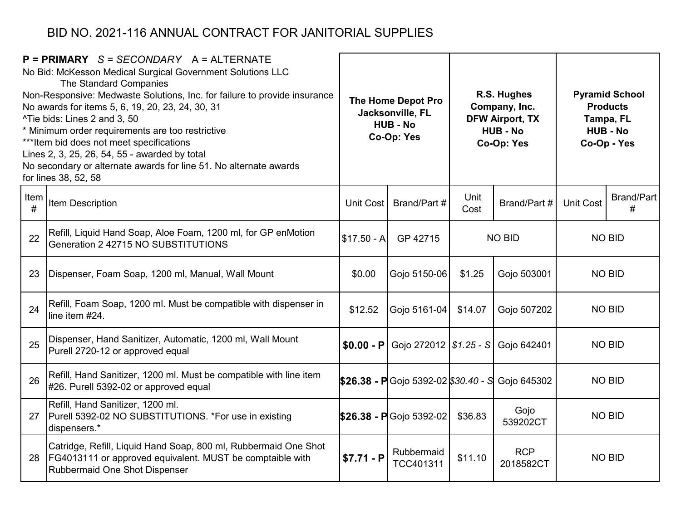|           | $P = PRIMARY$ S = SECONDARY A = ALTERNATE<br>No Bid: McKesson Medical Surgical Government Solutions LLC<br>The Standard Companies<br>Non-Responsive: Medwaste Solutions, Inc. for failure to provide insurance<br>No awards for items 5, 6, 19, 20, 23, 24, 30, 31<br>^Tie bids: Lines 2 and 3, 50<br>* Minimum order requirements are too restrictive<br>*** Item bid does not meet specifications<br>Lines 2, 3, 25, 26, 54, 55 - awarded by total<br>No secondary or alternate awards for line 51. No alternate awards<br>for lines 38, 52, 58 |              | R.S. Hughes<br>The Home Depot Pro<br>Company, Inc.<br>Jacksonville, FL<br><b>DFW Airport, TX</b><br><b>HUB - No</b><br><b>HUB - No</b><br>Co-Op: Yes<br>Co-Op: Yes |                              | <b>Pyramid School</b><br><b>Products</b><br>Tampa, FL<br><b>HUB - No</b><br>Co-Op - Yes |                  |                        |
|-----------|---------------------------------------------------------------------------------------------------------------------------------------------------------------------------------------------------------------------------------------------------------------------------------------------------------------------------------------------------------------------------------------------------------------------------------------------------------------------------------------------------------------------------------------------------|--------------|--------------------------------------------------------------------------------------------------------------------------------------------------------------------|------------------------------|-----------------------------------------------------------------------------------------|------------------|------------------------|
| Item<br># | Item Description                                                                                                                                                                                                                                                                                                                                                                                                                                                                                                                                  | Unit Cost    | Brand/Part #                                                                                                                                                       | Unit<br>Brand/Part #<br>Cost |                                                                                         | <b>Unit Cost</b> | <b>Brand/Part</b><br># |
| 22        | Refill, Liquid Hand Soap, Aloe Foam, 1200 ml, for GP enMotion<br>Generation 2 42715 NO SUBSTITUTIONS                                                                                                                                                                                                                                                                                                                                                                                                                                              | $$17.50 - A$ | GP 42715                                                                                                                                                           | <b>NO BID</b>                |                                                                                         | <b>NO BID</b>    |                        |
| 23        | Dispenser, Foam Soap, 1200 ml, Manual, Wall Mount                                                                                                                                                                                                                                                                                                                                                                                                                                                                                                 | \$0.00       | Gojo 5150-06                                                                                                                                                       | \$1.25                       | Gojo 503001                                                                             | <b>NO BID</b>    |                        |
| 24        | Refill, Foam Soap, 1200 ml. Must be compatible with dispenser in<br>line item #24.                                                                                                                                                                                                                                                                                                                                                                                                                                                                | \$12.52      | Gojo 5161-04                                                                                                                                                       | \$14.07                      | Gojo 507202                                                                             |                  | <b>NO BID</b>          |
| 25        | Dispenser, Hand Sanitizer, Automatic, 1200 ml, Wall Mount<br>Purell 2720-12 or approved equal                                                                                                                                                                                                                                                                                                                                                                                                                                                     | $$0.00 - P$  | Gojo 272012   \$1.25 - S Gojo 642401                                                                                                                               |                              |                                                                                         |                  | <b>NO BID</b>          |
| 26        | Refill, Hand Sanitizer, 1200 ml. Must be compatible with line item<br>#26. Purell 5392-02 or approved equal                                                                                                                                                                                                                                                                                                                                                                                                                                       |              | $$26.38$ - P Gojo 5392-02 \$30.40 - S Gojo 645302                                                                                                                  |                              |                                                                                         |                  | <b>NO BID</b>          |
| 27        | Refill, Hand Sanitizer, 1200 ml.<br>Purell 5392-02 NO SUBSTITUTIONS. *For use in existing<br>dispensers.*                                                                                                                                                                                                                                                                                                                                                                                                                                         |              | $$26.38 - P$ Gojo 5392-02                                                                                                                                          | \$36.83                      | Gojo<br>539202CT                                                                        |                  | <b>NO BID</b>          |
| 28        | Catridge, Refill, Liquid Hand Soap, 800 ml, Rubbermaid One Shot<br>FG4013111 or approved equivalent. MUST be comptaible with<br>Rubbermaid One Shot Dispenser                                                                                                                                                                                                                                                                                                                                                                                     | $$7.71 - P$  | Rubbermaid<br>TCC401311                                                                                                                                            | \$11.10                      | <b>RCP</b><br>2018582CT                                                                 |                  | <b>NO BID</b>          |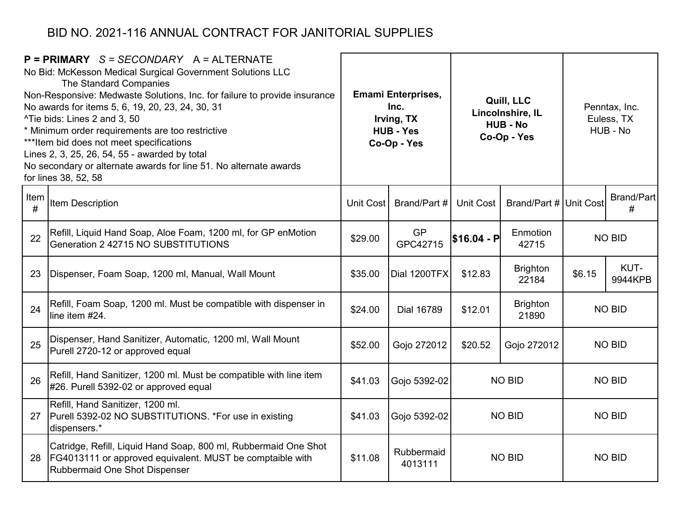|           | $P = PRIMARY$ S = SECONDARY A = ALTERNATE<br>No Bid: McKesson Medical Surgical Government Solutions LLC<br>The Standard Companies<br>Non-Responsive: Medwaste Solutions, Inc. for failure to provide insurance<br>No awards for items 5, 6, 19, 20, 23, 24, 30, 31<br>^Tie bids: Lines 2 and 3, 50<br>* Minimum order requirements are too restrictive<br>*** Item bid does not meet specifications<br>Lines 2, 3, 25, 26, 54, 55 - awarded by total<br>No secondary or alternate awards for line 51. No alternate awards<br>for lines 38, 52, 58 | <b>Emami Enterprises,</b><br>Quill, LLC<br>Inc.<br>Lincolnshire, IL<br>Irving, TX<br><b>HUB - No</b><br><b>HUB - Yes</b><br>Co-Op - Yes<br>Co-Op - Yes |                       |                                            | Penntax, Inc.<br>Euless, TX<br>HUB - No |               |                        |
|-----------|---------------------------------------------------------------------------------------------------------------------------------------------------------------------------------------------------------------------------------------------------------------------------------------------------------------------------------------------------------------------------------------------------------------------------------------------------------------------------------------------------------------------------------------------------|--------------------------------------------------------------------------------------------------------------------------------------------------------|-----------------------|--------------------------------------------|-----------------------------------------|---------------|------------------------|
| Item<br># | Item Description                                                                                                                                                                                                                                                                                                                                                                                                                                                                                                                                  | Unit Cost                                                                                                                                              | Brand/Part #          | Brand/Part # Unit Cost<br><b>Unit Cost</b> |                                         |               | <b>Brand/Part</b><br># |
| 22        | Refill, Liquid Hand Soap, Aloe Foam, 1200 ml, for GP enMotion<br>Generation 2 42715 NO SUBSTITUTIONS                                                                                                                                                                                                                                                                                                                                                                                                                                              | \$29.00                                                                                                                                                | <b>GP</b><br>GPC42715 | \$16.04 - P                                | Enmotion<br>42715                       |               | <b>NO BID</b>          |
| 23        | Dispenser, Foam Soap, 1200 ml, Manual, Wall Mount                                                                                                                                                                                                                                                                                                                                                                                                                                                                                                 | \$35.00                                                                                                                                                | Dial 1200TFX          | <b>Brighton</b><br>\$12.83<br>22184        |                                         | \$6.15        | KUT-<br>9944KPB        |
| 24        | Refill, Foam Soap, 1200 ml. Must be compatible with dispenser in<br>line item #24.                                                                                                                                                                                                                                                                                                                                                                                                                                                                | \$24.00                                                                                                                                                | Dial 16789            | \$12.01                                    | <b>Brighton</b><br>21890                | <b>NO BID</b> |                        |
| 25        | Dispenser, Hand Sanitizer, Automatic, 1200 ml, Wall Mount<br>Purell 2720-12 or approved equal                                                                                                                                                                                                                                                                                                                                                                                                                                                     | \$52.00                                                                                                                                                | Gojo 272012           | \$20.52                                    | Gojo 272012                             |               | <b>NO BID</b>          |
| 26        | Refill, Hand Sanitizer, 1200 ml. Must be compatible with line item<br>#26. Purell 5392-02 or approved equal                                                                                                                                                                                                                                                                                                                                                                                                                                       | \$41.03                                                                                                                                                | Gojo 5392-02          |                                            | <b>NO BID</b>                           |               | <b>NO BID</b>          |
| 27        | Refill, Hand Sanitizer, 1200 ml.<br>Purell 5392-02 NO SUBSTITUTIONS. *For use in existing<br>dispensers.*                                                                                                                                                                                                                                                                                                                                                                                                                                         | \$41.03                                                                                                                                                | Gojo 5392-02          | <b>NO BID</b>                              |                                         |               | <b>NO BID</b>          |
| 28        | Catridge, Refill, Liquid Hand Soap, 800 ml, Rubbermaid One Shot<br>FG4013111 or approved equivalent. MUST be comptaible with<br>Rubbermaid One Shot Dispenser                                                                                                                                                                                                                                                                                                                                                                                     | \$11.08                                                                                                                                                | Rubbermaid<br>4013111 |                                            | <b>NO BID</b>                           | <b>NO BID</b> |                        |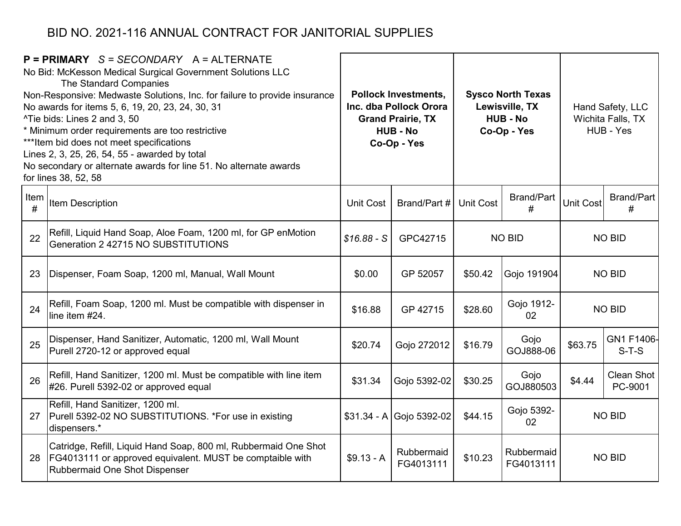|           | $P = PRIMARY$ S = SECONDARY A = ALTERNATE<br>No Bid: McKesson Medical Surgical Government Solutions LLC<br>The Standard Companies<br>Non-Responsive: Medwaste Solutions, Inc. for failure to provide insurance<br>No awards for items 5, 6, 19, 20, 23, 24, 30, 31<br>^Tie bids: Lines 2 and 3, 50<br>* Minimum order requirements are too restrictive<br>*** Item bid does not meet specifications<br>Lines 2, 3, 25, 26, 54, 55 - awarded by total<br>No secondary or alternate awards for line 51. No alternate awards<br>for lines 38, 52, 58 |                  | <b>Pollock Investments,</b><br>Inc. dba Pollock Orora<br><b>Grand Prairie, TX</b><br><b>HUB - No</b><br>Co-Op - Yes |                                            | <b>Sysco North Texas</b><br>Lewisville, TX<br><b>HUB - No</b><br>Co-Op - Yes |                  |                              |  | Hand Safety, LLC<br>Wichita Falls, TX<br>HUB - Yes |
|-----------|---------------------------------------------------------------------------------------------------------------------------------------------------------------------------------------------------------------------------------------------------------------------------------------------------------------------------------------------------------------------------------------------------------------------------------------------------------------------------------------------------------------------------------------------------|------------------|---------------------------------------------------------------------------------------------------------------------|--------------------------------------------|------------------------------------------------------------------------------|------------------|------------------------------|--|----------------------------------------------------|
| Item<br># | Item Description                                                                                                                                                                                                                                                                                                                                                                                                                                                                                                                                  | <b>Unit Cost</b> | Brand/Part #                                                                                                        | <b>Brand/Part</b><br><b>Unit Cost</b><br># |                                                                              | <b>Unit Cost</b> | <b>Brand/Part</b><br>#       |  |                                                    |
| 22        | Refill, Liquid Hand Soap, Aloe Foam, 1200 ml, for GP enMotion<br>Generation 2 42715 NO SUBSTITUTIONS                                                                                                                                                                                                                                                                                                                                                                                                                                              | $$16.88 - S$     | GPC42715                                                                                                            | <b>NO BID</b>                              |                                                                              | <b>NO BID</b>    |                              |  |                                                    |
| 23        | Dispenser, Foam Soap, 1200 ml, Manual, Wall Mount                                                                                                                                                                                                                                                                                                                                                                                                                                                                                                 | \$0.00           | GP 52057                                                                                                            | \$50.42                                    | Gojo 191904                                                                  |                  | <b>NO BID</b>                |  |                                                    |
| 24        | Refill, Foam Soap, 1200 ml. Must be compatible with dispenser in<br>line item #24.                                                                                                                                                                                                                                                                                                                                                                                                                                                                | \$16.88          | GP 42715                                                                                                            | \$28.60                                    | Gojo 1912-<br>02                                                             | <b>NO BID</b>    |                              |  |                                                    |
| 25        | Dispenser, Hand Sanitizer, Automatic, 1200 ml, Wall Mount<br>Purell 2720-12 or approved equal                                                                                                                                                                                                                                                                                                                                                                                                                                                     | \$20.74          | Gojo 272012                                                                                                         | \$16.79                                    | Gojo<br>GOJ888-06                                                            | \$63.75          | GN1 F1406-<br>$S-T-S$        |  |                                                    |
| 26        | Refill, Hand Sanitizer, 1200 ml. Must be compatible with line item<br>#26. Purell 5392-02 or approved equal                                                                                                                                                                                                                                                                                                                                                                                                                                       | \$31.34          | Gojo 5392-02                                                                                                        | \$30.25                                    | Gojo<br>GOJ880503                                                            | \$4.44           | <b>Clean Shot</b><br>PC-9001 |  |                                                    |
| 27        | Refill, Hand Sanitizer, 1200 ml.<br>Purell 5392-02 NO SUBSTITUTIONS. *For use in existing<br>dispensers.*                                                                                                                                                                                                                                                                                                                                                                                                                                         |                  | $$31.34 - A$ Gojo 5392-02                                                                                           | \$44.15                                    | Gojo 5392-<br>02                                                             |                  | <b>NO BID</b>                |  |                                                    |
| 28        | Catridge, Refill, Liquid Hand Soap, 800 ml, Rubbermaid One Shot<br>FG4013111 or approved equivalent. MUST be comptaible with<br>Rubbermaid One Shot Dispenser                                                                                                                                                                                                                                                                                                                                                                                     | $$9.13 - A$      | Rubbermaid<br>FG4013111                                                                                             | \$10.23                                    | Rubbermaid<br>FG4013111                                                      |                  | <b>NO BID</b>                |  |                                                    |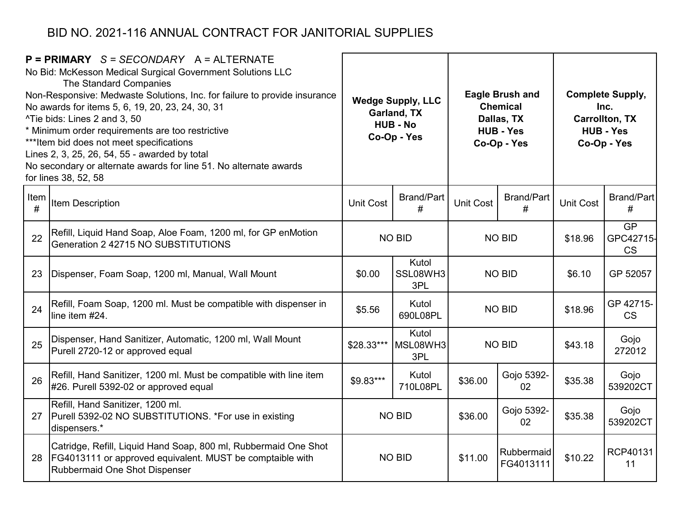|           | $P = PRIMARY$ S = SECONDARY A = ALTERNATE<br>No Bid: McKesson Medical Surgical Government Solutions LLC<br>The Standard Companies<br>Non-Responsive: Medwaste Solutions, Inc. for failure to provide insurance<br>No awards for items 5, 6, 19, 20, 23, 24, 30, 31<br>^Tie bids: Lines 2 and 3, 50<br>* Minimum order requirements are too restrictive<br>*** Item bid does not meet specifications<br>Lines 2, 3, 25, 26, 54, 55 - awarded by total<br>No secondary or alternate awards for line 51. No alternate awards<br>for lines 38, 52, 58 |            | <b>Wedge Supply, LLC</b><br>Garland, TX<br><b>HUB - No</b><br>Co-Op - Yes |                  | <b>Eagle Brush and</b><br><b>Chemical</b><br>Dallas, TX<br><b>HUB - Yes</b><br>Co-Op - Yes |                  |                                     |  | <b>Complete Supply,</b><br>Inc.<br><b>Carrollton, TX</b><br><b>HUB - Yes</b><br>Co-Op - Yes |
|-----------|---------------------------------------------------------------------------------------------------------------------------------------------------------------------------------------------------------------------------------------------------------------------------------------------------------------------------------------------------------------------------------------------------------------------------------------------------------------------------------------------------------------------------------------------------|------------|---------------------------------------------------------------------------|------------------|--------------------------------------------------------------------------------------------|------------------|-------------------------------------|--|---------------------------------------------------------------------------------------------|
| Item<br># | Item Description                                                                                                                                                                                                                                                                                                                                                                                                                                                                                                                                  | Unit Cost  | <b>Brand/Part</b><br>#                                                    | <b>Unit Cost</b> | <b>Brand/Part</b><br>#                                                                     | <b>Unit Cost</b> | Brand/Part<br>#                     |  |                                                                                             |
| 22        | Refill, Liquid Hand Soap, Aloe Foam, 1200 ml, for GP enMotion<br>Generation 2 42715 NO SUBSTITUTIONS                                                                                                                                                                                                                                                                                                                                                                                                                                              |            | <b>NO BID</b>                                                             | <b>NO BID</b>    |                                                                                            | \$18.96          | <b>GP</b><br>GPC42715-<br><b>CS</b> |  |                                                                                             |
| 23        | Dispenser, Foam Soap, 1200 ml, Manual, Wall Mount                                                                                                                                                                                                                                                                                                                                                                                                                                                                                                 | \$0.00     | Kutol<br>SSL08WH3<br>3PL                                                  | <b>NO BID</b>    |                                                                                            | \$6.10           | GP 52057                            |  |                                                                                             |
| 24        | Refill, Foam Soap, 1200 ml. Must be compatible with dispenser in<br>line item #24.                                                                                                                                                                                                                                                                                                                                                                                                                                                                | \$5.56     | Kutol<br>690L08PL                                                         |                  | <b>NO BID</b>                                                                              | \$18.96          | GP 42715-<br><b>CS</b>              |  |                                                                                             |
| 25        | Dispenser, Hand Sanitizer, Automatic, 1200 ml, Wall Mount<br>Purell 2720-12 or approved equal                                                                                                                                                                                                                                                                                                                                                                                                                                                     | \$28.33*** | Kutol<br>MSL08WH3<br>3PL                                                  |                  | <b>NO BID</b>                                                                              | \$43.18          | Gojo<br>272012                      |  |                                                                                             |
| 26        | Refill, Hand Sanitizer, 1200 ml. Must be compatible with line item<br>#26. Purell 5392-02 or approved equal                                                                                                                                                                                                                                                                                                                                                                                                                                       | \$9.83***  | Kutol<br>710L08PL                                                         | \$36.00          | Gojo 5392-<br>02                                                                           | \$35.38          | Gojo<br>539202CT                    |  |                                                                                             |
| 27        | Refill, Hand Sanitizer, 1200 ml.<br>Purell 5392-02 NO SUBSTITUTIONS. *For use in existing<br>dispensers.*                                                                                                                                                                                                                                                                                                                                                                                                                                         |            | <b>NO BID</b>                                                             | \$36.00          | Gojo 5392-<br>02                                                                           | \$35.38          | Gojo<br>539202CT                    |  |                                                                                             |
| 28        | Catridge, Refill, Liquid Hand Soap, 800 ml, Rubbermaid One Shot<br>FG4013111 or approved equivalent. MUST be comptaible with<br>Rubbermaid One Shot Dispenser                                                                                                                                                                                                                                                                                                                                                                                     |            | <b>NO BID</b>                                                             | \$11.00          | Rubbermaid<br>FG4013111                                                                    | \$10.22          | RCP40131<br>11                      |  |                                                                                             |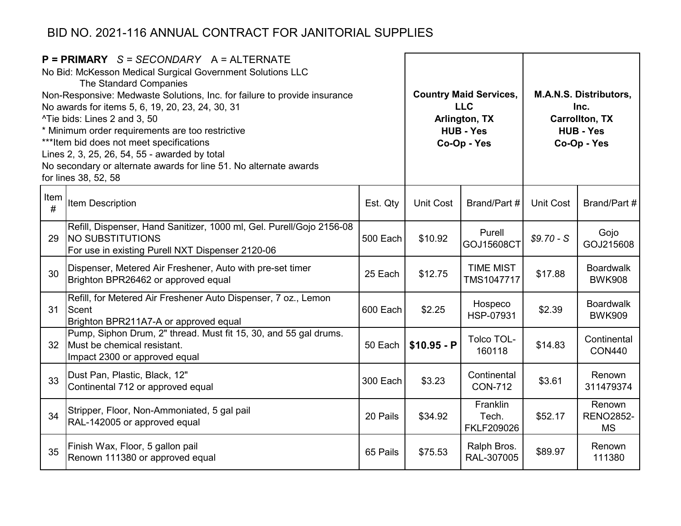| $P = PRIMARY$ S = SECONDARY A = ALTERNATE<br>No Bid: McKesson Medical Surgical Government Solutions LLC<br>The Standard Companies<br>Non-Responsive: Medwaste Solutions, Inc. for failure to provide insurance<br>No awards for items 5, 6, 19, 20, 23, 24, 30, 31<br>^Tie bids: Lines 2 and 3, 50<br>* Minimum order requirements are too restrictive<br>*** Item bid does not meet specifications<br>Lines 2, 3, 25, 26, 54, 55 - awarded by total<br>No secondary or alternate awards for line 51. No alternate awards<br>for lines 38, 52, 58 |                                                                                                                                                     |          |              | <b>Country Maid Services,</b><br><b>LLC</b><br>Arlington, TX<br><b>HUB - Yes</b><br>Co-Op - Yes | <b>M.A.N.S. Distributors,</b><br>Inc.<br><b>Carrollton, TX</b><br><b>HUB - Yes</b><br>Co-Op - Yes |                                         |  |
|---------------------------------------------------------------------------------------------------------------------------------------------------------------------------------------------------------------------------------------------------------------------------------------------------------------------------------------------------------------------------------------------------------------------------------------------------------------------------------------------------------------------------------------------------|-----------------------------------------------------------------------------------------------------------------------------------------------------|----------|--------------|-------------------------------------------------------------------------------------------------|---------------------------------------------------------------------------------------------------|-----------------------------------------|--|
| Item<br>#                                                                                                                                                                                                                                                                                                                                                                                                                                                                                                                                         | Item Description                                                                                                                                    | Est. Qty | Unit Cost    | Brand/Part #                                                                                    | Unit Cost                                                                                         | Brand/Part #                            |  |
| 29                                                                                                                                                                                                                                                                                                                                                                                                                                                                                                                                                | Refill, Dispenser, Hand Sanitizer, 1000 ml, Gel. Purell/Gojo 2156-08<br><b>NO SUBSTITUTIONS</b><br>For use in existing Purell NXT Dispenser 2120-06 | 500 Each | \$10.92      | Purell<br>GOJ15608CT                                                                            | $$9.70-S$                                                                                         | Gojo<br>GOJ215608                       |  |
| 30                                                                                                                                                                                                                                                                                                                                                                                                                                                                                                                                                | Dispenser, Metered Air Freshener, Auto with pre-set timer<br>Brighton BPR26462 or approved equal                                                    | 25 Each  | \$12.75      | <b>TIME MIST</b><br>TMS1047717                                                                  | \$17.88                                                                                           | <b>Boardwalk</b><br><b>BWK908</b>       |  |
| 31                                                                                                                                                                                                                                                                                                                                                                                                                                                                                                                                                | Refill, for Metered Air Freshener Auto Dispenser, 7 oz., Lemon<br>Scent<br>Brighton BPR211A7-A or approved equal                                    | 600 Each | \$2.25       | Hospeco<br>HSP-07931                                                                            | \$2.39                                                                                            | <b>Boardwalk</b><br><b>BWK909</b>       |  |
| 32 <sup>2</sup>                                                                                                                                                                                                                                                                                                                                                                                                                                                                                                                                   | Pump, Siphon Drum, 2" thread. Must fit 15, 30, and 55 gal drums.<br>Must be chemical resistant.<br>Impact 2300 or approved equal                    | 50 Each  | $$10.95 - P$ | Tolco TOL-<br>160118                                                                            | \$14.83                                                                                           | Continental<br><b>CON440</b>            |  |
| 33                                                                                                                                                                                                                                                                                                                                                                                                                                                                                                                                                | Dust Pan, Plastic, Black, 12"<br>Continental 712 or approved equal                                                                                  | 300 Each | \$3.23       | Continental<br><b>CON-712</b>                                                                   | \$3.61                                                                                            | Renown<br>311479374                     |  |
| 34                                                                                                                                                                                                                                                                                                                                                                                                                                                                                                                                                | Stripper, Floor, Non-Ammoniated, 5 gal pail<br>RAL-142005 or approved equal                                                                         | 20 Pails | \$34.92      | Franklin<br>Tech.<br>FKLF209026                                                                 | \$52.17                                                                                           | Renown<br><b>RENO2852-</b><br><b>MS</b> |  |
| 35                                                                                                                                                                                                                                                                                                                                                                                                                                                                                                                                                | Finish Wax, Floor, 5 gallon pail<br>Renown 111380 or approved equal                                                                                 | 65 Pails | \$75.53      | Ralph Bros.<br>RAL-307005                                                                       | \$89.97                                                                                           | Renown<br>111380                        |  |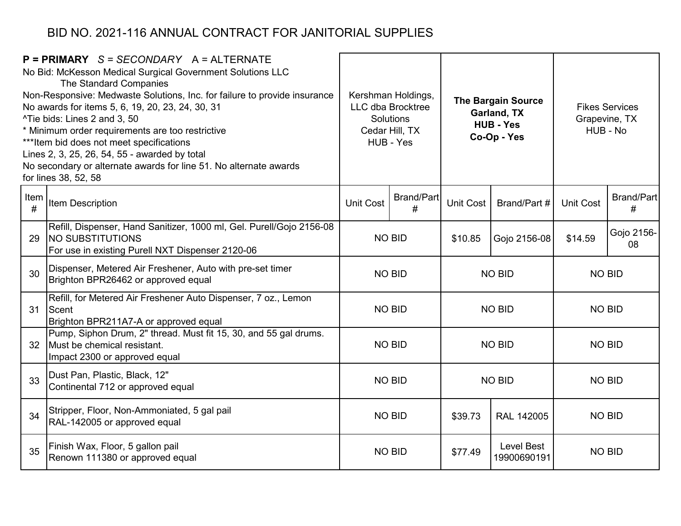|           | $P = PRIMARY$ S = SECONDARY A = ALTERNATE<br>No Bid: McKesson Medical Surgical Government Solutions LLC<br>The Standard Companies<br>Non-Responsive: Medwaste Solutions, Inc. for failure to provide insurance<br>No awards for items 5, 6, 19, 20, 23, 24, 30, 31<br>^Tie bids: Lines 2 and 3, 50<br>* Minimum order requirements are too restrictive<br>*** Item bid does not meet specifications<br>Lines 2, 3, 25, 26, 54, 55 - awarded by total<br>No secondary or alternate awards for line 51. No alternate awards<br>for lines 38, 52, 58 |                  |                                |               | Kershman Holdings,<br><b>LLC dba Brocktree</b><br>Solutions<br>Cedar Hill, TX<br>HUB - Yes |                  | <b>The Bargain Source</b><br>Garland, TX<br><b>HUB - Yes</b><br>Co-Op - Yes |               | <b>Fikes Services</b><br>Grapevine, TX<br>HUB - No |
|-----------|---------------------------------------------------------------------------------------------------------------------------------------------------------------------------------------------------------------------------------------------------------------------------------------------------------------------------------------------------------------------------------------------------------------------------------------------------------------------------------------------------------------------------------------------------|------------------|--------------------------------|---------------|--------------------------------------------------------------------------------------------|------------------|-----------------------------------------------------------------------------|---------------|----------------------------------------------------|
| Item<br># | <b>Item Description</b>                                                                                                                                                                                                                                                                                                                                                                                                                                                                                                                           | <b>Unit Cost</b> | <b>Brand/Part</b><br>#         | Unit Cost     | Brand/Part #                                                                               | <b>Unit Cost</b> | <b>Brand/Part</b><br>#                                                      |               |                                                    |
| 29        | Refill, Dispenser, Hand Sanitizer, 1000 ml, Gel. Purell/Gojo 2156-08<br><b>INO SUBSTITUTIONS</b><br>For use in existing Purell NXT Dispenser 2120-06                                                                                                                                                                                                                                                                                                                                                                                              | <b>NO BID</b>    |                                | \$10.85       | Gojo 2156-08                                                                               | \$14.59          | Gojo 2156-<br>08                                                            |               |                                                    |
| 30        | Dispenser, Metered Air Freshener, Auto with pre-set timer<br>Brighton BPR26462 or approved equal                                                                                                                                                                                                                                                                                                                                                                                                                                                  |                  | <b>NO BID</b><br><b>NO BID</b> |               |                                                                                            | <b>NO BID</b>    |                                                                             |               |                                                    |
| 31        | Refill, for Metered Air Freshener Auto Dispenser, 7 oz., Lemon<br>Scent<br>Brighton BPR211A7-A or approved equal                                                                                                                                                                                                                                                                                                                                                                                                                                  |                  | <b>NO BID</b>                  | <b>NO BID</b> |                                                                                            | <b>NO BID</b>    |                                                                             |               |                                                    |
| 32        | Pump, Siphon Drum, 2" thread. Must fit 15, 30, and 55 gal drums.<br>Must be chemical resistant.<br>Impact 2300 or approved equal                                                                                                                                                                                                                                                                                                                                                                                                                  |                  | <b>NO BID</b>                  |               | <b>NO BID</b>                                                                              | <b>NO BID</b>    |                                                                             |               |                                                    |
| 33        | Dust Pan, Plastic, Black, 12"<br>Continental 712 or approved equal                                                                                                                                                                                                                                                                                                                                                                                                                                                                                | <b>NO BID</b>    |                                |               | <b>NO BID</b>                                                                              | <b>NO BID</b>    |                                                                             |               |                                                    |
| 34        | Stripper, Floor, Non-Ammoniated, 5 gal pail<br>RAL-142005 or approved equal                                                                                                                                                                                                                                                                                                                                                                                                                                                                       | NO BID           |                                |               |                                                                                            | \$39.73          | <b>RAL 142005</b>                                                           | <b>NO BID</b> |                                                    |
| 35        | Finish Wax, Floor, 5 gallon pail<br>Renown 111380 or approved equal                                                                                                                                                                                                                                                                                                                                                                                                                                                                               |                  | <b>NO BID</b>                  |               | Level Best<br>\$77.49<br>19900690191                                                       |                  | <b>NO BID</b>                                                               |               |                                                    |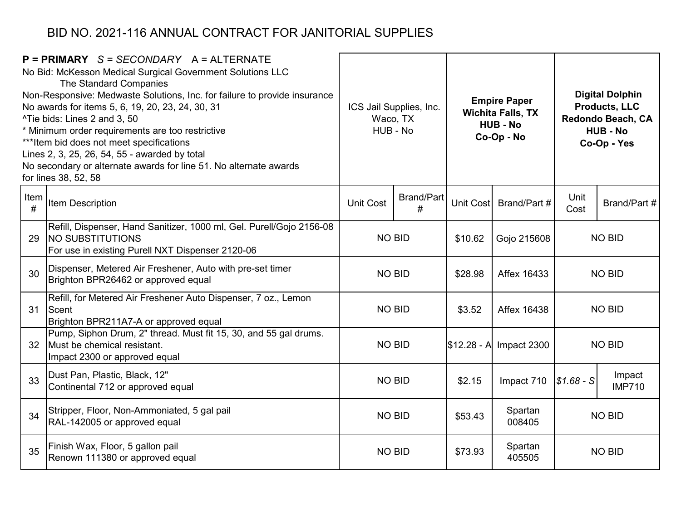|                 | $P = PRIMARY$ S = SECONDARY A = ALTERNATE<br>No Bid: McKesson Medical Surgical Government Solutions LLC<br>The Standard Companies<br>Non-Responsive: Medwaste Solutions, Inc. for failure to provide insurance<br>No awards for items 5, 6, 19, 20, 23, 24, 30, 31<br>^Tie bids: Lines 2 and 3, 50<br>* Minimum order requirements are too restrictive<br>*** Item bid does not meet specifications<br>Lines 2, 3, 25, 26, 54, 55 - awarded by total<br>No secondary or alternate awards for line 51. No alternate awards<br>for lines 38, 52, 58 | ICS Jail Supplies, Inc.<br>Waco, TX<br>HUB - No |                        | <b>Empire Paper</b><br><b>Wichita Falls, TX</b><br><b>HUB - No</b><br>Co-Op - No |                   |               |                         |  | <b>Digital Dolphin</b><br><b>Products, LLC</b><br>Redondo Beach, CA<br><b>HUB - No</b><br>Co-Op - Yes |
|-----------------|---------------------------------------------------------------------------------------------------------------------------------------------------------------------------------------------------------------------------------------------------------------------------------------------------------------------------------------------------------------------------------------------------------------------------------------------------------------------------------------------------------------------------------------------------|-------------------------------------------------|------------------------|----------------------------------------------------------------------------------|-------------------|---------------|-------------------------|--|-------------------------------------------------------------------------------------------------------|
| Item<br>#       | <b>Item Description</b>                                                                                                                                                                                                                                                                                                                                                                                                                                                                                                                           | <b>Unit Cost</b>                                | <b>Brand/Part</b><br># | Unit Cost                                                                        | Brand/Part #      | Unit<br>Cost  | Brand/Part #            |  |                                                                                                       |
| 29              | Refill, Dispenser, Hand Sanitizer, 1000 ml, Gel. Purell/Gojo 2156-08<br><b>NO SUBSTITUTIONS</b><br>For use in existing Purell NXT Dispenser 2120-06                                                                                                                                                                                                                                                                                                                                                                                               | <b>NO BID</b>                                   |                        | \$10.62                                                                          | Gojo 215608       | <b>NO BID</b> |                         |  |                                                                                                       |
| 30              | Dispenser, Metered Air Freshener, Auto with pre-set timer<br>Brighton BPR26462 or approved equal                                                                                                                                                                                                                                                                                                                                                                                                                                                  | <b>NO BID</b>                                   |                        | \$28.98                                                                          | Affex 16433       | <b>NO BID</b> |                         |  |                                                                                                       |
| 31              | Refill, for Metered Air Freshener Auto Dispenser, 7 oz., Lemon<br>Scent<br>Brighton BPR211A7-A or approved equal                                                                                                                                                                                                                                                                                                                                                                                                                                  | <b>NO BID</b>                                   |                        | \$3.52                                                                           | Affex 16438       | <b>NO BID</b> |                         |  |                                                                                                       |
| 32 <sup>2</sup> | Pump, Siphon Drum, 2" thread. Must fit 15, 30, and 55 gal drums.<br>Must be chemical resistant.<br>Impact 2300 or approved equal                                                                                                                                                                                                                                                                                                                                                                                                                  | <b>NO BID</b>                                   |                        | \$12.28 - A                                                                      | Impact 2300       |               | <b>NO BID</b>           |  |                                                                                                       |
| 33              | Dust Pan, Plastic, Black, 12"<br>Continental 712 or approved equal                                                                                                                                                                                                                                                                                                                                                                                                                                                                                | <b>NO BID</b>                                   |                        | \$2.15                                                                           | Impact 710        | $$1.68-S$     | Impact<br><b>IMP710</b> |  |                                                                                                       |
| 34              | Stripper, Floor, Non-Ammoniated, 5 gal pail<br>RAL-142005 or approved equal                                                                                                                                                                                                                                                                                                                                                                                                                                                                       | <b>NO BID</b>                                   |                        | \$53.43                                                                          | Spartan<br>008405 | <b>NO BID</b> |                         |  |                                                                                                       |
| 35              | Finish Wax, Floor, 5 gallon pail<br>Renown 111380 or approved equal                                                                                                                                                                                                                                                                                                                                                                                                                                                                               | <b>NO BID</b>                                   |                        | \$73.93                                                                          | Spartan<br>405505 |               | <b>NO BID</b>           |  |                                                                                                       |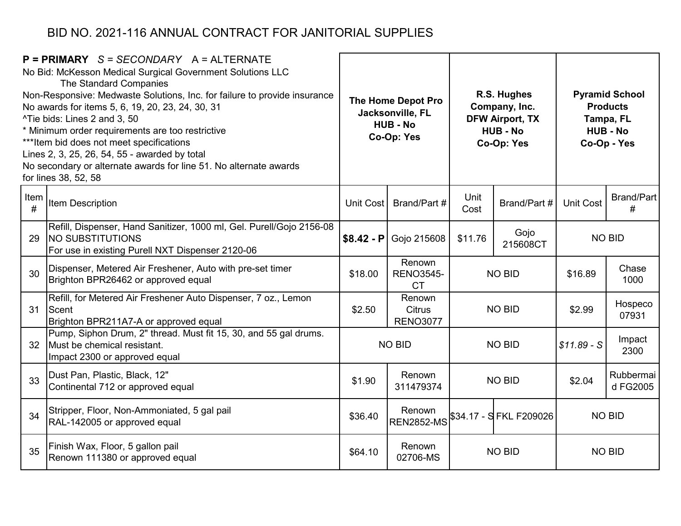|                 | $P = PRIMARY$ S = SECONDARY A = ALTERNATE<br>No Bid: McKesson Medical Surgical Government Solutions LLC<br>The Standard Companies<br>Non-Responsive: Medwaste Solutions, Inc. for failure to provide insurance<br>No awards for items 5, 6, 19, 20, 23, 24, 30, 31<br><sup>^</sup> Tie bids: Lines 2 and 3, 50<br>* Minimum order requirements are too restrictive<br>*** Item bid does not meet specifications<br>Lines 2, 3, 25, 26, 54, 55 - awarded by total<br>No secondary or alternate awards for line 51. No alternate awards<br>for lines 38, 52, 58 |             | The Home Depot Pro<br>Jacksonville, FL<br><b>HUB - No</b><br>Co-Op: Yes |                             | R.S. Hughes<br>Company, Inc.<br><b>DFW Airport, TX</b><br><b>HUB - No</b><br>Co-Op: Yes |                  | <b>Pyramid School</b><br><b>Products</b><br>Tampa, FL<br><b>HUB - No</b><br>Co-Op - Yes |  |  |
|-----------------|---------------------------------------------------------------------------------------------------------------------------------------------------------------------------------------------------------------------------------------------------------------------------------------------------------------------------------------------------------------------------------------------------------------------------------------------------------------------------------------------------------------------------------------------------------------|-------------|-------------------------------------------------------------------------|-----------------------------|-----------------------------------------------------------------------------------------|------------------|-----------------------------------------------------------------------------------------|--|--|
| Item<br>#       | Item Description                                                                                                                                                                                                                                                                                                                                                                                                                                                                                                                                              | Unit Cost   | Brand/Part #                                                            | Unit<br>Cost                | Brand/Part #                                                                            | <b>Unit Cost</b> | <b>Brand/Part</b><br>#                                                                  |  |  |
| 29              | Refill, Dispenser, Hand Sanitizer, 1000 ml, Gel. Purell/Gojo 2156-08<br><b>NO SUBSTITUTIONS</b><br>For use in existing Purell NXT Dispenser 2120-06                                                                                                                                                                                                                                                                                                                                                                                                           | $$8.42 - P$ | Gojo 215608                                                             | Gojo<br>\$11.76<br>215608CT |                                                                                         | <b>NO BID</b>    |                                                                                         |  |  |
| 30              | Dispenser, Metered Air Freshener, Auto with pre-set timer<br>Brighton BPR26462 or approved equal                                                                                                                                                                                                                                                                                                                                                                                                                                                              | \$18.00     | Renown<br><b>RENO3545-</b><br><b>CT</b>                                 |                             | <b>NO BID</b>                                                                           | \$16.89          | Chase<br>1000                                                                           |  |  |
| 31              | Refill, for Metered Air Freshener Auto Dispenser, 7 oz., Lemon<br>Scent<br>Brighton BPR211A7-A or approved equal                                                                                                                                                                                                                                                                                                                                                                                                                                              | \$2.50      | Renown<br><b>Citrus</b><br><b>RENO3077</b>                              |                             | <b>NO BID</b>                                                                           | \$2.99           | Hospeco<br>07931                                                                        |  |  |
| 32 <sup>°</sup> | Pump, Siphon Drum, 2" thread. Must fit 15, 30, and 55 gal drums.<br>Must be chemical resistant.<br>Impact 2300 or approved equal                                                                                                                                                                                                                                                                                                                                                                                                                              |             | <b>NO BID</b>                                                           |                             | <b>NO BID</b>                                                                           | $$11.89-S$       | Impact<br>2300                                                                          |  |  |
| 33              | Dust Pan, Plastic, Black, 12"<br>Continental 712 or approved equal                                                                                                                                                                                                                                                                                                                                                                                                                                                                                            | \$1.90      | Renown<br>311479374                                                     |                             | <b>NO BID</b>                                                                           | \$2.04           | Rubbermai<br>d FG2005                                                                   |  |  |
| 34              | Stripper, Floor, Non-Ammoniated, 5 gal pail<br>RAL-142005 or approved equal                                                                                                                                                                                                                                                                                                                                                                                                                                                                                   | \$36.40     | Renown<br><b>REN2852-MS</b>                                             | \$34.17 - SFKL F209026      |                                                                                         |                  | <b>NO BID</b>                                                                           |  |  |
| 35              | Finish Wax, Floor, 5 gallon pail<br>Renown 111380 or approved equal                                                                                                                                                                                                                                                                                                                                                                                                                                                                                           | \$64.10     | Renown<br>02706-MS                                                      |                             | <b>NO BID</b>                                                                           |                  | <b>NO BID</b>                                                                           |  |  |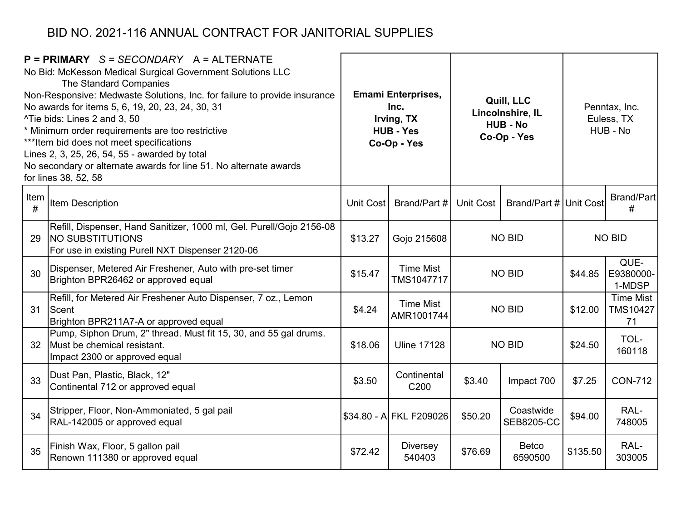|           | $P = PRIMARY$ S = SECONDARY A = ALTERNATE<br>No Bid: McKesson Medical Surgical Government Solutions LLC<br>The Standard Companies<br>Non-Responsive: Medwaste Solutions, Inc. for failure to provide insurance<br>No awards for items 5, 6, 19, 20, 23, 24, 30, 31<br>^Tie bids: Lines 2 and 3, 50<br>* Minimum order requirements are too restrictive<br>*** Item bid does not meet specifications<br>Lines 2, 3, 25, 26, 54, 55 - awarded by total<br>No secondary or alternate awards for line 51. No alternate awards<br>for lines 38, 52, 58 |           | <b>Emami Enterprises,</b><br>Inc.<br>Irving, TX<br><b>HUB - Yes</b><br>Co-Op - Yes |               | Quill, LLC<br>Lincolnshire, IL<br><b>HUB - No</b><br>Co-Op - Yes |               |                                    |  | Penntax, Inc.<br>Euless, TX<br>HUB - No |
|-----------|---------------------------------------------------------------------------------------------------------------------------------------------------------------------------------------------------------------------------------------------------------------------------------------------------------------------------------------------------------------------------------------------------------------------------------------------------------------------------------------------------------------------------------------------------|-----------|------------------------------------------------------------------------------------|---------------|------------------------------------------------------------------|---------------|------------------------------------|--|-----------------------------------------|
| Item<br># | Item Description                                                                                                                                                                                                                                                                                                                                                                                                                                                                                                                                  | Unit Cost | Brand/Part #                                                                       | Unit Cost     | Brand/Part # Unit Cost                                           |               | Brand/Part<br>#                    |  |                                         |
| 29        | Refill, Dispenser, Hand Sanitizer, 1000 ml, Gel. Purell/Gojo 2156-08<br><b>NO SUBSTITUTIONS</b><br>For use in existing Purell NXT Dispenser 2120-06                                                                                                                                                                                                                                                                                                                                                                                               | \$13.27   | Gojo 215608                                                                        | <b>NO BID</b> |                                                                  | <b>NO BID</b> |                                    |  |                                         |
| 30        | Dispenser, Metered Air Freshener, Auto with pre-set timer<br>Brighton BPR26462 or approved equal                                                                                                                                                                                                                                                                                                                                                                                                                                                  | \$15.47   | <b>Time Mist</b><br><b>TMS1047717</b>                                              |               | <b>NO BID</b>                                                    | \$44.85       | QUE-<br>E9380000-<br>1-MDSP        |  |                                         |
| 31        | Refill, for Metered Air Freshener Auto Dispenser, 7 oz., Lemon<br>Scent<br>Brighton BPR211A7-A or approved equal                                                                                                                                                                                                                                                                                                                                                                                                                                  | \$4.24    | <b>Time Mist</b><br>AMR1001744                                                     |               | <b>NO BID</b>                                                    | \$12.00       | <b>Time Mist</b><br>TMS10427<br>71 |  |                                         |
| 32        | Pump, Siphon Drum, 2" thread. Must fit 15, 30, and 55 gal drums.<br>Must be chemical resistant.<br>Impact 2300 or approved equal                                                                                                                                                                                                                                                                                                                                                                                                                  | \$18.06   | <b>Uline 17128</b>                                                                 |               | <b>NO BID</b>                                                    | \$24.50       | TOL-<br>160118                     |  |                                         |
| 33        | Dust Pan, Plastic, Black, 12"<br>Continental 712 or approved equal                                                                                                                                                                                                                                                                                                                                                                                                                                                                                | \$3.50    | Continental<br>C <sub>200</sub>                                                    | \$3.40        | Impact 700                                                       | \$7.25        | <b>CON-712</b>                     |  |                                         |
| 34        | Stripper, Floor, Non-Ammoniated, 5 gal pail<br>RAL-142005 or approved equal                                                                                                                                                                                                                                                                                                                                                                                                                                                                       |           | \$34.80 - A FKL F209026                                                            | \$50.20       | Coastwide<br><b>SEB8205-CC</b>                                   | \$94.00       | RAL-<br>748005                     |  |                                         |
| 35        | Finish Wax, Floor, 5 gallon pail<br>Renown 111380 or approved equal                                                                                                                                                                                                                                                                                                                                                                                                                                                                               | \$72.42   | Diversey<br>540403                                                                 | \$76.69       | <b>Betco</b><br>6590500                                          | \$135.50      | RAL-<br>303005                     |  |                                         |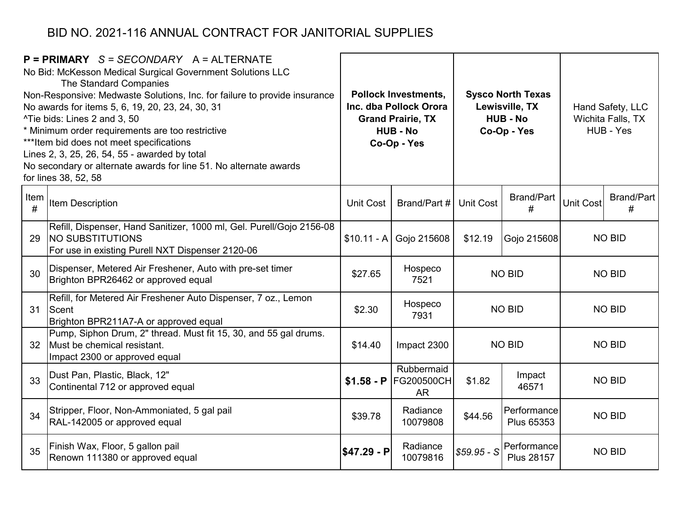|           | $P = PRIMARY$ S = SECONDARY A = ALTERNATE<br>No Bid: McKesson Medical Surgical Government Solutions LLC<br>The Standard Companies<br>Non-Responsive: Medwaste Solutions, Inc. for failure to provide insurance<br>No awards for items 5, 6, 19, 20, 23, 24, 30, 31<br>^Tie bids: Lines 2 and 3, 50<br>* Minimum order requirements are too restrictive<br>*** Item bid does not meet specifications<br>Lines 2, 3, 25, 26, 54, 55 - awarded by total<br>No secondary or alternate awards for line 51. No alternate awards<br>for lines 38, 52, 58 |                  | <b>Pollock Investments,</b><br>Inc. dba Pollock Orora<br><b>Grand Prairie, TX</b><br><b>HUB - No</b><br>Co-Op - Yes |                  | <b>Sysco North Texas</b><br>Lewisville, TX<br><b>HUB - No</b><br>Co-Op - Yes |                  | Hand Safety, LLC<br>Wichita Falls, TX<br>HUB - Yes |
|-----------|---------------------------------------------------------------------------------------------------------------------------------------------------------------------------------------------------------------------------------------------------------------------------------------------------------------------------------------------------------------------------------------------------------------------------------------------------------------------------------------------------------------------------------------------------|------------------|---------------------------------------------------------------------------------------------------------------------|------------------|------------------------------------------------------------------------------|------------------|----------------------------------------------------|
| Item<br># | Item Description                                                                                                                                                                                                                                                                                                                                                                                                                                                                                                                                  | <b>Unit Cost</b> | Brand/Part #                                                                                                        | <b>Unit Cost</b> | <b>Brand/Part</b><br>#                                                       | <b>Unit Cost</b> | <b>Brand/Part</b><br>#                             |
| 29        | Refill, Dispenser, Hand Sanitizer, 1000 ml, Gel. Purell/Gojo 2156-08<br><b>NO SUBSTITUTIONS</b><br>For use in existing Purell NXT Dispenser 2120-06                                                                                                                                                                                                                                                                                                                                                                                               | $$10.11 - A$     | Gojo 215608                                                                                                         | \$12.19          | Gojo 215608                                                                  |                  | <b>NO BID</b>                                      |
| 30        | Dispenser, Metered Air Freshener, Auto with pre-set timer<br>Brighton BPR26462 or approved equal                                                                                                                                                                                                                                                                                                                                                                                                                                                  | \$27.65          | Hospeco<br>7521                                                                                                     |                  | <b>NO BID</b>                                                                | <b>NO BID</b>    |                                                    |
| 31        | Refill, for Metered Air Freshener Auto Dispenser, 7 oz., Lemon<br>Scent<br>Brighton BPR211A7-A or approved equal                                                                                                                                                                                                                                                                                                                                                                                                                                  | \$2.30           | Hospeco<br>7931                                                                                                     |                  | <b>NO BID</b>                                                                | <b>NO BID</b>    |                                                    |
| 32        | Pump, Siphon Drum, 2" thread. Must fit 15, 30, and 55 gal drums.<br>Must be chemical resistant.<br>Impact 2300 or approved equal                                                                                                                                                                                                                                                                                                                                                                                                                  | \$14.40          | Impact 2300                                                                                                         |                  | <b>NO BID</b>                                                                |                  | <b>NO BID</b>                                      |
| 33        | Dust Pan, Plastic, Black, 12"<br>Continental 712 or approved equal                                                                                                                                                                                                                                                                                                                                                                                                                                                                                | $$1.58 - P$      | Rubbermaid<br><b>FG200500CH</b><br><b>AR</b>                                                                        | \$1.82           | Impact<br>46571                                                              |                  | <b>NO BID</b>                                      |
| 34        | Stripper, Floor, Non-Ammoniated, 5 gal pail<br>RAL-142005 or approved equal                                                                                                                                                                                                                                                                                                                                                                                                                                                                       | \$39.78          | Radiance<br>10079808                                                                                                | \$44.56          | Performance<br>Plus 65353                                                    |                  | <b>NO BID</b>                                      |
| 35        | Finish Wax, Floor, 5 gallon pail<br>Renown 111380 or approved equal                                                                                                                                                                                                                                                                                                                                                                                                                                                                               | $$47.29 - P$     | Radiance<br>10079816                                                                                                | $$59.95 - S$     | Performance<br><b>Plus 28157</b>                                             |                  | <b>NO BID</b>                                      |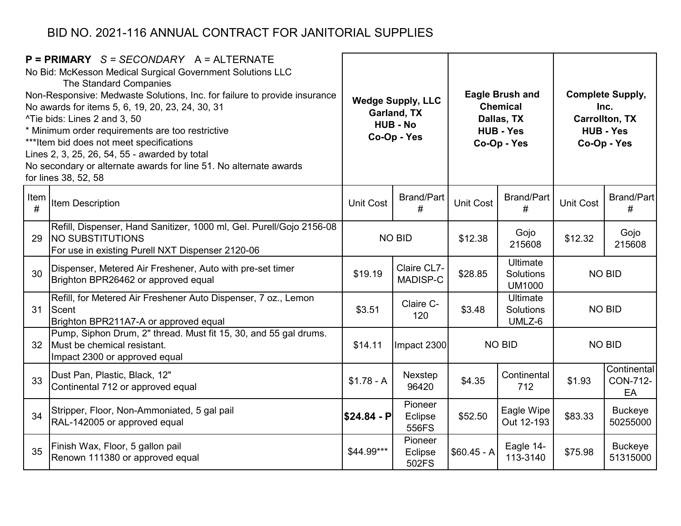|           | $P = PRIMARY$ S = SECONDARY A = ALTERNATE<br>No Bid: McKesson Medical Surgical Government Solutions LLC<br>The Standard Companies<br>Non-Responsive: Medwaste Solutions, Inc. for failure to provide insurance<br>No awards for items 5, 6, 19, 20, 23, 24, 30, 31<br>^Tie bids: Lines 2 and 3, 50<br>* Minimum order requirements are too restrictive<br>*** Item bid does not meet specifications<br>Lines 2, 3, 25, 26, 54, 55 - awarded by total<br>No secondary or alternate awards for line 51. No alternate awards<br>for lines 38, 52, 58 |              | <b>Wedge Supply, LLC</b><br>Garland, TX<br><b>HUB - No</b><br>Co-Op - Yes |              | <b>Eagle Brush and</b><br><b>Chemical</b><br>Dallas, TX<br><b>HUB - Yes</b><br>Co-Op - Yes |                  | <b>Complete Supply,</b><br>Inc.<br><b>Carrollton, TX</b><br><b>HUB - Yes</b><br>Co-Op - Yes |
|-----------|---------------------------------------------------------------------------------------------------------------------------------------------------------------------------------------------------------------------------------------------------------------------------------------------------------------------------------------------------------------------------------------------------------------------------------------------------------------------------------------------------------------------------------------------------|--------------|---------------------------------------------------------------------------|--------------|--------------------------------------------------------------------------------------------|------------------|---------------------------------------------------------------------------------------------|
| Item<br># | <b>Item Description</b>                                                                                                                                                                                                                                                                                                                                                                                                                                                                                                                           | Unit Cost    | <b>Brand/Part</b><br>#                                                    | Unit Cost    | <b>Brand/Part</b><br>#                                                                     | <b>Unit Cost</b> | Brand/Part<br>#                                                                             |
| 29        | Refill, Dispenser, Hand Sanitizer, 1000 ml, Gel. Purell/Gojo 2156-08<br><b>NO SUBSTITUTIONS</b><br>For use in existing Purell NXT Dispenser 2120-06                                                                                                                                                                                                                                                                                                                                                                                               |              | <b>NO BID</b>                                                             | \$12.38      | Gojo<br>215608                                                                             | \$12.32          | Gojo<br>215608                                                                              |
| 30        | Dispenser, Metered Air Freshener, Auto with pre-set timer<br>Brighton BPR26462 or approved equal                                                                                                                                                                                                                                                                                                                                                                                                                                                  | \$19.19      | Claire CL7-<br>MADISP-C                                                   | \$28.85      | <b>Ultimate</b><br><b>Solutions</b><br><b>UM1000</b>                                       | <b>NO BID</b>    |                                                                                             |
| 31        | Refill, for Metered Air Freshener Auto Dispenser, 7 oz., Lemon<br>Scent<br>Brighton BPR211A7-A or approved equal                                                                                                                                                                                                                                                                                                                                                                                                                                  | \$3.51       | Claire C-<br>120                                                          | \$3.48       | <b>Ultimate</b><br>Solutions<br>UMLZ-6                                                     | <b>NO BID</b>    |                                                                                             |
| 32        | Pump, Siphon Drum, 2" thread. Must fit 15, 30, and 55 gal drums.<br>Must be chemical resistant.<br>Impact 2300 or approved equal                                                                                                                                                                                                                                                                                                                                                                                                                  | \$14.11      | Impact 2300                                                               |              | <b>NO BID</b>                                                                              |                  | <b>NO BID</b>                                                                               |
| 33        | Dust Pan, Plastic, Black, 12"<br>Continental 712 or approved equal                                                                                                                                                                                                                                                                                                                                                                                                                                                                                | $$1.78 - A$  | Nexstep<br>96420                                                          | \$4.35       | Continental<br>712                                                                         | \$1.93           | Continental<br>CON-712-<br>EA                                                               |
| 34        | Stripper, Floor, Non-Ammoniated, 5 gal pail<br>RAL-142005 or approved equal                                                                                                                                                                                                                                                                                                                                                                                                                                                                       | $$24.84 - P$ | Pioneer<br>Eclipse<br>556FS                                               | \$52.50      | Eagle Wipe<br>Out 12-193                                                                   | \$83.33          | <b>Buckeye</b><br>50255000                                                                  |
| 35        | Finish Wax, Floor, 5 gallon pail<br>Renown 111380 or approved equal                                                                                                                                                                                                                                                                                                                                                                                                                                                                               | \$44.99***   | Pioneer<br>Eclipse<br>502FS                                               | $$60.45 - A$ | Eagle 14-<br>113-3140                                                                      | \$75.98          | <b>Buckeye</b><br>51315000                                                                  |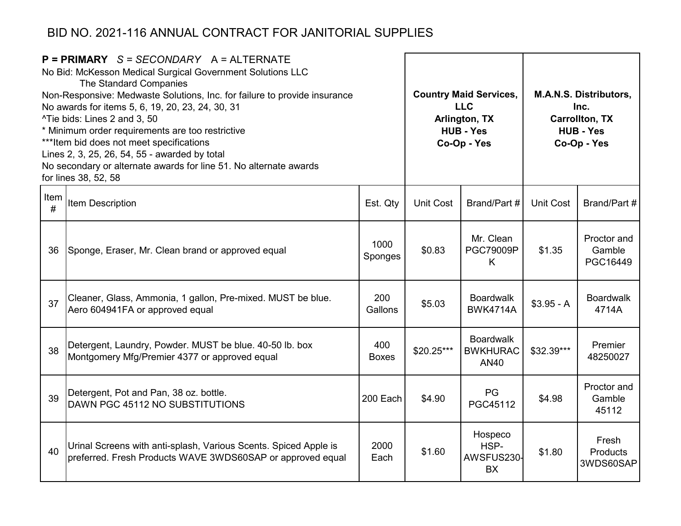|           | $P = PRIMARY$ S = SECONDARY A = ALTERNATE<br>No Bid: McKesson Medical Surgical Government Solutions LLC<br>The Standard Companies<br>Non-Responsive: Medwaste Solutions, Inc. for failure to provide insurance<br>No awards for items 5, 6, 19, 20, 23, 24, 30, 31<br>^Tie bids: Lines 2 and 3, 50<br>* Minimum order requirements are too restrictive<br>*** Item bid does not meet specifications<br>Lines 2, 3, 25, 26, 54, 55 - awarded by total<br>No secondary or alternate awards for line 51. No alternate awards<br>for lines 38, 52, 58 |                     |                  | <b>Country Maid Services,</b><br>M.A.N.S. Distributors,<br><b>LLC</b><br>Inc.<br><b>Carrollton, TX</b><br>Arlington, TX<br><b>HUB - Yes</b><br><b>HUB - Yes</b><br>Co-Op - Yes<br>Co-Op - Yes |                  |                                   |
|-----------|---------------------------------------------------------------------------------------------------------------------------------------------------------------------------------------------------------------------------------------------------------------------------------------------------------------------------------------------------------------------------------------------------------------------------------------------------------------------------------------------------------------------------------------------------|---------------------|------------------|-----------------------------------------------------------------------------------------------------------------------------------------------------------------------------------------------|------------------|-----------------------------------|
| Item<br># | Item Description                                                                                                                                                                                                                                                                                                                                                                                                                                                                                                                                  | Est. Qty            | <b>Unit Cost</b> | Brand/Part #                                                                                                                                                                                  | <b>Unit Cost</b> | Brand/Part #                      |
| 36        | Sponge, Eraser, Mr. Clean brand or approved equal                                                                                                                                                                                                                                                                                                                                                                                                                                                                                                 | 1000<br>Sponges     | \$0.83           | Mr. Clean<br><b>PGC79009P</b><br>K                                                                                                                                                            | \$1.35           | Proctor and<br>Gamble<br>PGC16449 |
| 37        | Cleaner, Glass, Ammonia, 1 gallon, Pre-mixed. MUST be blue.<br>Aero 604941FA or approved equal                                                                                                                                                                                                                                                                                                                                                                                                                                                    | 200<br>Gallons      | \$5.03           | <b>Boardwalk</b><br><b>BWK4714A</b>                                                                                                                                                           | $$3.95 - A$      | <b>Boardwalk</b><br>4714A         |
| 38        | Detergent, Laundry, Powder. MUST be blue. 40-50 lb. box<br>Montgomery Mfg/Premier 4377 or approved equal                                                                                                                                                                                                                                                                                                                                                                                                                                          | 400<br><b>Boxes</b> | $$20.25***$      | <b>Boardwalk</b><br><b>BWKHURAC</b><br>AN40                                                                                                                                                   | \$32.39***       | Premier<br>48250027               |
| 39        | Detergent, Pot and Pan, 38 oz. bottle.<br>DAWN PGC 45112 NO SUBSTITUTIONS                                                                                                                                                                                                                                                                                                                                                                                                                                                                         | 200 Each            | \$4.90           | <b>PG</b><br>PGC45112                                                                                                                                                                         | \$4.98           | Proctor and<br>Gamble<br>45112    |
| 40        | Urinal Screens with anti-splash, Various Scents. Spiced Apple is<br>preferred. Fresh Products WAVE 3WDS60SAP or approved equal                                                                                                                                                                                                                                                                                                                                                                                                                    | 2000<br>Each        | \$1.60           | Hospeco<br>HSP-<br>AWSFUS230-<br><b>BX</b>                                                                                                                                                    | \$1.80           | Fresh<br>Products<br>3WDS60SAP    |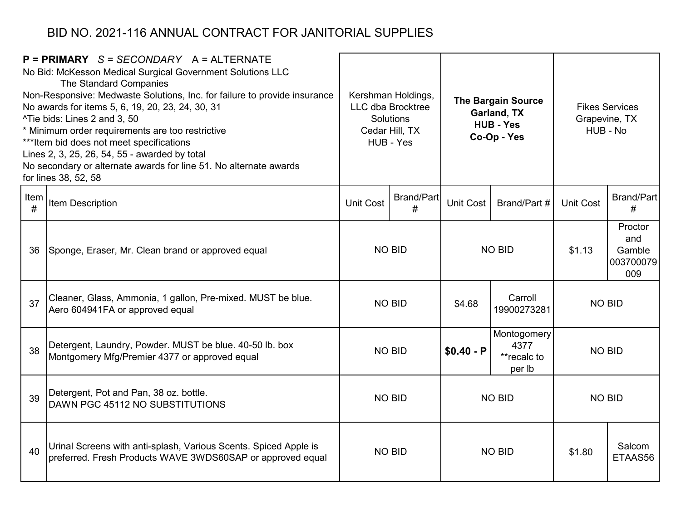|           | $P = PRIMARY$ S = SECONDARY A = ALTERNATE<br>No Bid: McKesson Medical Surgical Government Solutions LLC<br>The Standard Companies<br>Non-Responsive: Medwaste Solutions, Inc. for failure to provide insurance<br>No awards for items 5, 6, 19, 20, 23, 24, 30, 31<br><sup>^</sup> Tie bids: Lines 2 and 3, 50<br>* Minimum order requirements are too restrictive<br>*** Item bid does not meet specifications<br>Lines 2, 3, 25, 26, 54, 55 - awarded by total<br>No secondary or alternate awards for line 51. No alternate awards<br>for lines 38, 52, 58 | Kershman Holdings,<br>LLC dba Brocktree<br>Garland, TX<br>Solutions<br><b>HUB - Yes</b><br>Cedar Hill, TX<br>Co-Op - Yes<br>HUB - Yes |               |               |                                              | <b>The Bargain Source</b> |                                              | <b>Fikes Services</b><br>Grapevine, TX<br>HUB - No |
|-----------|---------------------------------------------------------------------------------------------------------------------------------------------------------------------------------------------------------------------------------------------------------------------------------------------------------------------------------------------------------------------------------------------------------------------------------------------------------------------------------------------------------------------------------------------------------------|---------------------------------------------------------------------------------------------------------------------------------------|---------------|---------------|----------------------------------------------|---------------------------|----------------------------------------------|----------------------------------------------------|
| Item<br># | <b>Item Description</b>                                                                                                                                                                                                                                                                                                                                                                                                                                                                                                                                       | <b>Brand/Part</b><br><b>Unit Cost</b><br>#                                                                                            |               | Unit Cost     | Brand/Part #                                 | <b>Unit Cost</b>          | <b>Brand/Part</b><br>#                       |                                                    |
| 36        | Sponge, Eraser, Mr. Clean brand or approved equal                                                                                                                                                                                                                                                                                                                                                                                                                                                                                                             | <b>NO BID</b>                                                                                                                         |               | <b>NO BID</b> |                                              | \$1.13                    | Proctor<br>and<br>Gamble<br>003700079<br>009 |                                                    |
| 37        | Cleaner, Glass, Ammonia, 1 gallon, Pre-mixed. MUST be blue.<br>Aero 604941FA or approved equal                                                                                                                                                                                                                                                                                                                                                                                                                                                                | <b>NO BID</b>                                                                                                                         |               | \$4.68        | Carroll<br>19900273281                       | <b>NO BID</b>             |                                              |                                                    |
| 38        | Detergent, Laundry, Powder. MUST be blue. 40-50 lb. box<br>Montgomery Mfg/Premier 4377 or approved equal                                                                                                                                                                                                                                                                                                                                                                                                                                                      |                                                                                                                                       | <b>NO BID</b> | $$0.40 - P$   | Montogomery<br>4377<br>**recalc to<br>per lb | <b>NO BID</b>             |                                              |                                                    |
| 39        | Detergent, Pot and Pan, 38 oz. bottle.<br><b>DAWN PGC 45112 NO SUBSTITUTIONS</b>                                                                                                                                                                                                                                                                                                                                                                                                                                                                              | <b>NO BID</b>                                                                                                                         |               |               | <b>NO BID</b>                                | <b>NO BID</b>             |                                              |                                                    |
| 40        | Urinal Screens with anti-splash, Various Scents. Spiced Apple is<br>preferred. Fresh Products WAVE 3WDS60SAP or approved equal                                                                                                                                                                                                                                                                                                                                                                                                                                | <b>NO BID</b>                                                                                                                         |               |               | <b>NO BID</b>                                | \$1.80                    | Salcom<br>ETAAS56                            |                                                    |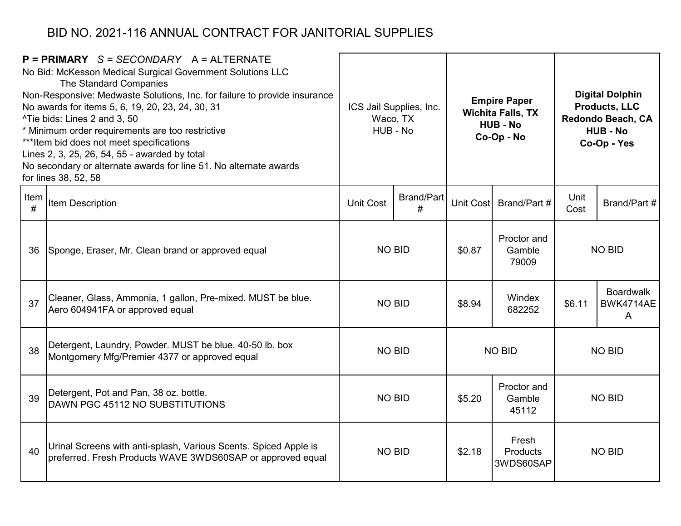|           | $P = PRIMARY$ S = SECONDARY A = ALTERNATE<br>No Bid: McKesson Medical Surgical Government Solutions LLC<br>The Standard Companies<br>Non-Responsive: Medwaste Solutions, Inc. for failure to provide insurance<br>No awards for items 5, 6, 19, 20, 23, 24, 30, 31<br>^Tie bids: Lines 2 and 3, 50<br>* Minimum order requirements are too restrictive<br>*** Item bid does not meet specifications<br>Lines 2, 3, 25, 26, 54, 55 - awarded by total<br>No secondary or alternate awards for line 51. No alternate awards<br>for lines 38, 52, 58 | ICS Jail Supplies, Inc.<br>Waco, TX<br>HUB - No |                                | <b>Empire Paper</b><br><b>Wichita Falls, TX</b><br><b>HUB - No</b><br>Co-Op - No |                                |                             | <b>Digital Dolphin</b><br><b>Products, LLC</b><br>Redondo Beach, CA<br><b>HUB - No</b><br>Co-Op - Yes |           |               |  |
|-----------|---------------------------------------------------------------------------------------------------------------------------------------------------------------------------------------------------------------------------------------------------------------------------------------------------------------------------------------------------------------------------------------------------------------------------------------------------------------------------------------------------------------------------------------------------|-------------------------------------------------|--------------------------------|----------------------------------------------------------------------------------|--------------------------------|-----------------------------|-------------------------------------------------------------------------------------------------------|-----------|---------------|--|
| Item<br># | <b>Item Description</b>                                                                                                                                                                                                                                                                                                                                                                                                                                                                                                                           | <b>Brand/Part</b><br><b>Unit Cost</b><br>#      |                                | <b>Unit Cost</b>                                                                 | Brand/Part #                   | Unit<br>Cost                | Brand/Part #                                                                                          |           |               |  |
| 36        | Sponge, Eraser, Mr. Clean brand or approved equal                                                                                                                                                                                                                                                                                                                                                                                                                                                                                                 | <b>NO BID</b>                                   |                                |                                                                                  |                                | \$0.87                      | Proctor and<br>Gamble<br>79009                                                                        |           | <b>NO BID</b> |  |
| 37        | Cleaner, Glass, Ammonia, 1 gallon, Pre-mixed. MUST be blue.<br>Aero 604941FA or approved equal                                                                                                                                                                                                                                                                                                                                                                                                                                                    |                                                 | <b>NO BID</b>                  | \$8.94                                                                           | Windex<br>682252               | \$6.11                      | <b>Boardwalk</b><br>BWK4714AE<br>A                                                                    |           |               |  |
| 38        | Detergent, Laundry, Powder. MUST be blue. 40-50 lb. box<br>Montgomery Mfg/Premier 4377 or approved equal                                                                                                                                                                                                                                                                                                                                                                                                                                          |                                                 | <b>NO BID</b><br><b>NO BID</b> |                                                                                  |                                |                             | <b>NO BID</b>                                                                                         |           |               |  |
| 39        | Detergent, Pot and Pan, 38 oz. bottle.<br>DAWN PGC 45112 NO SUBSTITUTIONS                                                                                                                                                                                                                                                                                                                                                                                                                                                                         | <b>NO BID</b>                                   |                                | \$5.20                                                                           | Proctor and<br>Gamble<br>45112 | <b>NO BID</b>               |                                                                                                       |           |               |  |
| 40        | Urinal Screens with anti-splash, Various Scents. Spiced Apple is<br>preferred. Fresh Products WAVE 3WDS60SAP or approved equal                                                                                                                                                                                                                                                                                                                                                                                                                    | <b>NO BID</b>                                   |                                |                                                                                  |                                | Fresh<br>\$2.18<br>Products |                                                                                                       | 3WDS60SAP | <b>NO BID</b> |  |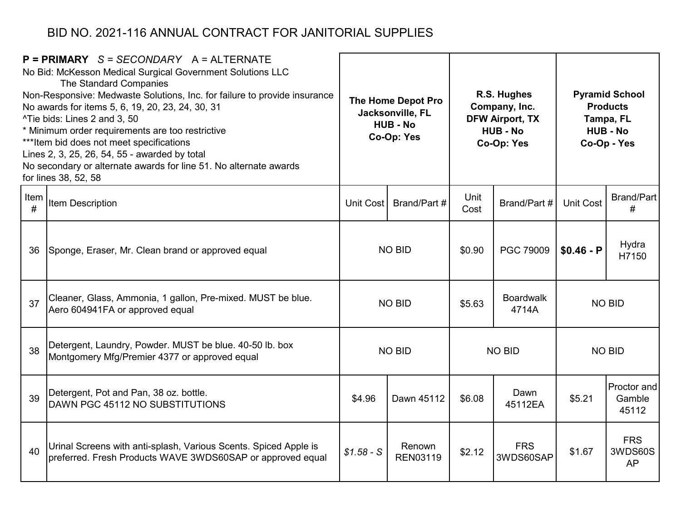|           | $P = PRIMARY$ S = SECONDARY A = ALTERNATE<br>No Bid: McKesson Medical Surgical Government Solutions LLC<br>The Standard Companies<br>Non-Responsive: Medwaste Solutions, Inc. for failure to provide insurance<br>No awards for items 5, 6, 19, 20, 23, 24, 30, 31<br>^Tie bids: Lines 2 and 3, 50<br>* Minimum order requirements are too restrictive<br>*** Item bid does not meet specifications<br>Lines 2, 3, 25, 26, 54, 55 - awarded by total<br>No secondary or alternate awards for line 51. No alternate awards<br>for lines 38, 52, 58 | The Home Depot Pro<br>Jacksonville, FL<br><b>HUB - No</b><br>Co-Op: Yes |                           | R.S. Hughes<br>Company, Inc.<br><b>DFW Airport, TX</b><br><b>HUB - No</b><br>Co-Op: Yes |                           |                  | <b>Pyramid School</b><br><b>Products</b><br>Tampa, FL<br><b>HUB - No</b><br>Co-Op - Yes |
|-----------|---------------------------------------------------------------------------------------------------------------------------------------------------------------------------------------------------------------------------------------------------------------------------------------------------------------------------------------------------------------------------------------------------------------------------------------------------------------------------------------------------------------------------------------------------|-------------------------------------------------------------------------|---------------------------|-----------------------------------------------------------------------------------------|---------------------------|------------------|-----------------------------------------------------------------------------------------|
| Item<br># | Item Description                                                                                                                                                                                                                                                                                                                                                                                                                                                                                                                                  | Brand/Part #<br>Unit Cost                                               |                           | Unit<br>Cost                                                                            | Brand/Part #              | <b>Unit Cost</b> | <b>Brand/Part</b><br>#                                                                  |
| 36        | Sponge, Eraser, Mr. Clean brand or approved equal                                                                                                                                                                                                                                                                                                                                                                                                                                                                                                 | <b>NO BID</b>                                                           |                           | \$0.90                                                                                  | PGC 79009                 | $$0.46 - P$      | Hydra<br>H7150                                                                          |
| 37        | Cleaner, Glass, Ammonia, 1 gallon, Pre-mixed. MUST be blue.<br>Aero 604941FA or approved equal                                                                                                                                                                                                                                                                                                                                                                                                                                                    |                                                                         | <b>NO BID</b>             | \$5.63                                                                                  | <b>Boardwalk</b><br>4714A |                  | <b>NO BID</b>                                                                           |
| 38        | Detergent, Laundry, Powder. MUST be blue. 40-50 lb. box<br>Montgomery Mfg/Premier 4377 or approved equal                                                                                                                                                                                                                                                                                                                                                                                                                                          |                                                                         | <b>NO BID</b>             |                                                                                         | <b>NO BID</b>             |                  | <b>NO BID</b>                                                                           |
| 39        | Detergent, Pot and Pan, 38 oz. bottle.<br>DAWN PGC 45112 NO SUBSTITUTIONS                                                                                                                                                                                                                                                                                                                                                                                                                                                                         | \$4.96                                                                  | Dawn 45112                | Dawn<br>\$6.08<br>45112EA                                                               |                           | \$5.21           | Proctor and<br>Gamble<br>45112                                                          |
| 40        | Urinal Screens with anti-splash, Various Scents. Spiced Apple is<br>preferred. Fresh Products WAVE 3WDS60SAP or approved equal                                                                                                                                                                                                                                                                                                                                                                                                                    | $$1.58 - S$                                                             | Renown<br><b>REN03119</b> | \$2.12                                                                                  | <b>FRS</b><br>3WDS60SAP   | \$1.67           | <b>FRS</b><br>3WDS60S<br><b>AP</b>                                                      |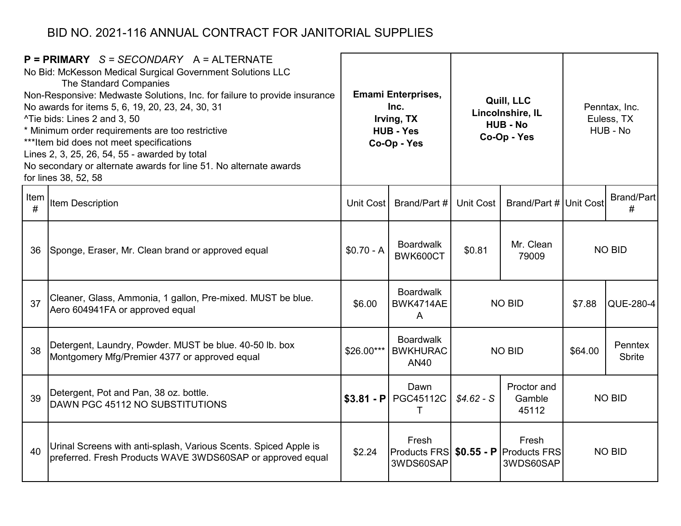|           | $P = PRIMARY$ S = SECONDARY A = ALTERNATE<br>No Bid: McKesson Medical Surgical Government Solutions LLC<br>The Standard Companies<br>Non-Responsive: Medwaste Solutions, Inc. for failure to provide insurance<br>No awards for items 5, 6, 19, 20, 23, 24, 30, 31<br>^Tie bids: Lines 2 and 3, 50<br>* Minimum order requirements are too restrictive<br>*** Item bid does not meet specifications<br>Lines 2, 3, 25, 26, 54, 55 - awarded by total<br>No secondary or alternate awards for line 51. No alternate awards<br>for lines 38, 52, 58 | <b>Emami Enterprises,</b><br>Inc.<br>Irving, TX<br><b>HUB - Yes</b><br>Co-Op - Yes |                                                                | Quill, LLC<br>Lincolnshire, IL<br><b>HUB - No</b><br>Co-Op - Yes |                    |               |                          |  | Penntax, Inc.<br>Euless, TX<br>HUB - No |
|-----------|---------------------------------------------------------------------------------------------------------------------------------------------------------------------------------------------------------------------------------------------------------------------------------------------------------------------------------------------------------------------------------------------------------------------------------------------------------------------------------------------------------------------------------------------------|------------------------------------------------------------------------------------|----------------------------------------------------------------|------------------------------------------------------------------|--------------------|---------------|--------------------------|--|-----------------------------------------|
| Item<br># | Item Description                                                                                                                                                                                                                                                                                                                                                                                                                                                                                                                                  | <b>Unit Cost</b>                                                                   | Brand/Part #                                                   | <b>Unit Cost</b><br>Brand/Part # Unit Cost                       |                    |               | <b>Brand/Part</b><br>#   |  |                                         |
| 36        | Sponge, Eraser, Mr. Clean brand or approved equal                                                                                                                                                                                                                                                                                                                                                                                                                                                                                                 | $$0.70 - A$                                                                        | <b>Boardwalk</b><br>BWK600CT                                   | Mr. Clean<br>\$0.81<br>79009                                     |                    |               |                          |  | <b>NO BID</b>                           |
| 37        | Cleaner, Glass, Ammonia, 1 gallon, Pre-mixed. MUST be blue.<br>Aero 604941FA or approved equal                                                                                                                                                                                                                                                                                                                                                                                                                                                    | \$6.00                                                                             | <b>Boardwalk</b><br>BWK4714AE<br>A                             |                                                                  | <b>NO BID</b>      | \$7.88        | QUE-280-4                |  |                                         |
| 38        | Detergent, Laundry, Powder. MUST be blue. 40-50 lb. box<br>Montgomery Mfg/Premier 4377 or approved equal                                                                                                                                                                                                                                                                                                                                                                                                                                          | \$26.00***                                                                         | <b>Boardwalk</b><br><b>BWKHURAC</b><br><b>AN40</b>             |                                                                  | <b>NO BID</b>      | \$64.00       | Penntex<br><b>Sbrite</b> |  |                                         |
| 39        | Detergent, Pot and Pan, 38 oz. bottle.<br>DAWN PGC 45112 NO SUBSTITUTIONS                                                                                                                                                                                                                                                                                                                                                                                                                                                                         | $$3.81 - P$                                                                        | Dawn<br>PGC45112C<br>т                                         | Proctor and<br>$$4.62-S$<br>Gamble<br>45112                      |                    | <b>NO BID</b> |                          |  |                                         |
| 40        | Urinal Screens with anti-splash, Various Scents. Spiced Apple is<br>preferred. Fresh Products WAVE 3WDS60SAP or approved equal                                                                                                                                                                                                                                                                                                                                                                                                                    | \$2.24                                                                             | Fresh<br>Products FRS   \$0.55 - P   Products FRS<br>3WDS60SAP |                                                                  | Fresh<br>3WDS60SAP | <b>NO BID</b> |                          |  |                                         |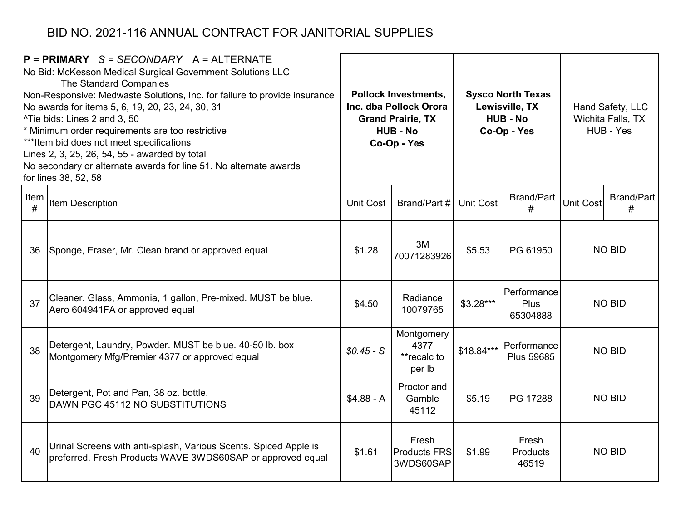|           | $P = PRIMARY$ S = SECONDARY A = ALTERNATE<br>No Bid: McKesson Medical Surgical Government Solutions LLC<br>The Standard Companies<br>Non-Responsive: Medwaste Solutions, Inc. for failure to provide insurance<br>No awards for items 5, 6, 19, 20, 23, 24, 30, 31<br>^Tie bids: Lines 2 and 3, 50<br>* Minimum order requirements are too restrictive<br>*** Item bid does not meet specifications<br>Lines 2, 3, 25, 26, 54, 55 - awarded by total<br>No secondary or alternate awards for line 51. No alternate awards<br>for lines 38, 52, 58 |                  | <b>Pollock Investments,</b><br>Inc. dba Pollock Orora<br><b>Grand Prairie, TX</b><br><b>HUB - No</b><br>Co-Op - Yes |                  | <b>Sysco North Texas</b><br>Lewisville, TX<br><b>HUB - No</b><br>Co-Op - Yes | Hand Safety, LLC<br>Wichita Falls, TX<br>HUB - Yes |                        |  |
|-----------|---------------------------------------------------------------------------------------------------------------------------------------------------------------------------------------------------------------------------------------------------------------------------------------------------------------------------------------------------------------------------------------------------------------------------------------------------------------------------------------------------------------------------------------------------|------------------|---------------------------------------------------------------------------------------------------------------------|------------------|------------------------------------------------------------------------------|----------------------------------------------------|------------------------|--|
| Item<br># | Item Description                                                                                                                                                                                                                                                                                                                                                                                                                                                                                                                                  | <b>Unit Cost</b> | Brand/Part #                                                                                                        | <b>Unit Cost</b> | <b>Brand/Part</b><br>#                                                       | <b>Unit Cost</b>                                   | <b>Brand/Part</b><br># |  |
| 36        | Sponge, Eraser, Mr. Clean brand or approved equal                                                                                                                                                                                                                                                                                                                                                                                                                                                                                                 | \$1.28           | 3M<br>70071283926                                                                                                   | \$5.53           | PG 61950                                                                     |                                                    | <b>NO BID</b>          |  |
| 37        | Cleaner, Glass, Ammonia, 1 gallon, Pre-mixed. MUST be blue.<br>Aero 604941FA or approved equal                                                                                                                                                                                                                                                                                                                                                                                                                                                    | \$4.50           | Radiance<br>10079765                                                                                                | $$3.28***$       | Performance<br><b>Plus</b><br>65304888                                       |                                                    | <b>NO BID</b>          |  |
| 38        | Detergent, Laundry, Powder. MUST be blue. 40-50 lb. box<br>Montgomery Mfg/Premier 4377 or approved equal                                                                                                                                                                                                                                                                                                                                                                                                                                          | $$0.45-S$        | Montgomery<br>4377<br>**recalc to<br>per lb                                                                         | \$18.84***       | Performance<br><b>Plus 59685</b>                                             |                                                    | <b>NO BID</b>          |  |
| 39        | Detergent, Pot and Pan, 38 oz. bottle.<br>DAWN PGC 45112 NO SUBSTITUTIONS                                                                                                                                                                                                                                                                                                                                                                                                                                                                         | $$4.88 - A$      | Proctor and<br>Gamble<br>45112                                                                                      | \$5.19           | PG 17288                                                                     |                                                    | <b>NO BID</b>          |  |
| 40        | Urinal Screens with anti-splash, Various Scents. Spiced Apple is<br>preferred. Fresh Products WAVE 3WDS60SAP or approved equal                                                                                                                                                                                                                                                                                                                                                                                                                    | \$1.61           | Fresh<br><b>Products FRS</b><br>3WDS60SAP                                                                           | \$1.99           | Fresh<br>Products<br>46519                                                   |                                                    | <b>NO BID</b>          |  |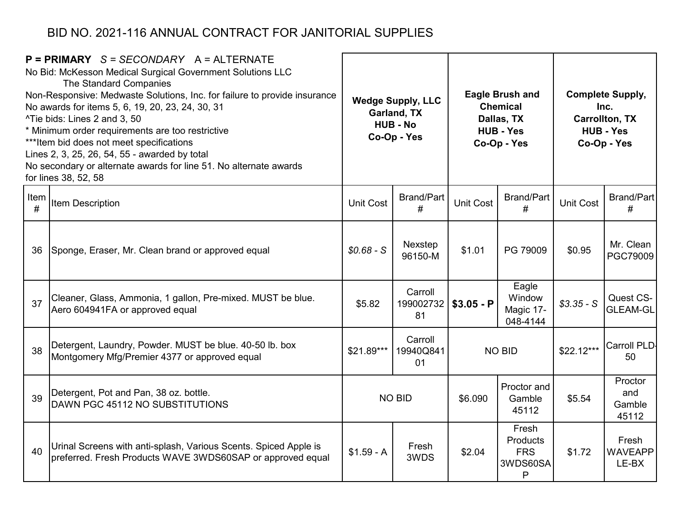|           | $P = PRIMARY$ S = SECONDARY A = ALTERNATE<br>No Bid: McKesson Medical Surgical Government Solutions LLC<br>The Standard Companies<br>Non-Responsive: Medwaste Solutions, Inc. for failure to provide insurance<br>No awards for items 5, 6, 19, 20, 23, 24, 30, 31<br>^Tie bids: Lines 2 and 3, 50<br>* Minimum order requirements are too restrictive<br>*** Item bid does not meet specifications<br>Lines 2, 3, 25, 26, 54, 55 - awarded by total<br>No secondary or alternate awards for line 51. No alternate awards<br>for lines 38, 52, 58 | <b>Wedge Supply, LLC</b><br>Garland, TX<br><b>HUB - No</b><br>Co-Op - Yes |                            | <b>Eagle Brush and</b><br><b>Chemical</b><br>Dallas, TX<br><b>HUB - Yes</b><br>Co-Op - Yes |                                                         |                  | <b>Complete Supply,</b><br>Inc.<br><b>Carrollton, TX</b><br><b>HUB - Yes</b><br>Co-Op - Yes |
|-----------|---------------------------------------------------------------------------------------------------------------------------------------------------------------------------------------------------------------------------------------------------------------------------------------------------------------------------------------------------------------------------------------------------------------------------------------------------------------------------------------------------------------------------------------------------|---------------------------------------------------------------------------|----------------------------|--------------------------------------------------------------------------------------------|---------------------------------------------------------|------------------|---------------------------------------------------------------------------------------------|
| Item<br># | Item Description                                                                                                                                                                                                                                                                                                                                                                                                                                                                                                                                  | <b>Unit Cost</b>                                                          | <b>Brand/Part</b><br>#     | <b>Brand/Part</b><br>Unit Cost<br>#                                                        |                                                         | <b>Unit Cost</b> | <b>Brand/Part</b><br>#                                                                      |
| 36        | Sponge, Eraser, Mr. Clean brand or approved equal                                                                                                                                                                                                                                                                                                                                                                                                                                                                                                 | $$0.68-S$                                                                 | Nexstep<br>96150-M         | \$1.01                                                                                     | PG 79009                                                | \$0.95           | Mr. Clean<br>PGC79009                                                                       |
| 37        | Cleaner, Glass, Ammonia, 1 gallon, Pre-mixed. MUST be blue.<br>Aero 604941FA or approved equal                                                                                                                                                                                                                                                                                                                                                                                                                                                    | \$5.82                                                                    | Carroll<br>199002732<br>81 | $$3.05 - P$                                                                                | Eagle<br>Window<br>Magic 17-<br>048-4144                | $$3.35 - S$      | Quest CS-<br><b>GLEAM-GL</b>                                                                |
| 38        | Detergent, Laundry, Powder. MUST be blue. 40-50 lb. box<br>Montgomery Mfg/Premier 4377 or approved equal                                                                                                                                                                                                                                                                                                                                                                                                                                          | \$21.89***                                                                | Carroll<br>19940Q841<br>01 |                                                                                            | <b>NO BID</b>                                           | $$22.12***$      | Carroll PLD<br>50                                                                           |
| 39        | Detergent, Pot and Pan, 38 oz. bottle.<br>DAWN PGC 45112 NO SUBSTITUTIONS                                                                                                                                                                                                                                                                                                                                                                                                                                                                         |                                                                           | <b>NO BID</b>              | Proctor and<br>\$6.090<br>Gamble<br>45112                                                  |                                                         | \$5.54           | Proctor<br>and<br>Gamble<br>45112                                                           |
| 40        | Urinal Screens with anti-splash, Various Scents. Spiced Apple is<br>preferred. Fresh Products WAVE 3WDS60SAP or approved equal                                                                                                                                                                                                                                                                                                                                                                                                                    | $$1.59 - A$                                                               | Fresh<br>3WDS              | \$2.04                                                                                     | Fresh<br><b>Products</b><br><b>FRS</b><br>3WDS60SA<br>P | \$1.72           | Fresh<br><b>WAVEAPP</b><br>LE-BX                                                            |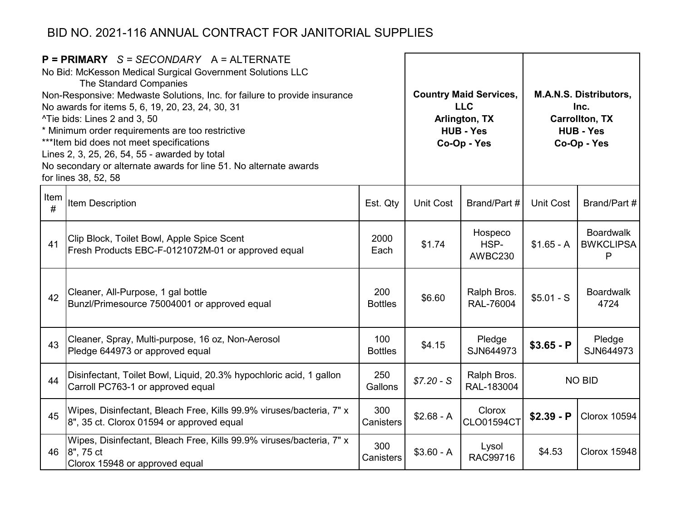|              | $P = PRIMARY$ S = SECONDARY A = ALTERNATE<br>No Bid: McKesson Medical Surgical Government Solutions LLC<br>The Standard Companies<br>Non-Responsive: Medwaste Solutions, Inc. for failure to provide insurance<br>No awards for items 5, 6, 19, 20, 23, 24, 30, 31<br>^Tie bids: Lines 2 and 3, 50<br>* Minimum order requirements are too restrictive<br>*** Item bid does not meet specifications<br>Lines 2, 3, 25, 26, 54, 55 - awarded by total<br>No secondary or alternate awards for line 51. No alternate awards<br>for lines 38, 52, 58 |                       |                  | <b>Country Maid Services,</b><br><b>LLC</b><br>Arlington, TX<br><b>HUB - Yes</b><br>Co-Op - Yes |             | <b>M.A.N.S. Distributors,</b><br>Inc.<br><b>Carrollton, TX</b><br><b>HUB - Yes</b><br>Co-Op - Yes |
|--------------|---------------------------------------------------------------------------------------------------------------------------------------------------------------------------------------------------------------------------------------------------------------------------------------------------------------------------------------------------------------------------------------------------------------------------------------------------------------------------------------------------------------------------------------------------|-----------------------|------------------|-------------------------------------------------------------------------------------------------|-------------|---------------------------------------------------------------------------------------------------|
| Item<br>$\#$ | Item Description                                                                                                                                                                                                                                                                                                                                                                                                                                                                                                                                  | Est. Qty              | <b>Unit Cost</b> | Brand/Part #                                                                                    | Unit Cost   | Brand/Part #                                                                                      |
| 41           | Clip Block, Toilet Bowl, Apple Spice Scent<br>Fresh Products EBC-F-0121072M-01 or approved equal                                                                                                                                                                                                                                                                                                                                                                                                                                                  | 2000<br>Each          | \$1.74           | Hospeco<br>HSP-<br>AWBC230                                                                      | $$1.65 - A$ | <b>Boardwalk</b><br><b>BWKCLIPSA</b><br>P                                                         |
| 42           | Cleaner, All-Purpose, 1 gal bottle<br>Bunzl/Primesource 75004001 or approved equal                                                                                                                                                                                                                                                                                                                                                                                                                                                                | 200<br><b>Bottles</b> | \$6.60           | Ralph Bros.<br>RAL-76004                                                                        | $$5.01 - S$ | <b>Boardwalk</b><br>4724                                                                          |
| 43           | Cleaner, Spray, Multi-purpose, 16 oz, Non-Aerosol<br>Pledge 644973 or approved equal                                                                                                                                                                                                                                                                                                                                                                                                                                                              | 100<br><b>Bottles</b> | \$4.15           | Pledge<br>SJN644973                                                                             | $$3.65 - P$ | Pledge<br>SJN644973                                                                               |
| 44           | Disinfectant, Toilet Bowl, Liquid, 20.3% hypochloric acid, 1 gallon<br>Carroll PC763-1 or approved equal                                                                                                                                                                                                                                                                                                                                                                                                                                          | 250<br>Gallons        | $$7.20 - S$      | Ralph Bros.<br>RAL-183004                                                                       |             | <b>NO BID</b>                                                                                     |
| 45           | Wipes, Disinfectant, Bleach Free, Kills 99.9% viruses/bacteria, 7" x<br>8", 35 ct. Clorox 01594 or approved equal                                                                                                                                                                                                                                                                                                                                                                                                                                 | 300<br>Canisters      | $$2.68 - A$      | Clorox<br><b>CLO01594CT</b>                                                                     | $$2.39 - P$ | <b>Clorox 10594</b>                                                                               |
| 46           | Wipes, Disinfectant, Bleach Free, Kills 99.9% viruses/bacteria, 7" x<br>8", 75 ct<br>Clorox 15948 or approved equal                                                                                                                                                                                                                                                                                                                                                                                                                               | 300<br>Canisters      | $$3.60 - A$      | Lysol<br>RAC99716                                                                               | \$4.53      | Clorox 15948                                                                                      |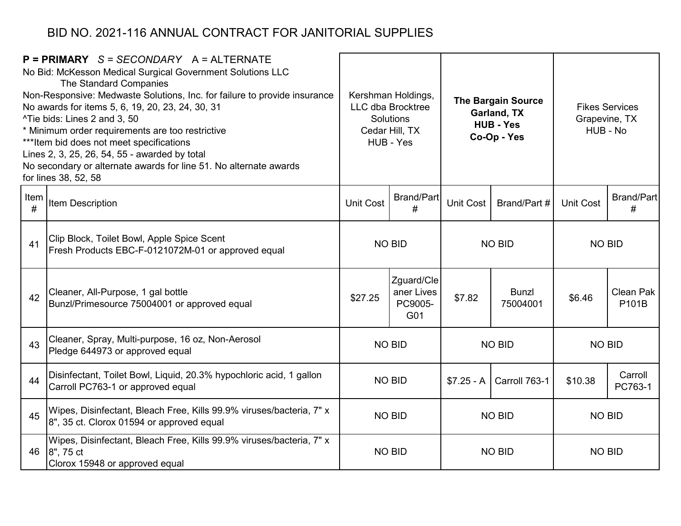|           | $P = PRIMARY$ S = SECONDARY A = ALTERNATE<br>No Bid: McKesson Medical Surgical Government Solutions LLC<br>The Standard Companies<br>Non-Responsive: Medwaste Solutions, Inc. for failure to provide insurance<br>No awards for items 5, 6, 19, 20, 23, 24, 30, 31<br>^Tie bids: Lines 2 and 3, 50<br>* Minimum order requirements are too restrictive<br>*** Item bid does not meet specifications<br>Lines 2, 3, 25, 26, 54, 55 - awarded by total<br>No secondary or alternate awards for line 51. No alternate awards<br>for lines 38, 52, 58 |                  | Kershman Holdings,<br><b>LLC dba Brocktree</b><br>Solutions<br>Cedar Hill, TX<br>HUB - Yes | <b>The Bargain Source</b><br>Garland, TX<br><b>HUB - Yes</b><br>Co-Op - Yes |                          | <b>Fikes Services</b><br>Grapevine, TX<br>HUB - No |                    |  |
|-----------|---------------------------------------------------------------------------------------------------------------------------------------------------------------------------------------------------------------------------------------------------------------------------------------------------------------------------------------------------------------------------------------------------------------------------------------------------------------------------------------------------------------------------------------------------|------------------|--------------------------------------------------------------------------------------------|-----------------------------------------------------------------------------|--------------------------|----------------------------------------------------|--------------------|--|
| Item<br># | <b>Item Description</b>                                                                                                                                                                                                                                                                                                                                                                                                                                                                                                                           | <b>Unit Cost</b> | <b>Brand/Part</b><br>#                                                                     | Unit Cost                                                                   | Brand/Part #             |                                                    | Brand/Part<br>#    |  |
| 41        | Clip Block, Toilet Bowl, Apple Spice Scent<br>Fresh Products EBC-F-0121072M-01 or approved equal                                                                                                                                                                                                                                                                                                                                                                                                                                                  |                  | <b>NO BID</b>                                                                              |                                                                             | <b>NO BID</b>            |                                                    | <b>NO BID</b>      |  |
| 42        | Cleaner, All-Purpose, 1 gal bottle<br>Bunzl/Primesource 75004001 or approved equal                                                                                                                                                                                                                                                                                                                                                                                                                                                                | \$27.25          | Zguard/Cle<br>aner Lives<br>PC9005-<br>G01                                                 | \$7.82                                                                      | <b>Bunzl</b><br>75004001 | \$6.46                                             | Clean Pak<br>P101B |  |
| 43        | Cleaner, Spray, Multi-purpose, 16 oz, Non-Aerosol<br>Pledge 644973 or approved equal                                                                                                                                                                                                                                                                                                                                                                                                                                                              |                  | NO BID                                                                                     |                                                                             | <b>NO BID</b>            | <b>NO BID</b>                                      |                    |  |
| 44        | Disinfectant, Toilet Bowl, Liquid, 20.3% hypochloric acid, 1 gallon<br>Carroll PC763-1 or approved equal                                                                                                                                                                                                                                                                                                                                                                                                                                          |                  | <b>NO BID</b>                                                                              | $$7.25 - A$                                                                 | Carroll 763-1            | \$10.38                                            | Carroll<br>PC763-1 |  |
| 45        | Wipes, Disinfectant, Bleach Free, Kills 99.9% viruses/bacteria, 7" x<br>8", 35 ct. Clorox 01594 or approved equal                                                                                                                                                                                                                                                                                                                                                                                                                                 | <b>NO BID</b>    |                                                                                            | <b>NO BID</b>                                                               |                          | <b>NO BID</b>                                      |                    |  |
| 46        | Wipes, Disinfectant, Bleach Free, Kills 99.9% viruses/bacteria, 7" x<br>8", 75 ct<br>Clorox 15948 or approved equal                                                                                                                                                                                                                                                                                                                                                                                                                               |                  | <b>NO BID</b>                                                                              | <b>NO BID</b>                                                               |                          | <b>NO BID</b>                                      |                    |  |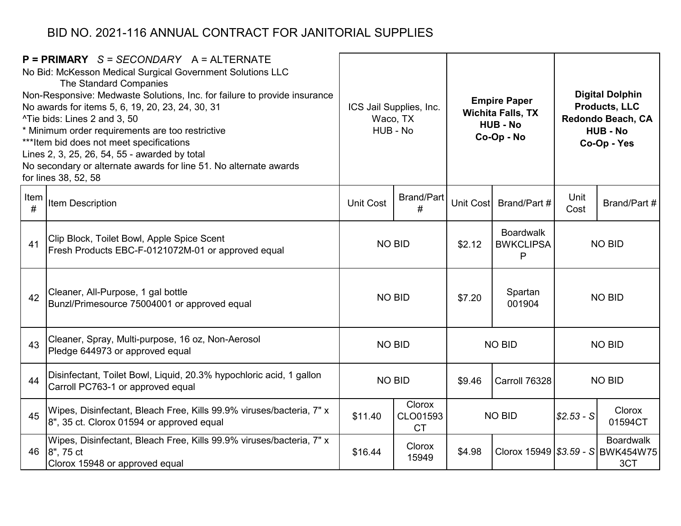|           | $P = PRIMARY$ S = SECONDARY A = ALTERNATE<br>No Bid: McKesson Medical Surgical Government Solutions LLC<br>The Standard Companies<br>Non-Responsive: Medwaste Solutions, Inc. for failure to provide insurance<br>No awards for items 5, 6, 19, 20, 23, 24, 30, 31<br>^Tie bids: Lines 2 and 3, 50<br>* Minimum order requirements are too restrictive<br>*** Item bid does not meet specifications<br>Lines 2, 3, 25, 26, 54, 55 - awarded by total<br>No secondary or alternate awards for line 51. No alternate awards<br>for lines 38, 52, 58 |                                                                    | ICS Jail Supplies, Inc.<br>Waco, TX<br>HUB - No |                           | <b>Empire Paper</b><br><b>Wichita Falls, TX</b><br><b>HUB - No</b><br>Co-Op - No |              | <b>Digital Dolphin</b><br><b>Products, LLC</b><br>Redondo Beach, CA<br><b>HUB - No</b><br>Co-Op - Yes |
|-----------|---------------------------------------------------------------------------------------------------------------------------------------------------------------------------------------------------------------------------------------------------------------------------------------------------------------------------------------------------------------------------------------------------------------------------------------------------------------------------------------------------------------------------------------------------|--------------------------------------------------------------------|-------------------------------------------------|---------------------------|----------------------------------------------------------------------------------|--------------|-------------------------------------------------------------------------------------------------------|
| Item<br># | <b>Item Description</b>                                                                                                                                                                                                                                                                                                                                                                                                                                                                                                                           | Unit Cost                                                          | <b>Brand/Part</b><br>#                          | Brand/Part #<br>Unit Cost |                                                                                  | Unit<br>Cost | Brand/Part #                                                                                          |
| 41        | Clip Block, Toilet Bowl, Apple Spice Scent<br>Fresh Products EBC-F-0121072M-01 or approved equal                                                                                                                                                                                                                                                                                                                                                                                                                                                  |                                                                    | <b>NO BID</b>                                   | \$2.12                    | <b>Boardwalk</b><br><b>BWKCLIPSA</b><br>P                                        |              | <b>NO BID</b>                                                                                         |
| 42        | Cleaner, All-Purpose, 1 gal bottle<br>Bunzl/Primesource 75004001 or approved equal                                                                                                                                                                                                                                                                                                                                                                                                                                                                |                                                                    | <b>NO BID</b>                                   | \$7.20                    | Spartan<br>001904                                                                |              | <b>NO BID</b>                                                                                         |
| 43        | Cleaner, Spray, Multi-purpose, 16 oz, Non-Aerosol<br>Pledge 644973 or approved equal                                                                                                                                                                                                                                                                                                                                                                                                                                                              |                                                                    | <b>NO BID</b>                                   |                           | <b>NO BID</b>                                                                    |              | <b>NO BID</b>                                                                                         |
| 44        | Disinfectant, Toilet Bowl, Liquid, 20.3% hypochloric acid, 1 gallon<br>Carroll PC763-1 or approved equal                                                                                                                                                                                                                                                                                                                                                                                                                                          |                                                                    | <b>NO BID</b>                                   | \$9.46                    | Carroll 76328                                                                    |              | <b>NO BID</b>                                                                                         |
| 45        | Wipes, Disinfectant, Bleach Free, Kills 99.9% viruses/bacteria, 7" x<br>8", 35 ct. Clorox 01594 or approved equal                                                                                                                                                                                                                                                                                                                                                                                                                                 | <b>Clorox</b><br><b>NO BID</b><br>\$11.40<br>CLO01593<br><b>CT</b> |                                                 | $ $2.53-S$                | Clorox<br>01594CT                                                                |              |                                                                                                       |
|           | Wipes, Disinfectant, Bleach Free, Kills 99.9% viruses/bacteria, 7" x<br>46   8", 75 ct<br>Clorox 15948 or approved equal                                                                                                                                                                                                                                                                                                                                                                                                                          | \$16.44                                                            | <b>Clorox</b><br>15949                          | \$4.98                    |                                                                                  |              | <b>Boardwalk</b><br>Clorox 15949 \$3.59 - S BWK454W75<br>3CT                                          |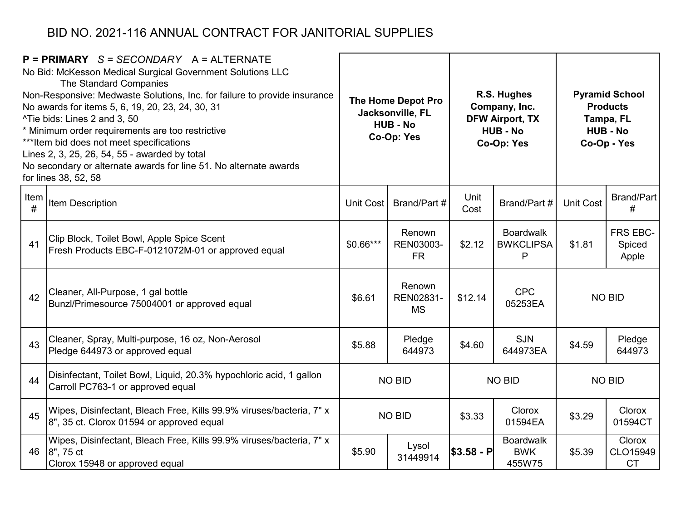| $P = PRIMARY$ S = SECONDARY A = ALTERNATE<br>No Bid: McKesson Medical Surgical Government Solutions LLC<br>The Standard Companies<br>Non-Responsive: Medwaste Solutions, Inc. for failure to provide insurance<br>No awards for items 5, 6, 19, 20, 23, 24, 30, 31<br>^Tie bids: Lines 2 and 3, 50<br>* Minimum order requirements are too restrictive<br>*** Item bid does not meet specifications<br>Lines 2, 3, 25, 26, 54, 55 - awarded by total<br>No secondary or alternate awards for line 51. No alternate awards<br>for lines 38, 52, 58 |                                                                                                                        | The Home Depot Pro<br>Jacksonville, FL<br><b>HUB - No</b><br>Co-Op: Yes |                                  |              | R.S. Hughes<br>Company, Inc.<br><b>DFW Airport, TX</b><br><b>HUB - No</b><br>Co-Op: Yes | <b>Pyramid School</b><br><b>Products</b><br>Tampa, FL<br><b>HUB - No</b><br>Co-Op - Yes |                                        |  |
|---------------------------------------------------------------------------------------------------------------------------------------------------------------------------------------------------------------------------------------------------------------------------------------------------------------------------------------------------------------------------------------------------------------------------------------------------------------------------------------------------------------------------------------------------|------------------------------------------------------------------------------------------------------------------------|-------------------------------------------------------------------------|----------------------------------|--------------|-----------------------------------------------------------------------------------------|-----------------------------------------------------------------------------------------|----------------------------------------|--|
| Item<br>#                                                                                                                                                                                                                                                                                                                                                                                                                                                                                                                                         | Item Description                                                                                                       | Unit Cost                                                               | Brand/Part #                     | Unit<br>Cost | Brand/Part #                                                                            | <b>Unit Cost</b>                                                                        | Brand/Part<br>#                        |  |
| 41                                                                                                                                                                                                                                                                                                                                                                                                                                                                                                                                                | Clip Block, Toilet Bowl, Apple Spice Scent<br>Fresh Products EBC-F-0121072M-01 or approved equal                       | $$0.66***$                                                              | Renown<br>REN03003-<br><b>FR</b> | \$2.12       | <b>Boardwalk</b><br><b>BWKCLIPSA</b><br>$\mathsf{P}$                                    | \$1.81                                                                                  | FRS EBC-<br>Spiced<br>Apple            |  |
| 42                                                                                                                                                                                                                                                                                                                                                                                                                                                                                                                                                | Cleaner, All-Purpose, 1 gal bottle<br>Bunzl/Primesource 75004001 or approved equal                                     | \$6.61                                                                  | Renown<br>REN02831-<br><b>MS</b> | \$12.14      | <b>CPC</b><br>05253EA                                                                   |                                                                                         | <b>NO BID</b>                          |  |
| 43                                                                                                                                                                                                                                                                                                                                                                                                                                                                                                                                                | Cleaner, Spray, Multi-purpose, 16 oz, Non-Aerosol<br>Pledge 644973 or approved equal                                   | \$5.88                                                                  | Pledge<br>644973                 | \$4.60       | <b>SJN</b><br>644973EA                                                                  | \$4.59                                                                                  | Pledge<br>644973                       |  |
| 44                                                                                                                                                                                                                                                                                                                                                                                                                                                                                                                                                | Disinfectant, Toilet Bowl, Liquid, 20.3% hypochloric acid, 1 gallon<br>Carroll PC763-1 or approved equal               |                                                                         | <b>NO BID</b>                    |              | <b>NO BID</b>                                                                           |                                                                                         | <b>NO BID</b>                          |  |
| 45                                                                                                                                                                                                                                                                                                                                                                                                                                                                                                                                                | Wipes, Disinfectant, Bleach Free, Kills 99.9% viruses/bacteria, 7" x<br>8", 35 ct. Clorox 01594 or approved equal      | Clorox<br><b>NO BID</b><br>\$3.33<br>01594EA                            |                                  | \$3.29       | Clorox<br>01594CT                                                                       |                                                                                         |                                        |  |
|                                                                                                                                                                                                                                                                                                                                                                                                                                                                                                                                                   | Wipes, Disinfectant, Bleach Free, Kills 99.9% viruses/bacteria, 7" x<br>46 8", 75 ct<br>Clorox 15948 or approved equal | \$5.90                                                                  | Lysol<br>31449914                | \$3.58 - P   | <b>Boardwalk</b><br><b>BWK</b><br>455W75                                                | \$5.39                                                                                  | <b>Clorox</b><br>CLO15949<br><b>CT</b> |  |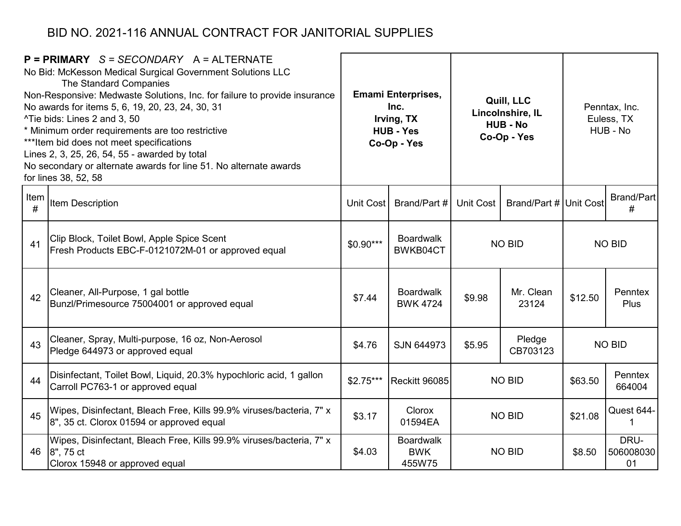|           | $P = PRIMARY$ S = SECONDARY A = ALTERNATE<br>No Bid: McKesson Medical Surgical Government Solutions LLC<br>The Standard Companies<br>Non-Responsive: Medwaste Solutions, Inc. for failure to provide insurance<br>No awards for items 5, 6, 19, 20, 23, 24, 30, 31<br>^Tie bids: Lines 2 and 3, 50<br>* Minimum order requirements are too restrictive<br>*** Item bid does not meet specifications<br>Lines 2, 3, 25, 26, 54, 55 - awarded by total<br>No secondary or alternate awards for line 51. No alternate awards<br>for lines 38, 52, 58 | <b>Emami Enterprises,</b><br>Quill, LLC<br>Inc.<br>Lincolnshire, IL<br>Irving, TX<br><b>HUB - No</b><br><b>HUB - Yes</b><br>Co-Op - Yes<br>Co-Op - Yes |                                          |               | Penntax, Inc.<br>Euless, TX<br>HUB - No |               |                         |  |
|-----------|---------------------------------------------------------------------------------------------------------------------------------------------------------------------------------------------------------------------------------------------------------------------------------------------------------------------------------------------------------------------------------------------------------------------------------------------------------------------------------------------------------------------------------------------------|--------------------------------------------------------------------------------------------------------------------------------------------------------|------------------------------------------|---------------|-----------------------------------------|---------------|-------------------------|--|
| Item<br># | <b>Item Description</b>                                                                                                                                                                                                                                                                                                                                                                                                                                                                                                                           | Unit Cost                                                                                                                                              | Brand/Part #                             | Unit Cost     | Brand/Part # Unit Cost                  |               | <b>Brand/Part</b><br>#  |  |
| 41        | Clip Block, Toilet Bowl, Apple Spice Scent<br>Fresh Products EBC-F-0121072M-01 or approved equal                                                                                                                                                                                                                                                                                                                                                                                                                                                  | $$0.90***$                                                                                                                                             | <b>Boardwalk</b><br>BWKB04CT             | <b>NO BID</b> |                                         | <b>NO BID</b> |                         |  |
| 42        | Cleaner, All-Purpose, 1 gal bottle<br>Bunzl/Primesource 75004001 or approved equal                                                                                                                                                                                                                                                                                                                                                                                                                                                                | \$7.44                                                                                                                                                 | <b>Boardwalk</b><br><b>BWK 4724</b>      | \$9.98        | Mr. Clean<br>23124                      | \$12.50       | Penntex<br><b>Plus</b>  |  |
| 43        | Cleaner, Spray, Multi-purpose, 16 oz, Non-Aerosol<br>Pledge 644973 or approved equal                                                                                                                                                                                                                                                                                                                                                                                                                                                              | \$4.76                                                                                                                                                 | SJN 644973                               | \$5.95        | Pledge<br>CB703123                      |               | <b>NO BID</b>           |  |
| 44        | Disinfectant, Toilet Bowl, Liquid, 20.3% hypochloric acid, 1 gallon<br>Carroll PC763-1 or approved equal                                                                                                                                                                                                                                                                                                                                                                                                                                          | $$2.75***$                                                                                                                                             | <b>Reckitt 96085</b>                     |               | <b>NO BID</b>                           | \$63.50       | Penntex<br>664004       |  |
| 45        | Wipes, Disinfectant, Bleach Free, Kills 99.9% viruses/bacteria, 7" x<br>8", 35 ct. Clorox 01594 or approved equal                                                                                                                                                                                                                                                                                                                                                                                                                                 | \$3.17                                                                                                                                                 | Clorox<br>01594EA                        | <b>NO BID</b> |                                         | \$21.08       | Quest 644-<br>1         |  |
| 46        | Wipes, Disinfectant, Bleach Free, Kills 99.9% viruses/bacteria, 7" x<br>8", 75 ct<br>Clorox 15948 or approved equal                                                                                                                                                                                                                                                                                                                                                                                                                               | \$4.03                                                                                                                                                 | <b>Boardwalk</b><br><b>BWK</b><br>455W75 |               | <b>NO BID</b>                           | \$8.50        | DRU-<br>506008030<br>01 |  |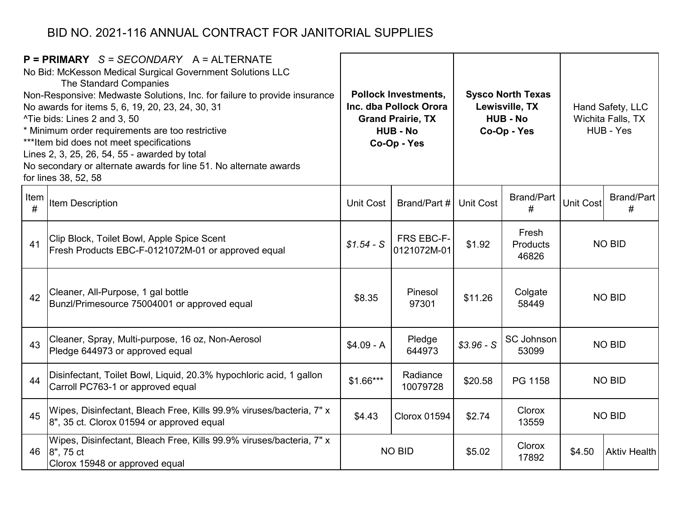| $P = PRIMARY$ S = SECONDARY A = ALTERNATE<br>No Bid: McKesson Medical Surgical Government Solutions LLC<br>The Standard Companies<br>Non-Responsive: Medwaste Solutions, Inc. for failure to provide insurance<br>No awards for items 5, 6, 19, 20, 23, 24, 30, 31<br>^Tie bids: Lines 2 and 3, 50<br>* Minimum order requirements are too restrictive<br>*** Item bid does not meet specifications<br>Lines 2, 3, 25, 26, 54, 55 - awarded by total<br>No secondary or alternate awards for line 51. No alternate awards<br>for lines 38, 52, 58 |                                                                                                                     | <b>Pollock Investments,</b><br>Inc. dba Pollock Orora<br><b>Grand Prairie, TX</b><br><b>HUB - No</b><br>Co-Op - Yes |                           | <b>Sysco North Texas</b><br>Lewisville, TX<br><b>HUB - No</b><br>Co-Op - Yes |                                   | Hand Safety, LLC<br>Wichita Falls, TX<br>HUB - Yes |                        |
|---------------------------------------------------------------------------------------------------------------------------------------------------------------------------------------------------------------------------------------------------------------------------------------------------------------------------------------------------------------------------------------------------------------------------------------------------------------------------------------------------------------------------------------------------|---------------------------------------------------------------------------------------------------------------------|---------------------------------------------------------------------------------------------------------------------|---------------------------|------------------------------------------------------------------------------|-----------------------------------|----------------------------------------------------|------------------------|
| Item<br>#                                                                                                                                                                                                                                                                                                                                                                                                                                                                                                                                         | <b>Item Description</b>                                                                                             | <b>Unit Cost</b>                                                                                                    | Brand/Part #              | <b>Unit Cost</b>                                                             | <b>Brand/Part</b><br>#            | <b>Unit Cost</b>                                   | <b>Brand/Part</b><br># |
| 41                                                                                                                                                                                                                                                                                                                                                                                                                                                                                                                                                | Clip Block, Toilet Bowl, Apple Spice Scent<br>Fresh Products EBC-F-0121072M-01 or approved equal                    | $$1.54-S$                                                                                                           | FRS EBC-F-<br>0121072M-01 | \$1.92                                                                       | Fresh<br><b>Products</b><br>46826 | <b>NO BID</b>                                      |                        |
| 42                                                                                                                                                                                                                                                                                                                                                                                                                                                                                                                                                | Cleaner, All-Purpose, 1 gal bottle<br>Bunzl/Primesource 75004001 or approved equal                                  | \$8.35                                                                                                              | Pinesol<br>97301          | \$11.26                                                                      | Colgate<br>58449                  |                                                    | <b>NO BID</b>          |
| 43                                                                                                                                                                                                                                                                                                                                                                                                                                                                                                                                                | Cleaner, Spray, Multi-purpose, 16 oz, Non-Aerosol<br>Pledge 644973 or approved equal                                | $$4.09 - A$                                                                                                         | Pledge<br>644973          | $$3.96-S$                                                                    | <b>SC Johnson</b><br>53099        |                                                    | <b>NO BID</b>          |
| 44                                                                                                                                                                                                                                                                                                                                                                                                                                                                                                                                                | Disinfectant, Toilet Bowl, Liquid, 20.3% hypochloric acid, 1 gallon<br>Carroll PC763-1 or approved equal            | $$1.66***$                                                                                                          | Radiance<br>10079728      | \$20.58                                                                      | PG 1158                           | <b>NO BID</b>                                      |                        |
| 45                                                                                                                                                                                                                                                                                                                                                                                                                                                                                                                                                | Wipes, Disinfectant, Bleach Free, Kills 99.9% viruses/bacteria, 7" x<br>8", 35 ct. Clorox 01594 or approved equal   | \$4.43                                                                                                              | <b>Clorox 01594</b>       | \$2.74                                                                       | Clorox<br>13559                   | <b>NO BID</b>                                      |                        |
| 46                                                                                                                                                                                                                                                                                                                                                                                                                                                                                                                                                | Wipes, Disinfectant, Bleach Free, Kills 99.9% viruses/bacteria, 7" x<br>8", 75 ct<br>Clorox 15948 or approved equal |                                                                                                                     | <b>NO BID</b>             | \$5.02                                                                       | Clorox<br>17892                   | \$4.50                                             | <b>Aktiv Health</b>    |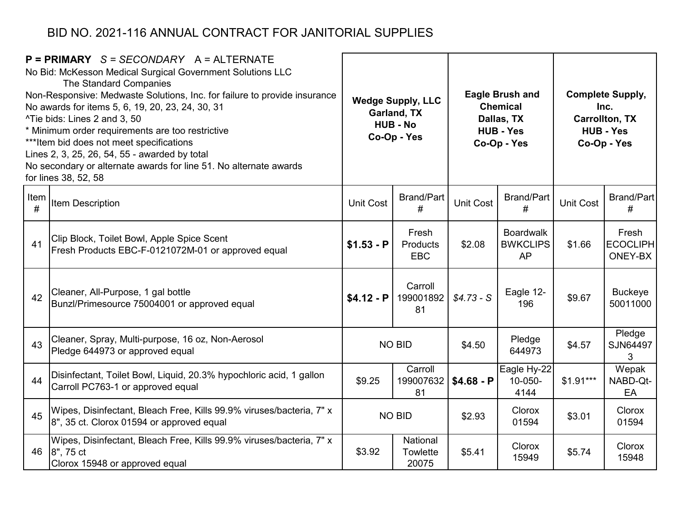| $P = PRIMARY$ S = SECONDARY A = ALTERNATE<br>No Bid: McKesson Medical Surgical Government Solutions LLC<br>The Standard Companies<br>Non-Responsive: Medwaste Solutions, Inc. for failure to provide insurance<br>No awards for items 5, 6, 19, 20, 23, 24, 30, 31<br>^Tie bids: Lines 2 and 3, 50<br>* Minimum order requirements are too restrictive<br>*** Item bid does not meet specifications<br>Lines 2, 3, 25, 26, 54, 55 - awarded by total<br>No secondary or alternate awards for line 51. No alternate awards<br>for lines 38, 52, 58 |                                                                                                                        | <b>Wedge Supply, LLC</b><br>Garland, TX<br><b>HUB - No</b><br>Co-Op - Yes |                                 | <b>Eagle Brush and</b><br><b>Chemical</b><br>Dallas, TX<br><b>HUB - Yes</b><br>Co-Op - Yes |                                           | <b>Complete Supply,</b><br>Inc.<br><b>Carrollton, TX</b><br><b>HUB - Yes</b><br>Co-Op - Yes |                                     |
|---------------------------------------------------------------------------------------------------------------------------------------------------------------------------------------------------------------------------------------------------------------------------------------------------------------------------------------------------------------------------------------------------------------------------------------------------------------------------------------------------------------------------------------------------|------------------------------------------------------------------------------------------------------------------------|---------------------------------------------------------------------------|---------------------------------|--------------------------------------------------------------------------------------------|-------------------------------------------|---------------------------------------------------------------------------------------------|-------------------------------------|
| Item<br>#                                                                                                                                                                                                                                                                                                                                                                                                                                                                                                                                         | <b>Item Description</b>                                                                                                | <b>Unit Cost</b>                                                          | <b>Brand/Part</b><br>#          | <b>Unit Cost</b>                                                                           | <b>Brand/Part</b><br>#                    | <b>Unit Cost</b>                                                                            | Brand/Part<br>#                     |
| 41                                                                                                                                                                                                                                                                                                                                                                                                                                                                                                                                                | Clip Block, Toilet Bowl, Apple Spice Scent<br>Fresh Products EBC-F-0121072M-01 or approved equal                       | $$1.53 - P$                                                               | Fresh<br>Products<br><b>EBC</b> | \$2.08                                                                                     | <b>Boardwalk</b><br><b>BWKCLIPS</b><br>AP | \$1.66                                                                                      | Fresh<br><b>ECOCLIPH</b><br>ONEY-BX |
| 42                                                                                                                                                                                                                                                                                                                                                                                                                                                                                                                                                | Cleaner, All-Purpose, 1 gal bottle<br>Bunzl/Primesource 75004001 or approved equal                                     | $$4.12 - P$                                                               | Carroll<br>199001892<br>81      | $$4.73 - S$                                                                                | Eagle 12-<br>196                          | \$9.67                                                                                      | <b>Buckeye</b><br>50011000          |
| 43                                                                                                                                                                                                                                                                                                                                                                                                                                                                                                                                                | Cleaner, Spray, Multi-purpose, 16 oz, Non-Aerosol<br>Pledge 644973 or approved equal                                   |                                                                           | <b>NO BID</b>                   | \$4.50                                                                                     | Pledge<br>644973                          | \$4.57                                                                                      | Pledge<br>SJN64497<br>3             |
| 44                                                                                                                                                                                                                                                                                                                                                                                                                                                                                                                                                | Disinfectant, Toilet Bowl, Liquid, 20.3% hypochloric acid, 1 gallon<br>Carroll PC763-1 or approved equal               | \$9.25                                                                    | Carroll<br>199007632<br>81      | $$4.68 - P$                                                                                | Eagle Hy-22<br>10-050-<br>4144            | $$1.91***$                                                                                  | Wepak<br>NABD-Qt-<br>EA             |
| 45                                                                                                                                                                                                                                                                                                                                                                                                                                                                                                                                                | Wipes, Disinfectant, Bleach Free, Kills 99.9% viruses/bacteria, 7" x<br>8", 35 ct. Clorox 01594 or approved equal      | <b>NO BID</b>                                                             |                                 | \$2.93                                                                                     | <b>Clorox</b><br>01594                    | \$3.01                                                                                      | Clorox<br>01594                     |
|                                                                                                                                                                                                                                                                                                                                                                                                                                                                                                                                                   | Wipes, Disinfectant, Bleach Free, Kills 99.9% viruses/bacteria, 7" x<br>46 8", 75 ct<br>Clorox 15948 or approved equal | \$3.92                                                                    | National<br>Towlette<br>20075   | \$5.41                                                                                     | Clorox<br>15949                           | \$5.74                                                                                      | Clorox<br>15948                     |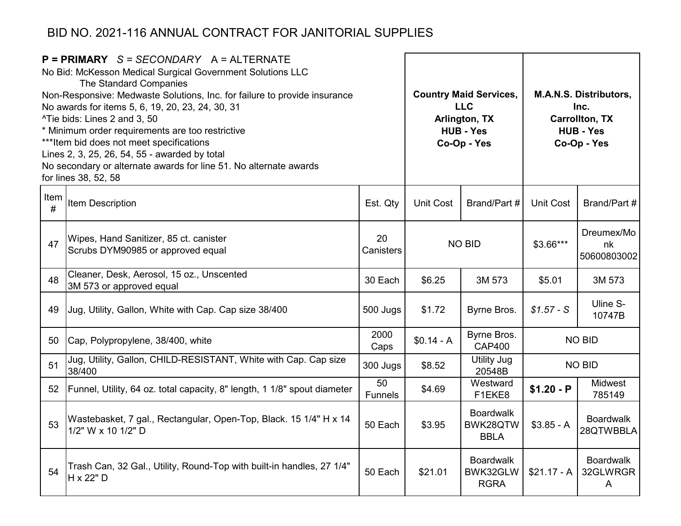| $P = PRIMARY$ S = SECONDARY A = ALTERNATE<br>No Bid: McKesson Medical Surgical Government Solutions LLC<br>The Standard Companies<br>Non-Responsive: Medwaste Solutions, Inc. for failure to provide insurance<br>No awards for items 5, 6, 19, 20, 23, 24, 30, 31<br>^Tie bids: Lines 2 and 3, 50<br>* Minimum order requirements are too restrictive<br>*** Item bid does not meet specifications<br>Lines 2, 3, 25, 26, 54, 55 - awarded by total<br>No secondary or alternate awards for line 51. No alternate awards<br>for lines 38, 52, 58 |                                                                                         |                      |                                                       | <b>Country Maid Services,</b><br><b>LLC</b><br>Arlington, TX<br><b>HUB - Yes</b><br>Co-Op - Yes | <b>M.A.N.S. Distributors,</b><br>Inc.<br><b>Carrollton, TX</b><br><b>HUB - Yes</b><br>Co-Op - Yes |                                   |           |                                 |
|---------------------------------------------------------------------------------------------------------------------------------------------------------------------------------------------------------------------------------------------------------------------------------------------------------------------------------------------------------------------------------------------------------------------------------------------------------------------------------------------------------------------------------------------------|-----------------------------------------------------------------------------------------|----------------------|-------------------------------------------------------|-------------------------------------------------------------------------------------------------|---------------------------------------------------------------------------------------------------|-----------------------------------|-----------|---------------------------------|
| Item<br>#                                                                                                                                                                                                                                                                                                                                                                                                                                                                                                                                         | Item Description                                                                        | Est. Qty             | <b>Unit Cost</b>                                      | Brand/Part #                                                                                    | <b>Unit Cost</b>                                                                                  | Brand/Part #                      |           |                                 |
| 47                                                                                                                                                                                                                                                                                                                                                                                                                                                                                                                                                | Wipes, Hand Sanitizer, 85 ct. canister<br>Scrubs DYM90985 or approved equal             | 20<br>Canisters      | <b>NO BID</b>                                         |                                                                                                 |                                                                                                   |                                   | \$3.66*** | Dreumex/Mo<br>nk<br>50600803002 |
| 48                                                                                                                                                                                                                                                                                                                                                                                                                                                                                                                                                | Cleaner, Desk, Aerosol, 15 oz., Unscented<br>3M 573 or approved equal                   | 30 Each              | \$6.25                                                | 3M 573                                                                                          | \$5.01                                                                                            | 3M 573                            |           |                                 |
| 49                                                                                                                                                                                                                                                                                                                                                                                                                                                                                                                                                | Jug, Utility, Gallon, White with Cap. Cap size 38/400                                   | 500 Jugs             | \$1.72                                                | Byrne Bros.                                                                                     | $$1.57 - S$                                                                                       | Uline S-<br>10747B                |           |                                 |
| 50                                                                                                                                                                                                                                                                                                                                                                                                                                                                                                                                                | Cap, Polypropylene, 38/400, white                                                       | 2000<br>Caps         | $$0.14 - A$                                           | Byrne Bros.<br><b>CAP400</b>                                                                    |                                                                                                   | <b>NO BID</b>                     |           |                                 |
| 51                                                                                                                                                                                                                                                                                                                                                                                                                                                                                                                                                | Jug, Utility, Gallon, CHILD-RESISTANT, White with Cap. Cap size<br>38/400               | 300 Jugs             | \$8.52                                                | <b>Utility Jug</b><br>20548B                                                                    |                                                                                                   | <b>NO BID</b>                     |           |                                 |
| 52 <sub>2</sub>                                                                                                                                                                                                                                                                                                                                                                                                                                                                                                                                   | Funnel, Utility, 64 oz. total capacity, 8" length, 1 1/8" spout diameter                | 50<br><b>Funnels</b> | \$4.69                                                | Westward<br>F1EKE8                                                                              | $$1.20 - P$                                                                                       | <b>Midwest</b><br>785149          |           |                                 |
| 53                                                                                                                                                                                                                                                                                                                                                                                                                                                                                                                                                | Wastebasket, 7 gal., Rectangular, Open-Top, Black. 15 1/4" H x 14<br>1/2" W x 10 1/2" D | 50 Each              | <b>Boardwalk</b><br>BWK28QTW<br>\$3.95<br><b>BBLA</b> |                                                                                                 | $$3.85 - A$                                                                                       | <b>Boardwalk</b><br>28QTWBBLA     |           |                                 |
| 54                                                                                                                                                                                                                                                                                                                                                                                                                                                                                                                                                | Trash Can, 32 Gal., Utility, Round-Top with built-in handles, 27 1/4"<br>H x 22" D      | 50 Each              | \$21.01                                               | <b>Boardwalk</b><br>BWK32GLW<br><b>RGRA</b>                                                     | $$21.17 - A$                                                                                      | <b>Boardwalk</b><br>32GLWRGR<br>A |           |                                 |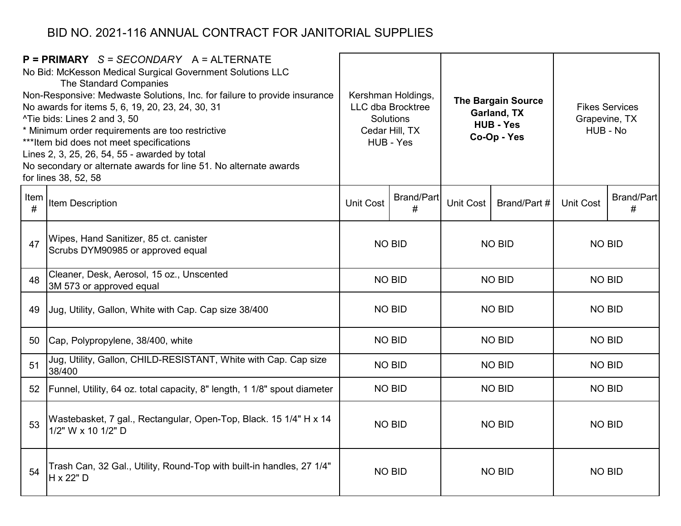|           | $P = PRIMARY$ S = SECONDARY A = ALTERNATE<br>No Bid: McKesson Medical Surgical Government Solutions LLC<br>The Standard Companies<br>Non-Responsive: Medwaste Solutions, Inc. for failure to provide insurance<br>Kershman Holdings,<br><b>LLC dba Brocktree</b><br>No awards for items 5, 6, 19, 20, 23, 24, 30, 31<br><b>Solutions</b><br>^Tie bids: Lines 2 and 3, 50<br>* Minimum order requirements are too restrictive<br>Cedar Hill, TX<br>*** Item bid does not meet specifications<br>HUB - Yes<br>Lines 2, 3, 25, 26, 54, 55 - awarded by total<br>No secondary or alternate awards for line 51. No alternate awards<br>for lines 38, 52, 58 |                  | <b>The Bargain Source</b><br><b>Garland, TX</b><br><b>HUB - Yes</b><br>Co-Op - Yes |               | Grapevine, TX<br>HUB - No | <b>Fikes Services</b> |                        |               |  |
|-----------|--------------------------------------------------------------------------------------------------------------------------------------------------------------------------------------------------------------------------------------------------------------------------------------------------------------------------------------------------------------------------------------------------------------------------------------------------------------------------------------------------------------------------------------------------------------------------------------------------------------------------------------------------------|------------------|------------------------------------------------------------------------------------|---------------|---------------------------|-----------------------|------------------------|---------------|--|
| Item<br># | Item Description                                                                                                                                                                                                                                                                                                                                                                                                                                                                                                                                                                                                                                       | <b>Unit Cost</b> | <b>Brand/Part</b><br>#                                                             | Unit Cost     | Brand/Part #              | <b>Unit Cost</b>      | <b>Brand/Part</b><br># |               |  |
| 47        | Wipes, Hand Sanitizer, 85 ct. canister<br>Scrubs DYM90985 or approved equal                                                                                                                                                                                                                                                                                                                                                                                                                                                                                                                                                                            |                  | <b>NO BID</b>                                                                      | <b>NO BID</b> |                           |                       |                        | <b>NO BID</b> |  |
| 48        | Cleaner, Desk, Aerosol, 15 oz., Unscented<br>3M 573 or approved equal                                                                                                                                                                                                                                                                                                                                                                                                                                                                                                                                                                                  |                  | <b>NO BID</b>                                                                      | <b>NO BID</b> |                           | <b>NO BID</b>         |                        |               |  |
| 49        | Jug, Utility, Gallon, White with Cap. Cap size 38/400                                                                                                                                                                                                                                                                                                                                                                                                                                                                                                                                                                                                  |                  | <b>NO BID</b>                                                                      | <b>NO BID</b> |                           | <b>NO BID</b>         |                        |               |  |
| 50        | Cap, Polypropylene, 38/400, white                                                                                                                                                                                                                                                                                                                                                                                                                                                                                                                                                                                                                      |                  | <b>NO BID</b>                                                                      |               | <b>NO BID</b>             | <b>NO BID</b>         |                        |               |  |
| 51        | Jug, Utility, Gallon, CHILD-RESISTANT, White with Cap. Cap size<br>38/400                                                                                                                                                                                                                                                                                                                                                                                                                                                                                                                                                                              |                  | <b>NO BID</b>                                                                      |               | <b>NO BID</b>             | <b>NO BID</b>         |                        |               |  |
| 52        | Funnel, Utility, 64 oz. total capacity, 8" length, 1 1/8" spout diameter                                                                                                                                                                                                                                                                                                                                                                                                                                                                                                                                                                               |                  | <b>NO BID</b>                                                                      |               | <b>NO BID</b>             | <b>NO BID</b>         |                        |               |  |
| 53        | Wastebasket, 7 gal., Rectangular, Open-Top, Black. 15 1/4" H x 14<br>1/2" W x 10 1/2" D                                                                                                                                                                                                                                                                                                                                                                                                                                                                                                                                                                | <b>NO BID</b>    |                                                                                    | <b>NO BID</b> |                           | <b>NO BID</b>         |                        |               |  |
| 54        | Trash Can, 32 Gal., Utility, Round-Top with built-in handles, 27 1/4"<br>H x 22" D                                                                                                                                                                                                                                                                                                                                                                                                                                                                                                                                                                     |                  | <b>NO BID</b>                                                                      |               | <b>NO BID</b>             | <b>NO BID</b>         |                        |               |  |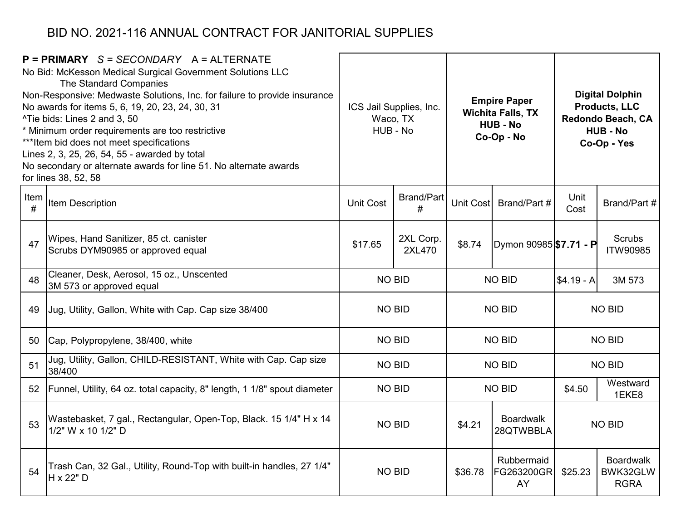|           | $P = PRIMARY$ S = SECONDARY A = ALTERNATE<br>No Bid: McKesson Medical Surgical Government Solutions LLC<br>The Standard Companies<br>Non-Responsive: Medwaste Solutions, Inc. for failure to provide insurance<br>No awards for items 5, 6, 19, 20, 23, 24, 30, 31<br>^Tie bids: Lines 2 and 3, 50<br>* Minimum order requirements are too restrictive<br>*** Item bid does not meet specifications<br>Lines 2, 3, 25, 26, 54, 55 - awarded by total<br>No secondary or alternate awards for line 51. No alternate awards<br>for lines 38, 52, 58 |                  | ICS Jail Supplies, Inc.<br>Waco, TX<br>HUB - No |                                         | <b>Empire Paper</b><br><b>Wichita Falls, TX</b><br><b>HUB - No</b><br>Co-Op - No | <b>Digital Dolphin</b><br><b>Products, LLC</b><br>Redondo Beach, CA<br><b>HUB - No</b><br>Co-Op - Yes |                                             |  |
|-----------|---------------------------------------------------------------------------------------------------------------------------------------------------------------------------------------------------------------------------------------------------------------------------------------------------------------------------------------------------------------------------------------------------------------------------------------------------------------------------------------------------------------------------------------------------|------------------|-------------------------------------------------|-----------------------------------------|----------------------------------------------------------------------------------|-------------------------------------------------------------------------------------------------------|---------------------------------------------|--|
| Item<br># | Item Description                                                                                                                                                                                                                                                                                                                                                                                                                                                                                                                                  | <b>Unit Cost</b> | <b>Brand/Part</b><br>#                          | Unit Cost<br>Brand/Part #               |                                                                                  | Unit<br>Cost                                                                                          | Brand/Part #                                |  |
| 47        | Wipes, Hand Sanitizer, 85 ct. canister<br>Scrubs DYM90985 or approved equal                                                                                                                                                                                                                                                                                                                                                                                                                                                                       | \$17.65          | 2XL Corp.<br>2XL470                             | \$8.74                                  | Dymon 90985 <b>\$7.71 - P</b>                                                    |                                                                                                       | <b>Scrubs</b><br><b>ITW90985</b>            |  |
| 48        | Cleaner, Desk, Aerosol, 15 oz., Unscented<br>3M 573 or approved equal                                                                                                                                                                                                                                                                                                                                                                                                                                                                             | <b>NO BID</b>    |                                                 |                                         | <b>NO BID</b>                                                                    | $$4.19 - A$                                                                                           | 3M 573                                      |  |
| 49        | Jug, Utility, Gallon, White with Cap. Cap size 38/400                                                                                                                                                                                                                                                                                                                                                                                                                                                                                             |                  | <b>NO BID</b>                                   |                                         | <b>NO BID</b>                                                                    | <b>NO BID</b>                                                                                         |                                             |  |
| 50        | Cap, Polypropylene, 38/400, white                                                                                                                                                                                                                                                                                                                                                                                                                                                                                                                 | <b>NO BID</b>    |                                                 |                                         | <b>NO BID</b>                                                                    |                                                                                                       | <b>NO BID</b>                               |  |
| 51        | Jug, Utility, Gallon, CHILD-RESISTANT, White with Cap. Cap size<br>38/400                                                                                                                                                                                                                                                                                                                                                                                                                                                                         | <b>NO BID</b>    |                                                 |                                         | <b>NO BID</b>                                                                    |                                                                                                       | <b>NO BID</b>                               |  |
| 52        | Funnel, Utility, 64 oz. total capacity, 8" length, 1 1/8" spout diameter                                                                                                                                                                                                                                                                                                                                                                                                                                                                          | <b>NO BID</b>    |                                                 |                                         | <b>NO BID</b>                                                                    | \$4.50                                                                                                | Westward<br>1EKE8                           |  |
| 53        | Wastebasket, 7 gal., Rectangular, Open-Top, Black. 15 1/4" H x 14<br>1/2" W x 10 1/2" D                                                                                                                                                                                                                                                                                                                                                                                                                                                           | <b>NO BID</b>    |                                                 | <b>Boardwalk</b><br>\$4.21<br>28QTWBBLA |                                                                                  | <b>NO BID</b>                                                                                         |                                             |  |
| 54        | Trash Can, 32 Gal., Utility, Round-Top with built-in handles, 27 1/4"<br>H x 22" D                                                                                                                                                                                                                                                                                                                                                                                                                                                                | <b>NO BID</b>    |                                                 | \$36.78                                 | Rubbermaid<br>FG263200GR<br>AY                                                   | \$25.23                                                                                               | <b>Boardwalk</b><br>BWK32GLW<br><b>RGRA</b> |  |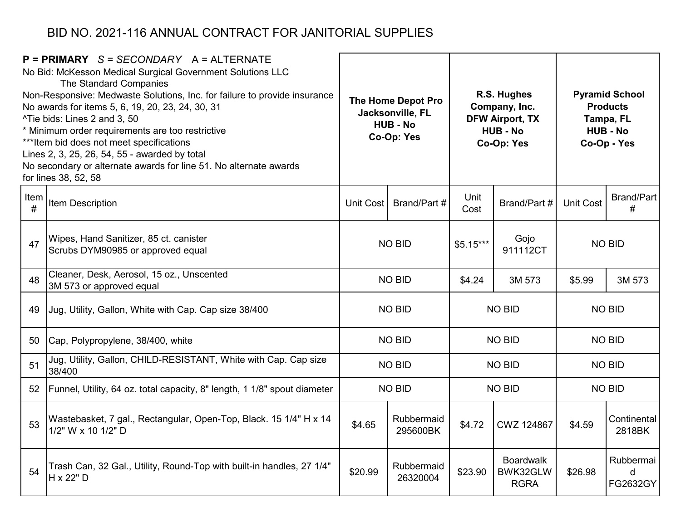| $P = PRIMARY$ S = SECONDARY A = ALTERNATE<br>No Bid: McKesson Medical Surgical Government Solutions LLC<br>The Standard Companies<br>Non-Responsive: Medwaste Solutions, Inc. for failure to provide insurance<br>No awards for items 5, 6, 19, 20, 23, 24, 30, 31<br>^Tie bids: Lines 2 and 3, 50<br>* Minimum order requirements are too restrictive<br>*** Item bid does not meet specifications<br>Lines 2, 3, 25, 26, 54, 55 - awarded by total<br>No secondary or alternate awards for line 51. No alternate awards<br>for lines 38, 52, 58 |                                                                                         | The Home Depot Pro<br>Jacksonville, FL<br><b>HUB - No</b><br>Co-Op: Yes |                        |              | R.S. Hughes<br>Company, Inc.<br><b>DFW Airport, TX</b><br><b>HUB - No</b><br>Co-Op: Yes | <b>Pyramid School</b><br><b>Products</b><br>Tampa, FL<br><b>HUB - No</b><br>Co-Op - Yes |                            |
|---------------------------------------------------------------------------------------------------------------------------------------------------------------------------------------------------------------------------------------------------------------------------------------------------------------------------------------------------------------------------------------------------------------------------------------------------------------------------------------------------------------------------------------------------|-----------------------------------------------------------------------------------------|-------------------------------------------------------------------------|------------------------|--------------|-----------------------------------------------------------------------------------------|-----------------------------------------------------------------------------------------|----------------------------|
| Item<br>#                                                                                                                                                                                                                                                                                                                                                                                                                                                                                                                                         | Item Description                                                                        | Brand/Part #<br>Unit Cost                                               |                        | Unit<br>Cost | Brand/Part #                                                                            | <b>Unit Cost</b>                                                                        | <b>Brand/Part</b><br>#     |
| 47                                                                                                                                                                                                                                                                                                                                                                                                                                                                                                                                                | Wipes, Hand Sanitizer, 85 ct. canister<br>Scrubs DYM90985 or approved equal             | <b>NO BID</b>                                                           |                        | $$5.15***$   | Gojo<br>911112CT                                                                        |                                                                                         | <b>NO BID</b>              |
| 48                                                                                                                                                                                                                                                                                                                                                                                                                                                                                                                                                | Cleaner, Desk, Aerosol, 15 oz., Unscented<br>3M 573 or approved equal                   |                                                                         | <b>NO BID</b>          | \$4.24       | 3M 573                                                                                  | \$5.99                                                                                  | 3M 573                     |
| 49                                                                                                                                                                                                                                                                                                                                                                                                                                                                                                                                                | Jug, Utility, Gallon, White with Cap. Cap size 38/400                                   |                                                                         | <b>NO BID</b>          |              | <b>NO BID</b>                                                                           | <b>NO BID</b>                                                                           |                            |
| 50                                                                                                                                                                                                                                                                                                                                                                                                                                                                                                                                                | Cap, Polypropylene, 38/400, white                                                       |                                                                         | <b>NO BID</b>          |              | <b>NO BID</b>                                                                           |                                                                                         | <b>NO BID</b>              |
| 51                                                                                                                                                                                                                                                                                                                                                                                                                                                                                                                                                | Jug, Utility, Gallon, CHILD-RESISTANT, White with Cap. Cap size<br>38/400               |                                                                         | <b>NO BID</b>          |              | <b>NO BID</b>                                                                           |                                                                                         | <b>NO BID</b>              |
| 52                                                                                                                                                                                                                                                                                                                                                                                                                                                                                                                                                | Funnel, Utility, 64 oz. total capacity, 8" length, 1 1/8" spout diameter                |                                                                         | <b>NO BID</b>          |              | <b>NO BID</b>                                                                           |                                                                                         | <b>NO BID</b>              |
| 53                                                                                                                                                                                                                                                                                                                                                                                                                                                                                                                                                | Wastebasket, 7 gal., Rectangular, Open-Top, Black. 15 1/4" H x 14<br>1/2" W x 10 1/2" D | Rubbermaid<br>\$4.65<br>295600BK                                        |                        | \$4.72       | <b>CWZ 124867</b>                                                                       | \$4.59                                                                                  | Continental<br>2818BK      |
| 54                                                                                                                                                                                                                                                                                                                                                                                                                                                                                                                                                | Trash Can, 32 Gal., Utility, Round-Top with built-in handles, 27 1/4"<br>H x 22" D      | \$20.99                                                                 | Rubbermaid<br>26320004 | \$23.90      | <b>Boardwalk</b><br>BWK32GLW<br><b>RGRA</b>                                             | \$26.98                                                                                 | Rubbermai<br>d<br>FG2632GY |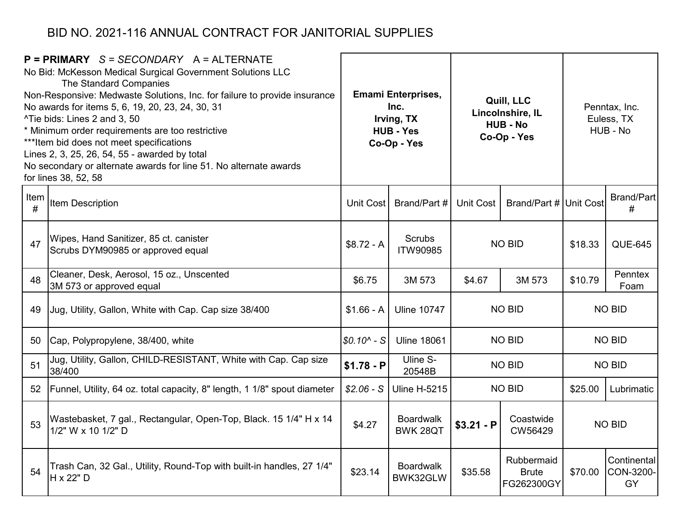| $P = PRIMARY$ S = SECONDARY A = ALTERNATE<br>No Bid: McKesson Medical Surgical Government Solutions LLC<br>The Standard Companies<br>Non-Responsive: Medwaste Solutions, Inc. for failure to provide insurance<br>No awards for items 5, 6, 19, 20, 23, 24, 30, 31<br>^Tie bids: Lines 2 and 3, 50<br>* Minimum order requirements are too restrictive<br>*** Item bid does not meet specifications<br>Lines 2, 3, 25, 26, 54, 55 - awarded by total<br>No secondary or alternate awards for line 51. No alternate awards<br>for lines 38, 52, 58 |                                                                                         | <b>Emami Enterprises,</b><br>Inc.<br>Irving, TX<br><b>HUB - Yes</b><br>Co-Op - Yes |                                                                            |                  | Quill, LLC<br>Lincolnshire, IL<br><b>HUB - No</b><br>Co-Op - Yes | Penntax, Inc.<br>Euless, TX<br>HUB - No |                                |
|---------------------------------------------------------------------------------------------------------------------------------------------------------------------------------------------------------------------------------------------------------------------------------------------------------------------------------------------------------------------------------------------------------------------------------------------------------------------------------------------------------------------------------------------------|-----------------------------------------------------------------------------------------|------------------------------------------------------------------------------------|----------------------------------------------------------------------------|------------------|------------------------------------------------------------------|-----------------------------------------|--------------------------------|
| Item<br>#                                                                                                                                                                                                                                                                                                                                                                                                                                                                                                                                         | <b>Item Description</b>                                                                 | <b>Unit Cost</b>                                                                   | Brand/Part #                                                               | <b>Unit Cost</b> | Brand/Part # Unit Cost                                           |                                         | Brand/Part<br>#                |
| 47                                                                                                                                                                                                                                                                                                                                                                                                                                                                                                                                                | Wipes, Hand Sanitizer, 85 ct. canister<br>Scrubs DYM90985 or approved equal             | $$8.72 - A$                                                                        | Scrubs<br><b>ITW90985</b>                                                  | <b>NO BID</b>    |                                                                  | \$18.33                                 | <b>QUE-645</b>                 |
| 48                                                                                                                                                                                                                                                                                                                                                                                                                                                                                                                                                | Cleaner, Desk, Aerosol, 15 oz., Unscented<br>3M 573 or approved equal                   | \$6.75                                                                             | 3M 573                                                                     | \$4.67           | 3M 573                                                           | \$10.79                                 | Penntex<br>Foam                |
| 49                                                                                                                                                                                                                                                                                                                                                                                                                                                                                                                                                | Jug, Utility, Gallon, White with Cap. Cap size 38/400                                   | $$1.66 - A$                                                                        | <b>Uline 10747</b>                                                         |                  | <b>NO BID</b>                                                    | <b>NO BID</b>                           |                                |
| 50                                                                                                                                                                                                                                                                                                                                                                                                                                                                                                                                                | Cap, Polypropylene, 38/400, white                                                       | $$0.10^{\circ} - S$                                                                | <b>Uline 18061</b>                                                         |                  | <b>NO BID</b>                                                    |                                         | <b>NO BID</b>                  |
| 51                                                                                                                                                                                                                                                                                                                                                                                                                                                                                                                                                | Jug, Utility, Gallon, CHILD-RESISTANT, White with Cap. Cap size<br>38/400               | $$1.78 - P$                                                                        | Uline S-<br>20548B                                                         |                  | <b>NO BID</b>                                                    |                                         | <b>NO BID</b>                  |
| 52                                                                                                                                                                                                                                                                                                                                                                                                                                                                                                                                                | Funnel, Utility, 64 oz. total capacity, 8" length, 1 1/8" spout diameter                | $$2.06-S$                                                                          | <b>Uline H-5215</b>                                                        |                  | <b>NO BID</b>                                                    | \$25.00                                 | Lubrimatic                     |
| 53                                                                                                                                                                                                                                                                                                                                                                                                                                                                                                                                                | Wastebasket, 7 gal., Rectangular, Open-Top, Black. 15 1/4" H x 14<br>1/2" W x 10 1/2" D | \$4.27                                                                             | <b>Boardwalk</b><br>Coastwide<br>$$3.21 - P$<br><b>BWK 28QT</b><br>CW56429 |                  |                                                                  |                                         | <b>NO BID</b>                  |
| 54                                                                                                                                                                                                                                                                                                                                                                                                                                                                                                                                                | Trash Can, 32 Gal., Utility, Round-Top with built-in handles, 27 1/4"<br>H x 22" D      | \$23.14                                                                            | <b>Boardwalk</b><br>BWK32GLW                                               | \$35.58          | Rubbermaid<br><b>Brute</b><br>FG262300GY                         | \$70.00                                 | Continental<br>CON-3200-<br>GY |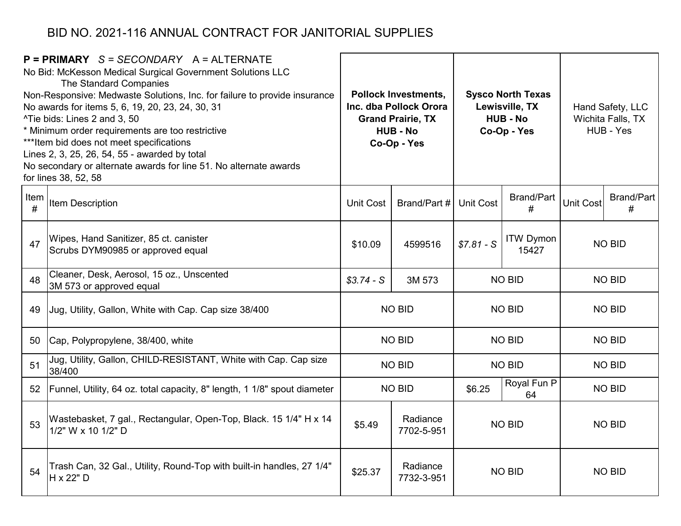| $P = PRIMARY$ S = SECONDARY A = ALTERNATE<br>No Bid: McKesson Medical Surgical Government Solutions LLC<br>The Standard Companies<br>Non-Responsive: Medwaste Solutions, Inc. for failure to provide insurance<br>No awards for items 5, 6, 19, 20, 23, 24, 30, 31<br>^Tie bids: Lines 2 and 3, 50<br>* Minimum order requirements are too restrictive<br>*** Item bid does not meet specifications<br>Lines 2, 3, 25, 26, 54, 55 - awarded by total<br>No secondary or alternate awards for line 51. No alternate awards<br>for lines 38, 52, 58 |                                                                                         | <b>Pollock Investments,</b><br>Inc. dba Pollock Orora<br><b>Grand Prairie, TX</b><br><b>HUB - No</b><br>Co-Op - Yes |                        |                  | <b>Sysco North Texas</b><br>Lewisville, TX<br><b>HUB - No</b><br>Co-Op - Yes | Hand Safety, LLC<br>Wichita Falls, TX<br>HUB - Yes |                        |
|---------------------------------------------------------------------------------------------------------------------------------------------------------------------------------------------------------------------------------------------------------------------------------------------------------------------------------------------------------------------------------------------------------------------------------------------------------------------------------------------------------------------------------------------------|-----------------------------------------------------------------------------------------|---------------------------------------------------------------------------------------------------------------------|------------------------|------------------|------------------------------------------------------------------------------|----------------------------------------------------|------------------------|
| Item<br>#                                                                                                                                                                                                                                                                                                                                                                                                                                                                                                                                         | Item Description                                                                        | <b>Unit Cost</b>                                                                                                    | Brand/Part #           | <b>Unit Cost</b> | <b>Brand/Part</b><br><b>Unit Cost</b><br>#                                   |                                                    | <b>Brand/Part</b><br># |
| 47                                                                                                                                                                                                                                                                                                                                                                                                                                                                                                                                                | Wipes, Hand Sanitizer, 85 ct. canister<br>Scrubs DYM90985 or approved equal             | \$10.09                                                                                                             | 4599516                | $$7.81 - S$      | <b>ITW Dymon</b><br>15427                                                    |                                                    | <b>NO BID</b>          |
| 48                                                                                                                                                                                                                                                                                                                                                                                                                                                                                                                                                | Cleaner, Desk, Aerosol, 15 oz., Unscented<br>3M 573 or approved equal                   | $$3.74-S$                                                                                                           | 3M 573                 |                  | <b>NO BID</b>                                                                | <b>NO BID</b>                                      |                        |
| 49                                                                                                                                                                                                                                                                                                                                                                                                                                                                                                                                                | Jug, Utility, Gallon, White with Cap. Cap size 38/400                                   |                                                                                                                     | <b>NO BID</b>          | <b>NO BID</b>    |                                                                              | <b>NO BID</b>                                      |                        |
| 50                                                                                                                                                                                                                                                                                                                                                                                                                                                                                                                                                | Cap, Polypropylene, 38/400, white                                                       |                                                                                                                     | <b>NO BID</b>          |                  | <b>NO BID</b>                                                                |                                                    | <b>NO BID</b>          |
| 51                                                                                                                                                                                                                                                                                                                                                                                                                                                                                                                                                | Jug, Utility, Gallon, CHILD-RESISTANT, White with Cap. Cap size<br>38/400               |                                                                                                                     | <b>NO BID</b>          |                  | <b>NO BID</b>                                                                |                                                    | <b>NO BID</b>          |
| 52                                                                                                                                                                                                                                                                                                                                                                                                                                                                                                                                                | Funnel, Utility, 64 oz. total capacity, 8" length, 1 1/8" spout diameter                |                                                                                                                     | <b>NO BID</b>          | \$6.25           | Royal Fun P<br>64                                                            |                                                    | <b>NO BID</b>          |
| 53                                                                                                                                                                                                                                                                                                                                                                                                                                                                                                                                                | Wastebasket, 7 gal., Rectangular, Open-Top, Black. 15 1/4" H x 14<br>1/2" W x 10 1/2" D | Radiance<br>\$5.49<br>7702-5-951                                                                                    |                        | <b>NO BID</b>    |                                                                              | <b>NO BID</b>                                      |                        |
| 54                                                                                                                                                                                                                                                                                                                                                                                                                                                                                                                                                | Trash Can, 32 Gal., Utility, Round-Top with built-in handles, 27 1/4"<br>H x 22" D      | \$25.37                                                                                                             | Radiance<br>7732-3-951 |                  | <b>NO BID</b>                                                                | <b>NO BID</b>                                      |                        |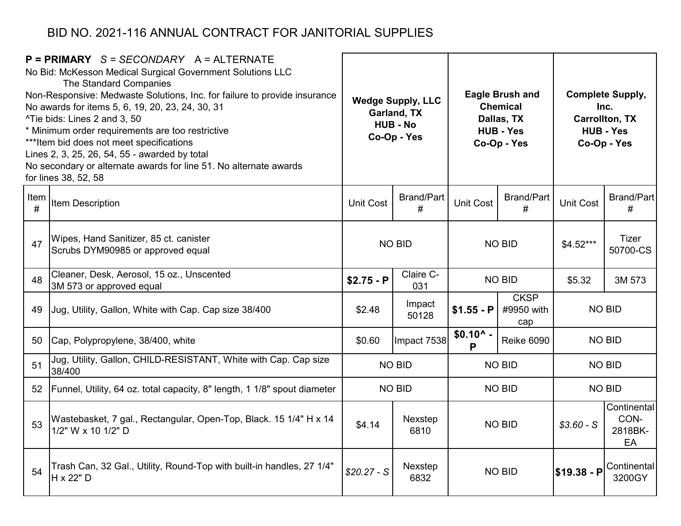| $P = PRIMARY$ S = SECONDARY A = ALTERNATE<br>No Bid: McKesson Medical Surgical Government Solutions LLC<br>The Standard Companies<br>Non-Responsive: Medwaste Solutions, Inc. for failure to provide insurance<br>No awards for items 5, 6, 19, 20, 23, 24, 30, 31<br>^Tie bids: Lines 2 and 3, 50<br>* Minimum order requirements are too restrictive<br>*** Item bid does not meet specifications<br>Lines 2, 3, 25, 26, 54, 55 - awarded by total<br>No secondary or alternate awards for line 51. No alternate awards<br>for lines 38, 52, 58 |                                                                                         | <b>Wedge Supply, LLC</b><br>Garland, TX<br><b>HUB - No</b><br>Co-Op - Yes |                        |                        | <b>Eagle Brush and</b><br><b>Chemical</b><br>Dallas, TX<br><b>HUB - Yes</b><br>Co-Op - Yes | <b>Complete Supply,</b><br>Inc.<br><b>Carrollton, TX</b><br><b>HUB - Yes</b><br>Co-Op - Yes |                                      |
|---------------------------------------------------------------------------------------------------------------------------------------------------------------------------------------------------------------------------------------------------------------------------------------------------------------------------------------------------------------------------------------------------------------------------------------------------------------------------------------------------------------------------------------------------|-----------------------------------------------------------------------------------------|---------------------------------------------------------------------------|------------------------|------------------------|--------------------------------------------------------------------------------------------|---------------------------------------------------------------------------------------------|--------------------------------------|
| Item<br>#                                                                                                                                                                                                                                                                                                                                                                                                                                                                                                                                         | Item Description                                                                        | <b>Unit Cost</b>                                                          | <b>Brand/Part</b><br># | <b>Unit Cost</b>       | <b>Brand/Part</b><br>#                                                                     | <b>Unit Cost</b>                                                                            | Brand/Part<br>#                      |
| 47                                                                                                                                                                                                                                                                                                                                                                                                                                                                                                                                                | Wipes, Hand Sanitizer, 85 ct. canister<br>Scrubs DYM90985 or approved equal             |                                                                           | <b>NO BID</b>          | <b>NO BID</b>          |                                                                                            | $$4.52***$                                                                                  | <b>Tizer</b><br>50700-CS             |
| 48                                                                                                                                                                                                                                                                                                                                                                                                                                                                                                                                                | Cleaner, Desk, Aerosol, 15 oz., Unscented<br>3M 573 or approved equal                   | $$2.75 - P$                                                               | Claire C-<br>031       |                        | <b>NO BID</b>                                                                              | \$5.32                                                                                      | 3M 573                               |
| 49                                                                                                                                                                                                                                                                                                                                                                                                                                                                                                                                                | Jug, Utility, Gallon, White with Cap. Cap size 38/400                                   | \$2.48                                                                    | Impact<br>50128        | $$1.55 - P$            | <b>CKSP</b><br><b>NO BID</b><br>#9950 with<br>cap                                          |                                                                                             |                                      |
| 50                                                                                                                                                                                                                                                                                                                                                                                                                                                                                                                                                | Cap, Polypropylene, 38/400, white                                                       | \$0.60                                                                    | Impact 7538            | $$0.10^{\circ}$ -<br>P | <b>Reike 6090</b>                                                                          |                                                                                             | NO BID                               |
| 51                                                                                                                                                                                                                                                                                                                                                                                                                                                                                                                                                | Jug, Utility, Gallon, CHILD-RESISTANT, White with Cap. Cap size<br>38/400               |                                                                           | <b>NO BID</b>          |                        | <b>NO BID</b>                                                                              |                                                                                             | NO BID                               |
| 52                                                                                                                                                                                                                                                                                                                                                                                                                                                                                                                                                | Funnel, Utility, 64 oz. total capacity, 8" length, 1 1/8" spout diameter                |                                                                           | <b>NO BID</b>          |                        | <b>NO BID</b>                                                                              |                                                                                             | <b>NO BID</b>                        |
| 53                                                                                                                                                                                                                                                                                                                                                                                                                                                                                                                                                | Wastebasket, 7 gal., Rectangular, Open-Top, Black. 15 1/4" H x 14<br>1/2" W x 10 1/2" D | \$4.14                                                                    | Nexstep<br>6810        |                        | <b>NO BID</b>                                                                              |                                                                                             | Continental<br>CON-<br>2818BK-<br>EA |
| 54                                                                                                                                                                                                                                                                                                                                                                                                                                                                                                                                                | Trash Can, 32 Gal., Utility, Round-Top with built-in handles, 27 1/4"<br>H x 22" D      | $$20.27 - S$                                                              | Nexstep<br>6832        |                        | <b>NO BID</b>                                                                              | $$19.38 - P$                                                                                | Continental<br>3200GY                |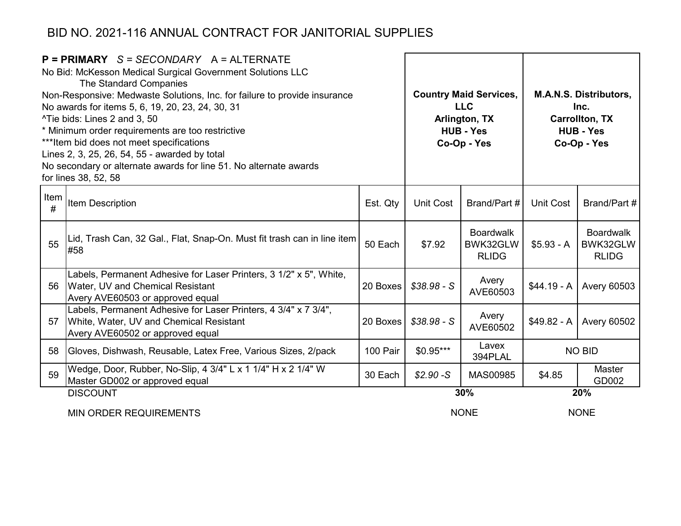| $P = PRIMARY$ S = SECONDARY A = ALTERNATE<br>No Bid: McKesson Medical Surgical Government Solutions LLC<br>The Standard Companies<br>Non-Responsive: Medwaste Solutions, Inc. for failure to provide insurance<br>No awards for items 5, 6, 19, 20, 23, 24, 30, 31<br>^Tie bids: Lines 2 and 3, 50<br>* Minimum order requirements are too restrictive<br>*** Item bid does not meet specifications<br>Lines 2, 3, 25, 26, 54, 55 - awarded by total<br>No secondary or alternate awards for line 51. No alternate awards<br>for lines 38, 52, 58 |                                                                                                                                                |          |              | <b>Country Maid Services,</b><br><b>LLC</b><br>Arlington, TX<br><b>HUB - Yes</b><br>Co-Op - Yes | <b>M.A.N.S. Distributors,</b><br>Inc.<br><b>Carrollton, TX</b><br><b>HUB - Yes</b><br>Co-Op - Yes |                                              |  |
|---------------------------------------------------------------------------------------------------------------------------------------------------------------------------------------------------------------------------------------------------------------------------------------------------------------------------------------------------------------------------------------------------------------------------------------------------------------------------------------------------------------------------------------------------|------------------------------------------------------------------------------------------------------------------------------------------------|----------|--------------|-------------------------------------------------------------------------------------------------|---------------------------------------------------------------------------------------------------|----------------------------------------------|--|
| Item<br>#                                                                                                                                                                                                                                                                                                                                                                                                                                                                                                                                         | Item Description                                                                                                                               | Est. Qty | Unit Cost    | Brand/Part #                                                                                    | <b>Unit Cost</b>                                                                                  | Brand/Part #                                 |  |
| 55                                                                                                                                                                                                                                                                                                                                                                                                                                                                                                                                                | Lid, Trash Can, 32 Gal., Flat, Snap-On. Must fit trash can in line item<br>#58                                                                 | 50 Each  | \$7.92       | <b>Boardwalk</b><br>BWK32GLW<br><b>RLIDG</b>                                                    | $$5.93 - A$                                                                                       | <b>Boardwalk</b><br>BWK32GLW<br><b>RLIDG</b> |  |
| 56                                                                                                                                                                                                                                                                                                                                                                                                                                                                                                                                                | Labels, Permanent Adhesive for Laser Printers, 3 1/2" x 5", White,<br>Water, UV and Chemical Resistant<br>Avery AVE60503 or approved equal     | 20 Boxes | $$38.98 - S$ | Avery<br>AVE60503                                                                               | $$44.19 - A$                                                                                      | <b>Avery 60503</b>                           |  |
| 57                                                                                                                                                                                                                                                                                                                                                                                                                                                                                                                                                | Labels, Permanent Adhesive for Laser Printers, 4 3/4" x 7 3/4",<br>White, Water, UV and Chemical Resistant<br>Avery AVE60502 or approved equal | 20 Boxes | $$38.98 - S$ | Avery<br>AVE60502                                                                               | $$49.82 - A$                                                                                      | <b>Avery 60502</b>                           |  |
| 58                                                                                                                                                                                                                                                                                                                                                                                                                                                                                                                                                | Gloves, Dishwash, Reusable, Latex Free, Various Sizes, 2/pack                                                                                  | 100 Pair | $$0.95***$   | Lavex<br>394PLAL                                                                                |                                                                                                   | <b>NO BID</b>                                |  |
| 59                                                                                                                                                                                                                                                                                                                                                                                                                                                                                                                                                | Wedge, Door, Rubber, No-Slip, 4 3/4" L x 1 1/4" H x 2 1/4" W<br>Master GD002 or approved equal                                                 | 30 Each  | $$2.90-S$    | MAS00985<br>\$4.85                                                                              |                                                                                                   | <b>Master</b><br>GD002                       |  |
|                                                                                                                                                                                                                                                                                                                                                                                                                                                                                                                                                   | <b>DISCOUNT</b>                                                                                                                                |          |              | 30%                                                                                             |                                                                                                   | 20%                                          |  |
|                                                                                                                                                                                                                                                                                                                                                                                                                                                                                                                                                   |                                                                                                                                                |          |              |                                                                                                 |                                                                                                   | $ -  -$                                      |  |

MIN ORDER REQUIREMENTS

NONE NONE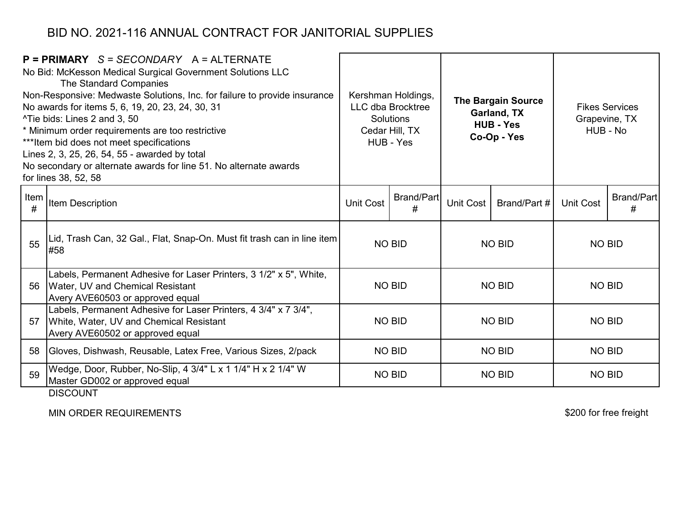|           | $P = PRIMARY$ S = SECONDARY A = ALTERNATE<br>No Bid: McKesson Medical Surgical Government Solutions LLC<br>The Standard Companies<br>Non-Responsive: Medwaste Solutions, Inc. for failure to provide insurance<br>No awards for items 5, 6, 19, 20, 23, 24, 30, 31<br>^Tie bids: Lines 2 and 3, 50<br>* Minimum order requirements are too restrictive<br>*** Item bid does not meet specifications<br>Lines 2, 3, 25, 26, 54, 55 - awarded by total<br>No secondary or alternate awards for line 51. No alternate awards<br>for lines 38, 52, 58 | Kershman Holdings,<br><b>LLC dba Brocktree</b><br><b>Solutions</b><br>Cedar Hill, TX<br>HUB - Yes |                        |                           |               |                  |                        |  |  | <b>The Bargain Source</b><br>Garland, TX<br><b>HUB - Yes</b><br>Co-Op - Yes |  | Grapevine, TX<br>HUB - No | <b>Fikes Services</b> |
|-----------|---------------------------------------------------------------------------------------------------------------------------------------------------------------------------------------------------------------------------------------------------------------------------------------------------------------------------------------------------------------------------------------------------------------------------------------------------------------------------------------------------------------------------------------------------|---------------------------------------------------------------------------------------------------|------------------------|---------------------------|---------------|------------------|------------------------|--|--|-----------------------------------------------------------------------------|--|---------------------------|-----------------------|
| Item<br># | <b>Item Description</b>                                                                                                                                                                                                                                                                                                                                                                                                                                                                                                                           | Unit Cost                                                                                         | <b>Brand/Part</b><br># | Unit Cost<br>Brand/Part # |               | <b>Unit Cost</b> | <b>Brand/Part</b><br># |  |  |                                                                             |  |                           |                       |
| 55        | Lid, Trash Can, 32 Gal., Flat, Snap-On. Must fit trash can in line item<br>#58                                                                                                                                                                                                                                                                                                                                                                                                                                                                    |                                                                                                   | <b>NO BID</b>          | <b>NO BID</b>             |               | <b>NO BID</b>    |                        |  |  |                                                                             |  |                           |                       |
| 56        | Labels, Permanent Adhesive for Laser Printers, 3 1/2" x 5", White,<br>Water, UV and Chemical Resistant<br>Avery AVE60503 or approved equal                                                                                                                                                                                                                                                                                                                                                                                                        |                                                                                                   | <b>NO BID</b>          | <b>NO BID</b>             |               | <b>NO BID</b>    |                        |  |  |                                                                             |  |                           |                       |
| 57        | Labels, Permanent Adhesive for Laser Printers, 4 3/4" x 7 3/4",<br>White, Water, UV and Chemical Resistant<br>Avery AVE60502 or approved equal                                                                                                                                                                                                                                                                                                                                                                                                    | <b>NO BID</b>                                                                                     |                        | <b>NO BID</b>             |               | <b>NO BID</b>    |                        |  |  |                                                                             |  |                           |                       |
| 58        | Gloves, Dishwash, Reusable, Latex Free, Various Sizes, 2/pack                                                                                                                                                                                                                                                                                                                                                                                                                                                                                     | <b>NO BID</b>                                                                                     |                        | <b>NO BID</b>             |               | <b>NO BID</b>    |                        |  |  |                                                                             |  |                           |                       |
| 59        | Wedge, Door, Rubber, No-Slip, 4 3/4" L x 1 1/4" H x 2 1/4" W<br>Master GD002 or approved equal<br><b>DISCOUNT</b>                                                                                                                                                                                                                                                                                                                                                                                                                                 |                                                                                                   | <b>NO BID</b>          |                           | <b>NO BID</b> | <b>NO BID</b>    |                        |  |  |                                                                             |  |                           |                       |

MIN ORDER REQUIREMENTS

\$200 for free freight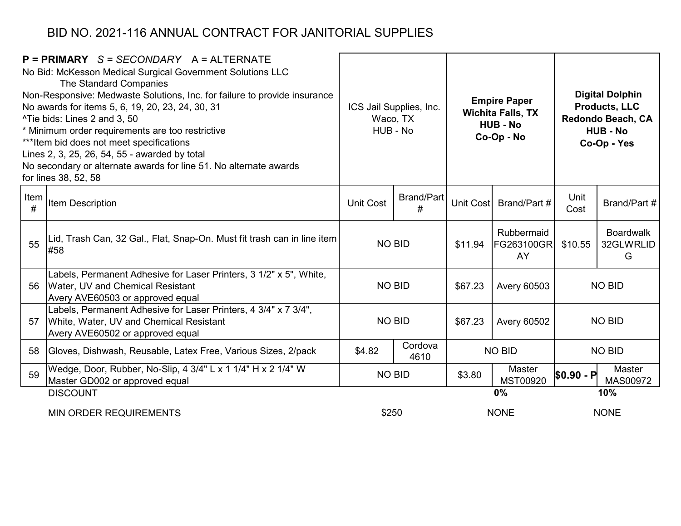|           | $P = PRIMARY$ S = SECONDARY A = ALTERNATE<br>No Bid: McKesson Medical Surgical Government Solutions LLC<br>The Standard Companies<br>Non-Responsive: Medwaste Solutions, Inc. for failure to provide insurance<br>No awards for items 5, 6, 19, 20, 23, 24, 30, 31<br>^Tie bids: Lines 2 and 3, 50<br>* Minimum order requirements are too restrictive<br>*** Item bid does not meet specifications<br>Lines 2, 3, 25, 26, 54, 55 - awarded by total<br>No secondary or alternate awards for line 51. No alternate awards<br>for lines 38, 52, 58 | <b>Empire Paper</b><br>ICS Jail Supplies, Inc.<br><b>Wichita Falls, TX</b><br>Waco, TX<br><b>HUB - No</b><br>HUB - No<br>Co-Op - No |               | <b>Digital Dolphin</b><br><b>Products, LLC</b><br>Redondo Beach, CA<br><b>HUB - No</b><br>Co-Op - Yes |                                       |                  |                                    |
|-----------|---------------------------------------------------------------------------------------------------------------------------------------------------------------------------------------------------------------------------------------------------------------------------------------------------------------------------------------------------------------------------------------------------------------------------------------------------------------------------------------------------------------------------------------------------|-------------------------------------------------------------------------------------------------------------------------------------|---------------|-------------------------------------------------------------------------------------------------------|---------------------------------------|------------------|------------------------------------|
| Item<br># | <b>Item Description</b>                                                                                                                                                                                                                                                                                                                                                                                                                                                                                                                           | Brand/Part<br>Unit Cost<br>#                                                                                                        |               | Unit Cost                                                                                             | Brand/Part #                          | Unit<br>Cost     | Brand/Part #                       |
| 55        | Lid, Trash Can, 32 Gal., Flat, Snap-On. Must fit trash can in line item<br>#58                                                                                                                                                                                                                                                                                                                                                                                                                                                                    | <b>NO BID</b>                                                                                                                       |               | \$11.94                                                                                               | Rubbermaid<br><b>FG263100GR</b><br>AY | \$10.55          | <b>Boardwalk</b><br>32GLWRLID<br>G |
| 56        | Labels, Permanent Adhesive for Laser Printers, 3 1/2" x 5", White,<br>Water, UV and Chemical Resistant<br>Avery AVE60503 or approved equal                                                                                                                                                                                                                                                                                                                                                                                                        |                                                                                                                                     | <b>NO BID</b> | \$67.23                                                                                               | <b>Avery 60503</b>                    | <b>NO BID</b>    |                                    |
| 57        | Labels, Permanent Adhesive for Laser Printers, 4 3/4" x 7 3/4",<br>White, Water, UV and Chemical Resistant<br>Avery AVE60502 or approved equal                                                                                                                                                                                                                                                                                                                                                                                                    |                                                                                                                                     | <b>NO BID</b> | \$67.23<br><b>Avery 60502</b>                                                                         |                                       |                  | <b>NO BID</b>                      |
| 58        | Gloves, Dishwash, Reusable, Latex Free, Various Sizes, 2/pack                                                                                                                                                                                                                                                                                                                                                                                                                                                                                     | Cordova<br>\$4.82<br>4610                                                                                                           |               |                                                                                                       | <b>NO BID</b>                         |                  | <b>NO BID</b>                      |
| 59        | Wedge, Door, Rubber, No-Slip, 4 3/4" L x 1 1/4" H x 2 1/4" W<br>Master GD002 or approved equal                                                                                                                                                                                                                                                                                                                                                                                                                                                    |                                                                                                                                     | <b>NO BID</b> |                                                                                                       | Master<br>MST00920                    | <b>SO.90 - P</b> | Master<br>MAS00972                 |
|           | <b>DISCOUNT</b>                                                                                                                                                                                                                                                                                                                                                                                                                                                                                                                                   |                                                                                                                                     |               |                                                                                                       | 0%                                    | 10%              |                                    |
|           | <b>MIN ORDER REQUIREMENTS</b>                                                                                                                                                                                                                                                                                                                                                                                                                                                                                                                     | \$250                                                                                                                               |               |                                                                                                       | <b>NONE</b>                           | <b>NONE</b>      |                                    |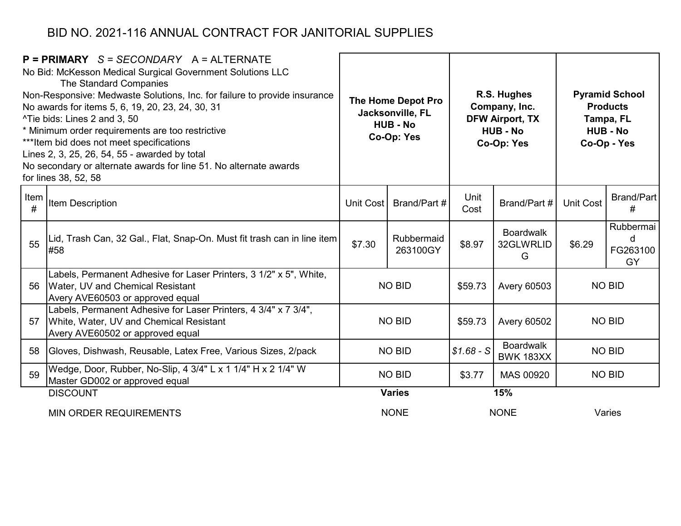|           | $P = PRIMARY$ S = SECONDARY A = ALTERNATE<br>No Bid: McKesson Medical Surgical Government Solutions LLC<br>The Standard Companies<br>Non-Responsive: Medwaste Solutions, Inc. for failure to provide insurance<br>No awards for items 5, 6, 19, 20, 23, 24, 30, 31<br>^Tie bids: Lines 2 and 3, 50<br>* Minimum order requirements are too restrictive<br>*** Item bid does not meet specifications<br>Lines 2, 3, 25, 26, 54, 55 - awarded by total<br>No secondary or alternate awards for line 51. No alternate awards<br>for lines 38, 52, 58 | The Home Depot Pro<br>Jacksonville, FL<br><b>HUB - No</b><br>Co-Op: Yes |                        | R.S. Hughes<br>Company, Inc.<br><b>DFW Airport, TX</b><br><b>HUB - No</b><br>Co-Op: Yes |                                      | <b>Pyramid School</b><br><b>Products</b><br>Tampa, FL<br><b>HUB - No</b><br>Co-Op - Yes |                                  |
|-----------|---------------------------------------------------------------------------------------------------------------------------------------------------------------------------------------------------------------------------------------------------------------------------------------------------------------------------------------------------------------------------------------------------------------------------------------------------------------------------------------------------------------------------------------------------|-------------------------------------------------------------------------|------------------------|-----------------------------------------------------------------------------------------|--------------------------------------|-----------------------------------------------------------------------------------------|----------------------------------|
| Item<br># | <b>Item Description</b>                                                                                                                                                                                                                                                                                                                                                                                                                                                                                                                           | Unit Cost                                                               | Brand/Part #           | Unit<br>Cost                                                                            | Brand/Part #                         | <b>Unit Cost</b>                                                                        | <b>Brand/Part</b><br>#           |
| 55        | Lid, Trash Can, 32 Gal., Flat, Snap-On. Must fit trash can in line item<br>#58                                                                                                                                                                                                                                                                                                                                                                                                                                                                    | \$7.30                                                                  | Rubbermaid<br>263100GY | \$8.97                                                                                  | <b>Boardwalk</b><br>32GLWRLID<br>G   | \$6.29                                                                                  | Rubbermai<br>d<br>FG263100<br>GY |
| 56        | Labels, Permanent Adhesive for Laser Printers, 3 1/2" x 5", White,<br>Water, UV and Chemical Resistant<br>Avery AVE60503 or approved equal                                                                                                                                                                                                                                                                                                                                                                                                        |                                                                         | <b>NO BID</b>          | \$59.73                                                                                 | <b>Avery 60503</b>                   |                                                                                         | <b>NO BID</b>                    |
| 57        | Labels, Permanent Adhesive for Laser Printers, 4 3/4" x 7 3/4",<br>White, Water, UV and Chemical Resistant<br>Avery AVE60502 or approved equal                                                                                                                                                                                                                                                                                                                                                                                                    |                                                                         | <b>NO BID</b>          | \$59.73                                                                                 | <b>Avery 60502</b>                   |                                                                                         | <b>NO BID</b>                    |
| 58        | Gloves, Dishwash, Reusable, Latex Free, Various Sizes, 2/pack                                                                                                                                                                                                                                                                                                                                                                                                                                                                                     |                                                                         | <b>NO BID</b>          | $$1.68 - S$                                                                             | <b>Boardwalk</b><br><b>BWK 183XX</b> |                                                                                         | <b>NO BID</b>                    |
| 59        | Wedge, Door, Rubber, No-Slip, 4 3/4" L x 1 1/4" H x 2 1/4" W<br>Master GD002 or approved equal                                                                                                                                                                                                                                                                                                                                                                                                                                                    | <b>NO BID</b>                                                           |                        | \$3.77                                                                                  | MAS 00920                            | <b>NO BID</b>                                                                           |                                  |
|           | <b>DISCOUNT</b>                                                                                                                                                                                                                                                                                                                                                                                                                                                                                                                                   |                                                                         | <b>Varies</b>          | 15%                                                                                     |                                      |                                                                                         |                                  |
|           | <b>MIN ORDER REQUIREMENTS</b>                                                                                                                                                                                                                                                                                                                                                                                                                                                                                                                     |                                                                         | <b>NONE</b>            | <b>NONE</b>                                                                             |                                      | Varies                                                                                  |                                  |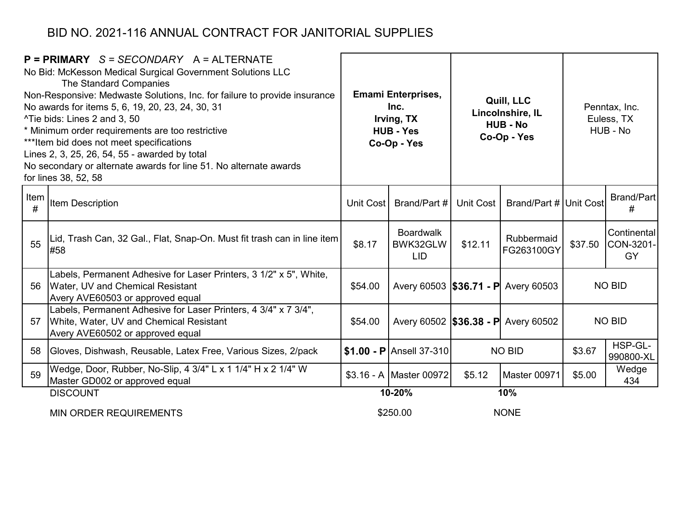| $P = PRIMARY$ S = SECONDARY A = ALTERNATE<br>No Bid: McKesson Medical Surgical Government Solutions LLC<br>The Standard Companies<br>Non-Responsive: Medwaste Solutions, Inc. for failure to provide insurance<br>No awards for items 5, 6, 19, 20, 23, 24, 30, 31<br><sup>^</sup> Tie bids: Lines 2 and 3, 50<br>* Minimum order requirements are too restrictive<br>*** Item bid does not meet specifications<br>Lines 2, 3, 25, 26, 54, 55 - awarded by total<br>No secondary or alternate awards for line 51. No alternate awards<br>for lines 38, 52, 58 |                                                                                                                                                | <b>Emami Enterprises,</b><br>Inc.<br>Irving, TX<br><b>HUB - Yes</b><br>Co-Op - Yes |                                            | Quill, LLC<br>Lincolnshire, IL<br><b>HUB - No</b><br>Co-Op - Yes |                                     | Penntax, Inc.<br>Euless, TX<br>HUB - No |                                |
|---------------------------------------------------------------------------------------------------------------------------------------------------------------------------------------------------------------------------------------------------------------------------------------------------------------------------------------------------------------------------------------------------------------------------------------------------------------------------------------------------------------------------------------------------------------|------------------------------------------------------------------------------------------------------------------------------------------------|------------------------------------------------------------------------------------|--------------------------------------------|------------------------------------------------------------------|-------------------------------------|-----------------------------------------|--------------------------------|
| Item<br>#                                                                                                                                                                                                                                                                                                                                                                                                                                                                                                                                                     | <b>Item Description</b>                                                                                                                        |                                                                                    | Unit Cost   Brand/Part #                   | Unit Cost                                                        | Brand/Part # Unit Cost              |                                         | Brand/Part<br>#                |
| 55                                                                                                                                                                                                                                                                                                                                                                                                                                                                                                                                                            | Lid, Trash Can, 32 Gal., Flat, Snap-On. Must fit trash can in line item<br>#58                                                                 | \$8.17                                                                             | <b>Boardwalk</b><br>BWK32GLW<br><b>LID</b> | \$12.11                                                          | Rubbermaid<br>FG263100GY            | \$37.50                                 | Continental<br>CON-3201-<br>GY |
| 56                                                                                                                                                                                                                                                                                                                                                                                                                                                                                                                                                            | Labels, Permanent Adhesive for Laser Printers, 3 1/2" x 5", White,<br>Water, UV and Chemical Resistant<br>Avery AVE60503 or approved equal     | \$54.00                                                                            | Avery 60503 <b>\$36.71 - P</b> Avery 60503 |                                                                  |                                     | <b>NO BID</b>                           |                                |
| 57                                                                                                                                                                                                                                                                                                                                                                                                                                                                                                                                                            | Labels, Permanent Adhesive for Laser Printers, 4 3/4" x 7 3/4",<br>White, Water, UV and Chemical Resistant<br>Avery AVE60502 or approved equal | \$54.00                                                                            |                                            |                                                                  | Avery 60502 \$36.38 - P Avery 60502 | <b>NO BID</b>                           |                                |
| 58                                                                                                                                                                                                                                                                                                                                                                                                                                                                                                                                                            | Gloves, Dishwash, Reusable, Latex Free, Various Sizes, 2/pack                                                                                  |                                                                                    | $\vert$ \$1.00 - P Ansell 37-310           | <b>NO BID</b>                                                    |                                     | \$3.67                                  | HSP-GL-<br>990800-XL           |
| 59                                                                                                                                                                                                                                                                                                                                                                                                                                                                                                                                                            | Wedge, Door, Rubber, No-Slip, 4 3/4" L x 1 1/4" H x 2 1/4" W<br>Master GD002 or approved equal                                                 |                                                                                    | \$3.16 - A Master 00972                    | \$5.12                                                           | Master 00971                        | \$5.00                                  | Wedge<br>434                   |
|                                                                                                                                                                                                                                                                                                                                                                                                                                                                                                                                                               | <b>DISCOUNT</b>                                                                                                                                | 10-20%                                                                             |                                            | 10%                                                              |                                     |                                         |                                |
|                                                                                                                                                                                                                                                                                                                                                                                                                                                                                                                                                               |                                                                                                                                                |                                                                                    | *^_^_^                                     |                                                                  | 1.011                               |                                         |                                |

MIN ORDER REQUIREMENTS

\$250.00

NONE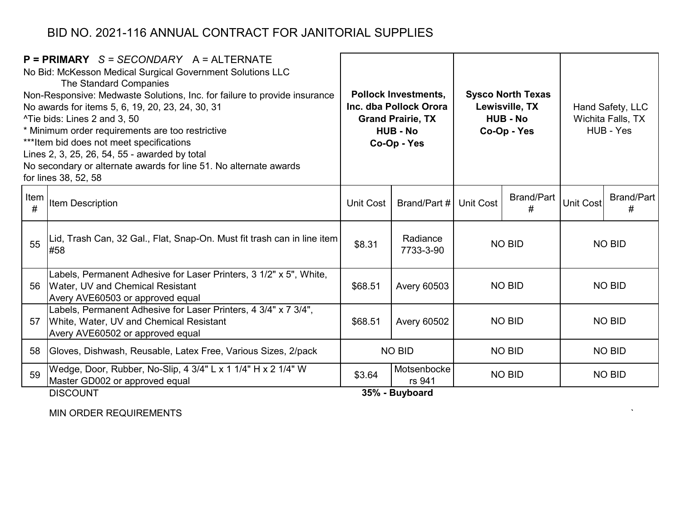|           | $P = PRIMARY$ S = SECONDARY A = ALTERNATE<br>No Bid: McKesson Medical Surgical Government Solutions LLC<br><b>The Standard Companies</b><br>Non-Responsive: Medwaste Solutions, Inc. for failure to provide insurance<br>No awards for items 5, 6, 19, 20, 23, 24, 30, 31<br>^Tie bids: Lines 2 and 3, 50<br>* Minimum order requirements are too restrictive<br>*** Item bid does not meet specifications<br>Lines 2, 3, 25, 26, 54, 55 - awarded by total<br>No secondary or alternate awards for line 51. No alternate awards<br>for lines 38, 52, 58 |                  | <b>Pollock Investments,</b><br>Inc. dba Pollock Orora<br><b>Grand Prairie, TX</b><br><b>HUB - No</b><br>Co-Op - Yes |                  | <b>Sysco North Texas</b><br>Lewisville, TX<br><b>HUB - No</b><br>Co-Op - Yes |                  | Hand Safety, LLC<br>Wichita Falls, TX<br>HUB - Yes |  |
|-----------|----------------------------------------------------------------------------------------------------------------------------------------------------------------------------------------------------------------------------------------------------------------------------------------------------------------------------------------------------------------------------------------------------------------------------------------------------------------------------------------------------------------------------------------------------------|------------------|---------------------------------------------------------------------------------------------------------------------|------------------|------------------------------------------------------------------------------|------------------|----------------------------------------------------|--|
| Item<br># | <b>Item Description</b>                                                                                                                                                                                                                                                                                                                                                                                                                                                                                                                                  | <b>Unit Cost</b> | Brand/Part #                                                                                                        | <b>Unit Cost</b> | <b>Brand/Part</b><br>#                                                       | <b>Unit Cost</b> | Brand/Part<br>#                                    |  |
| 55        | │Lid, Trash Can, 32 Gal., Flat, Snap-On. Must fit trash can in line item│<br>#58                                                                                                                                                                                                                                                                                                                                                                                                                                                                         | \$8.31           | Radiance<br>7733-3-90                                                                                               | <b>NO BID</b>    |                                                                              | <b>NO BID</b>    |                                                    |  |
| 56        | Labels, Permanent Adhesive for Laser Printers, 3 1/2" x 5", White,<br>Water, UV and Chemical Resistant<br>Avery AVE60503 or approved equal                                                                                                                                                                                                                                                                                                                                                                                                               | \$68.51          | <b>Avery 60503</b>                                                                                                  | <b>NO BID</b>    |                                                                              | <b>NO BID</b>    |                                                    |  |
| 57        | Labels, Permanent Adhesive for Laser Printers, 4 3/4" x 7 3/4",<br>White, Water, UV and Chemical Resistant<br>Avery AVE60502 or approved equal                                                                                                                                                                                                                                                                                                                                                                                                           | \$68.51          | <b>Avery 60502</b>                                                                                                  | <b>NO BID</b>    |                                                                              | <b>NO BID</b>    |                                                    |  |
| 58        | Gloves, Dishwash, Reusable, Latex Free, Various Sizes, 2/pack                                                                                                                                                                                                                                                                                                                                                                                                                                                                                            | <b>NO BID</b>    |                                                                                                                     | <b>NO BID</b>    |                                                                              | <b>NO BID</b>    |                                                    |  |
| 59        | Wedge, Door, Rubber, No-Slip, 4 3/4" L x 1 1/4" H x 2 1/4" W<br>Master GD002 or approved equal                                                                                                                                                                                                                                                                                                                                                                                                                                                           | \$3.64           | Motsenbocke<br>rs 941                                                                                               | <b>NO BID</b>    |                                                                              | <b>NO BID</b>    |                                                    |  |
|           | <b>DISCOUNT</b><br>35% - Buyboard                                                                                                                                                                                                                                                                                                                                                                                                                                                                                                                        |                  |                                                                                                                     |                  |                                                                              |                  |                                                    |  |

 $\tilde{\phantom{a}}$ 

MIN ORDER REQUIREMENTS